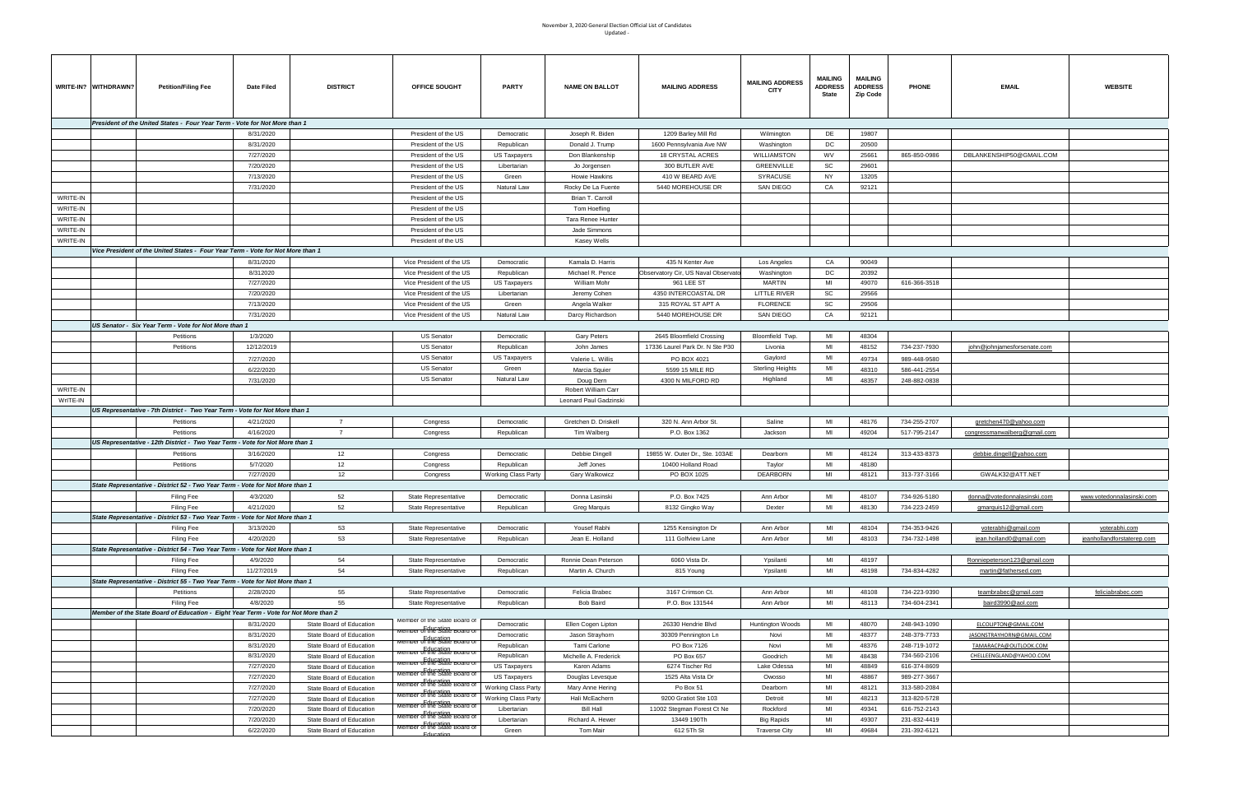## November 3, 2020 General Election Official List of Candidates Updated -

| WRITE-IN? WITHDRAWN? | <b>Petition/Filing Fee</b>                                                          | Date Filed | <b>DISTRICT</b>          | OFFICE SOUGHT                                                | <b>PARTY</b>               | <b>NAME ON BALLOT</b>  | <b>MAILING ADDRESS</b>              | <b>MAILING ADDRESS</b><br><b>CITY</b> | <b>MAILING</b><br><b>ADDRESS</b><br><b>State</b> | <b>MAILING</b><br><b>ADDRESS</b><br><b>Zip Code</b> | <b>PHONE</b> | <b>EMAIL</b>                 | <b>WEBSITE</b>             |
|----------------------|-------------------------------------------------------------------------------------|------------|--------------------------|--------------------------------------------------------------|----------------------------|------------------------|-------------------------------------|---------------------------------------|--------------------------------------------------|-----------------------------------------------------|--------------|------------------------------|----------------------------|
|                      | President of the United States - Four Year Term - Vote for Not More than 1          |            |                          |                                                              |                            |                        |                                     |                                       |                                                  |                                                     |              |                              |                            |
|                      |                                                                                     |            |                          |                                                              |                            |                        |                                     |                                       |                                                  |                                                     |              |                              |                            |
|                      |                                                                                     | 8/31/2020  |                          | President of the US                                          | Democratic                 | Joseph R. Biden        | 1209 Barley Mill Rd                 | Wilmington                            | DE                                               | 19807                                               |              |                              |                            |
|                      |                                                                                     | 8/31/2020  |                          | President of the US                                          | Republican                 | Donald J. Trump        | 1600 Pennsylvania Ave NW            | Washington                            | DC                                               | 20500                                               |              |                              |                            |
|                      |                                                                                     | 7/27/2020  |                          | President of the US                                          | <b>US Taxpayers</b>        | Don Blankenship        | 18 CRYSTAL ACRES                    | WILLIAMSTON                           | WV                                               | 25661                                               | 865-850-0986 | DBLANKENSHIP50@GMAIL.COM     |                            |
|                      |                                                                                     | 7/20/2020  |                          | President of the US                                          | Libertarian                | Jo Jorgensen           | 300 BUTLER AVE                      | GREENVILLE                            | SC                                               | 29601                                               |              |                              |                            |
|                      |                                                                                     | 7/13/2020  |                          | President of the US                                          | Green                      | Howie Hawkins          | 410 W BEARD AVE                     | SYRACUSE                              | <b>NY</b>                                        | 13205                                               |              |                              |                            |
|                      |                                                                                     | 7/31/2020  |                          | President of the US                                          | Natural Law                | Rocky De La Fuente     | 5440 MOREHOUSE DR                   | SAN DIEGO                             | CA                                               | 92121                                               |              |                              |                            |
| WRITE-IN             |                                                                                     |            |                          | President of the US                                          |                            | Brian T. Carroll       |                                     |                                       |                                                  |                                                     |              |                              |                            |
| WRITE-IN             |                                                                                     |            |                          | President of the US                                          |                            | Tom Hoefling           |                                     |                                       |                                                  |                                                     |              |                              |                            |
| WRITE-IN             |                                                                                     |            |                          | President of the US                                          |                            | Tara Renee Hunter      |                                     |                                       |                                                  |                                                     |              |                              |                            |
| WRITE-IN             |                                                                                     |            |                          | President of the US                                          |                            | Jade Simmons           |                                     |                                       |                                                  |                                                     |              |                              |                            |
|                      |                                                                                     |            |                          |                                                              |                            |                        |                                     |                                       |                                                  |                                                     |              |                              |                            |
| WRITE-IN             |                                                                                     |            |                          | President of the US                                          |                            | Kasey Wells            |                                     |                                       |                                                  |                                                     |              |                              |                            |
|                      | Vice President of the United States - Four Year Term - Vote for Not More than 1     |            |                          |                                                              |                            |                        |                                     |                                       |                                                  |                                                     |              |                              |                            |
|                      |                                                                                     | 8/31/2020  |                          | Vice President of the US                                     | Democratic                 | Kamala D. Harris       | 435 N Kenter Ave                    | Los Angeles                           | CA                                               | 90049                                               |              |                              |                            |
|                      |                                                                                     | 8/312020   |                          | Vice President of the US                                     | Republican                 | Michael R. Pence       | Observatory Cir, US Naval Observato | Washington                            | DC                                               | 20392                                               |              |                              |                            |
|                      |                                                                                     | 7/27/2020  |                          | Vice President of the US                                     | <b>US Taxpayers</b>        | William Mohr           | 961 LEE ST                          | <b>MARTIN</b>                         | MI                                               | 49070                                               | 616-366-3518 |                              |                            |
|                      |                                                                                     | 7/20/2020  |                          | Vice President of the US                                     | Libertarian                | Jeremy Cohen           | 4350 INTERCOASTAL DR                | LITTLE RIVER                          | SC                                               | 29566                                               |              |                              |                            |
|                      |                                                                                     | 7/13/2020  |                          | Vice President of the US                                     | Green                      | Angela Walker          | 315 ROYAL ST APT A                  | <b>FLORENCE</b>                       | SC                                               | 29506                                               |              |                              |                            |
|                      |                                                                                     | 7/31/2020  |                          | Vice President of the US                                     | Natural Law                | Darcy Richardson       | 5440 MOREHOUSE DR                   | SAN DIEGO                             | CA                                               | 92121                                               |              |                              |                            |
|                      | US Senator - Six Year Term - Vote for Not More than 1                               |            |                          |                                                              |                            |                        |                                     |                                       |                                                  |                                                     |              |                              |                            |
|                      |                                                                                     |            |                          |                                                              |                            |                        |                                     |                                       | MI                                               |                                                     |              |                              |                            |
|                      | Petitions                                                                           | 1/3/2020   |                          | <b>US Senator</b>                                            | Democratic                 | Gary Peters            | 2645 Bloomfield Crossing            | Bloomfield Twp.                       |                                                  | 48304                                               |              |                              |                            |
|                      | Petitions                                                                           | 12/12/2019 |                          | <b>US Senator</b>                                            | Republican                 | John James             | 17336 Laurel Park Dr. N Ste P30     | Livonia                               | MI                                               | 48152                                               | 734-237-7930 | john@johnjamesforsenate.com  |                            |
|                      |                                                                                     | 7/27/2020  |                          | <b>US Senator</b>                                            | <b>US Taxpayers</b>        | Valerie L. Willis      | PO BOX 4021                         | Gaylord                               | MI                                               | 49734                                               | 989-448-9580 |                              |                            |
|                      |                                                                                     | 6/22/2020  |                          | <b>US Senator</b>                                            | Green                      | Marcia Squier          | 5599 15 MILE RD                     | <b>Sterling Heights</b>               | MI                                               | 48310                                               | 586-441-2554 |                              |                            |
|                      |                                                                                     | 7/31/2020  |                          | US Senator                                                   | Natural Law                | Doug Dern              | 4300 N MILFORD RD                   | Highland                              | MI                                               | 48357                                               | 248-882-0838 |                              |                            |
| WRITE-IN             |                                                                                     |            |                          |                                                              |                            | Robert William Carr    |                                     |                                       |                                                  |                                                     |              |                              |                            |
| WrITE-IN             |                                                                                     |            |                          |                                                              |                            | Leonard Paul Gadzinski |                                     |                                       |                                                  |                                                     |              |                              |                            |
|                      | US Representative - 7th District - Two Year Term - Vote for Not More than 1         |            |                          |                                                              |                            |                        |                                     |                                       |                                                  |                                                     |              |                              |                            |
|                      | Petitions                                                                           | 4/21/2020  | $\overline{7}$           | Congress                                                     | Democratic                 | Gretchen D. Driskell   | 320 N. Ann Arbor St.                | Saline                                | MI                                               | 48176                                               | 734-255-2707 | gretchen470@yahoo.com        |                            |
|                      | Petitions                                                                           | 4/16/2020  | $\overline{7}$           | Congress                                                     | Republican                 | Tim Walberg            | P.O. Box 1362                       | Jackson                               | MI                                               | 49204                                               | 517-795-2147 | congressmanwalberg@gmail.com |                            |
|                      | US Representative - 12th District - Two Year Term - Vote for Not More than 1        |            |                          |                                                              |                            |                        |                                     |                                       |                                                  |                                                     |              |                              |                            |
|                      |                                                                                     |            |                          |                                                              |                            |                        |                                     |                                       |                                                  |                                                     |              |                              |                            |
|                      | Petitions                                                                           | 3/16/2020  | 12                       | Congress                                                     | Democratic                 | Debbie Dingell         | 19855 W. Outer Dr., Ste. 103AE      | Dearborn                              | MI                                               | 48124                                               | 313-433-8373 | debbie.dingell@yahoo.com     |                            |
|                      | Petitions                                                                           | 5/7/2020   | 12                       | Congress                                                     | Republican                 | Jeff Jones             | 10400 Holland Road                  | Taylor                                | MI                                               | 48180                                               |              |                              |                            |
|                      |                                                                                     | 7/27/2020  | 12                       | Congress                                                     | <b>Working Class Party</b> | Gary Walkowicz         | PO BOX 1025                         | <b>DEARBORN</b>                       | MI                                               | 48121                                               | 313-737-3166 | GWALK32@ATT.NET              |                            |
|                      | State Representative - District 52 - Two Year Term - Vote for Not More than 1       |            |                          |                                                              |                            |                        |                                     |                                       |                                                  |                                                     |              |                              |                            |
|                      | Filing Fee                                                                          | 4/3/2020   | 52                       | State Representative                                         | Democratic                 | Donna Lasinski         | P.O. Box 7425                       | Ann Arbor                             | MI                                               | 48107                                               | 734-926-5180 | donna@votedonnalasinski.com  | www.votedonnalasinski.com  |
|                      | Filing Fee                                                                          | 4/21/2020  | 52                       | State Representative                                         | Republican                 | Greg Marquis           | 8132 Gingko Way                     | Dexter                                | MI                                               | 48130                                               | 734-223-2459 | gmarquis12@gmail.com         |                            |
|                      | State Representative - District 53 - Two Year Term - Vote for Not More than 1       |            |                          |                                                              |                            |                        |                                     |                                       |                                                  |                                                     |              |                              |                            |
|                      | <b>Filing Fee</b>                                                                   | 3/13/2020  | 53                       | State Representative                                         | Democratic                 | Yousef Rabhi           | 1255 Kensington Dr                  | Ann Arbor                             | MI                                               | 48104                                               | 734-353-9426 | voterabhi@gmail.com          | voterabhi.com              |
|                      | Filing Fee                                                                          | 4/20/2020  | 53                       | State Representative                                         | Republican                 | Jean E. Holland        | 111 Golfview Lane                   | Ann Arbor                             | MI                                               | 48103                                               | 734-732-1498 | jean.holland0@gmail.com      | jeanhollandforstaterep.com |
|                      | State Representative - District 54 - Two Year Term - Vote for Not More than 1       |            |                          |                                                              |                            |                        |                                     |                                       |                                                  |                                                     |              |                              |                            |
|                      | Filing Fee                                                                          | 4/9/2020   | 54                       | State Representative                                         | Democratic                 | Ronnie Dean Peterson   | 6060 Vista Dr.                      | Ypsilanti                             | MI                                               | 48197                                               |              | Ronniepeterson123@gmail.com  |                            |
|                      | Filing Fee                                                                          | 11/27/2019 | 54                       | State Representative                                         | Republican                 | Martin A. Church       | 815 Young                           | Ypsilanti                             | MI                                               | 48198                                               | 734-834-4282 | martin@fathersed.com         |                            |
|                      |                                                                                     |            |                          |                                                              |                            |                        |                                     |                                       |                                                  |                                                     |              |                              |                            |
|                      | State Representative - District 55 - Two Year Term - Vote for Not More than 1       |            |                          |                                                              |                            |                        |                                     |                                       |                                                  |                                                     |              |                              |                            |
|                      | Petitions                                                                           | 2/28/2020  | 55                       | State Representative                                         | Democratic                 | Felicia Brabec         | 3167 Crimson Ct.                    | Ann Arbor                             | MI                                               | 48108                                               | 734-223-9390 | teambrabec@gmail.com         | feliciabrabec.com          |
|                      | Filing Fee                                                                          | 4/8/2020   | 55                       | State Representative                                         | Republican                 | Bob Baird              | P.O. Box 131544                     | Ann Arbor                             | MI                                               | 48113                                               | 734-604-2341 | baird3990@aol.com            |                            |
|                      | Member of the State Board of Education - Eight Year Term - Vote for Not More than 2 |            |                          |                                                              |                            |                        |                                     |                                       |                                                  |                                                     |              |                              |                            |
|                      |                                                                                     | 8/31/2020  | State Board of Education | Member of the State Board of<br>Member of the State Board of | Democratic                 | Ellen Cogen Lipton     | 26330 Hendrie Blvd                  | Huntington Woods                      | MI                                               | 48070                                               | 248-943-1090 | ELCOLIPTON@GMAIL.COM         |                            |
|                      |                                                                                     | 8/31/2020  | State Board of Education |                                                              | Democratic                 | Jason Strayhorn        | 30309 Pennington Ln                 | Novi                                  | MI                                               | 48377                                               | 248-379-7733 | JASONSTRAYHORN@GMAIL.COM     |                            |
|                      |                                                                                     | 8/31/2020  | State Board of Education | Member of the State Board of                                 | Republican                 | Tami Carlone           | PO Box 7126                         | Novi                                  | MI                                               | 48376                                               | 248-719-1072 | TAMARACPA@OUTLOOK.COM        |                            |
|                      |                                                                                     | 8/31/2020  | State Board of Education | Fducation<br>Member of the State Board of                    | Republican                 | Michelle A. Frederick  | PO Box 657                          | Goodrich                              | MI                                               | 48438                                               | 734-560-2106 | CHELLEENGLAND@YAHOO.COM      |                            |
|                      |                                                                                     | 7/27/2020  | State Board of Education | Education<br>Member of the State Board of                    | <b>US Taxpayers</b>        | Karen Adams            | 6274 Tischer Rd                     | Lake Odessa                           | MI                                               | 48849                                               | 616-374-8609 |                              |                            |
|                      |                                                                                     | 7/27/2020  | State Board of Education | Education<br>Member of the State Board of                    | US Taxpayers               | Douglas Levesque       | 1525 Alta Vista Dr                  | Owosso                                | MI                                               | 48867                                               | 989-277-3667 |                              |                            |
|                      |                                                                                     | 7/27/2020  | State Board of Education | Member of the State Board of                                 | <b>Working Class Party</b> | Mary Anne Hering       | Po Box 51                           | Dearborn                              | MI                                               | 48121                                               | 313-580-2084 |                              |                            |
|                      |                                                                                     | 7/27/2020  |                          | Member of the State Board?                                   | <b>Working Class Party</b> | Hali McEachern         | 9200 Gratiot Ste 103                | Detroit                               | MI                                               | 48213                                               | 313-820-5728 |                              |                            |
|                      |                                                                                     |            | State Board of Education | <b>Member of the State Board of</b>                          |                            |                        |                                     |                                       |                                                  |                                                     |              |                              |                            |
|                      |                                                                                     | 7/20/2020  | State Board of Education | vember of the State Board of                                 | Libertarian                | <b>Bill Hall</b>       | 11002 Stegman Forest Ct Ne          | Rockford                              | MI                                               | 49341                                               | 616-752-2143 |                              |                            |
|                      |                                                                                     | 7/20/2020  | State Board of Education | Fducation<br>Member of the State Board of                    | Libertarian                | Richard A. Hewer       | 13449 190Th                         | <b>Big Rapids</b>                     | MI                                               | 49307                                               | 231-832-4419 |                              |                            |
|                      |                                                                                     | 6/22/2020  | State Board of Education | Education                                                    | Green                      | Tom Mair               | 612 5Th St                          | <b>Traverse City</b>                  | MI                                               | 49684                                               | 231-392-6121 |                              |                            |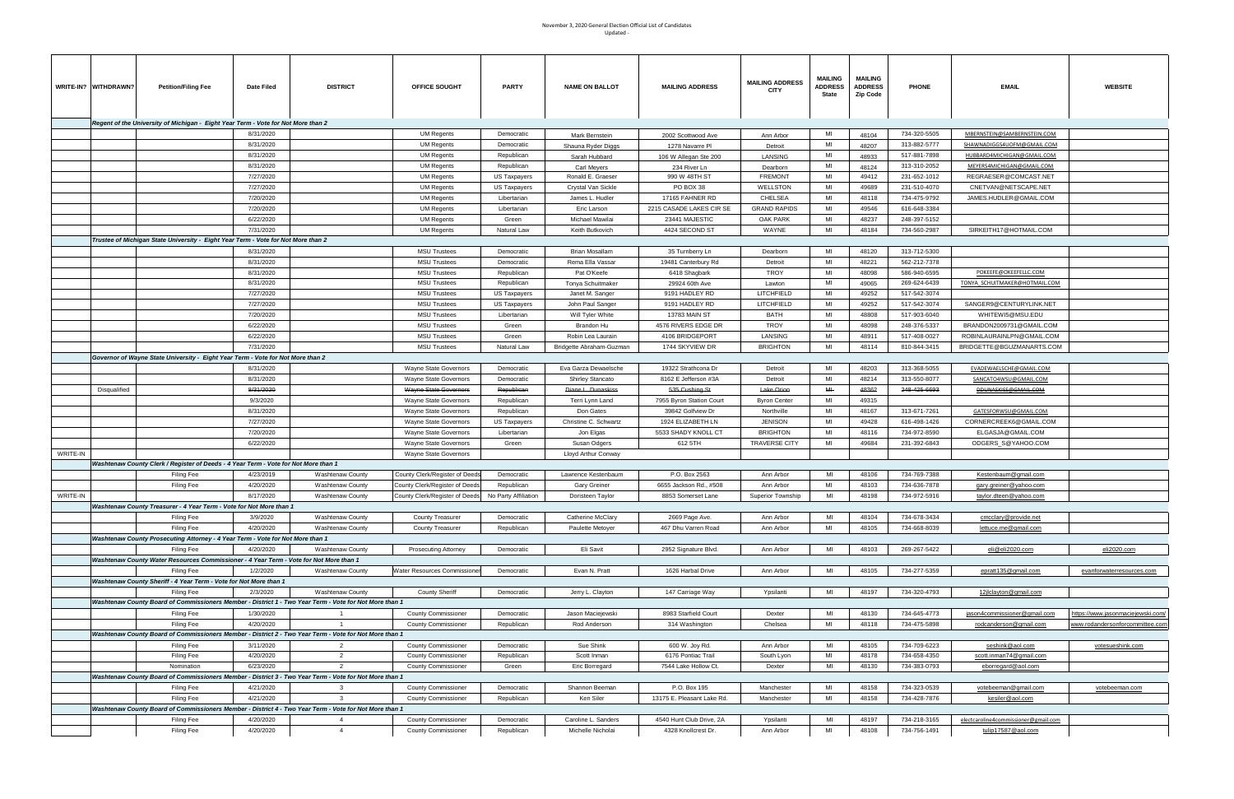## November 3, 2020 General Election Official List of Candidates Updated -

| WRITE-IN? WITHDRAWN? | <b>Petition/Filing Fee</b>                                                                             | Date Filed | <b>DISTRICT</b>         | OFFICE SOUGHT                      | <b>PARTY</b>         | <b>NAME ON BALLOT</b>    | <b>MAILING ADDRESS</b>     | <b>MAILING ADDRESS</b><br><b>CITY</b> | MAILING<br><b>ADDRESS</b><br>State | <b>MAILING</b><br><b>ADDRESS</b><br>Zip Code | <b>PHONE</b> | <b>EMAIL</b>                         | <b>WEBSITE</b>                    |
|----------------------|--------------------------------------------------------------------------------------------------------|------------|-------------------------|------------------------------------|----------------------|--------------------------|----------------------------|---------------------------------------|------------------------------------|----------------------------------------------|--------------|--------------------------------------|-----------------------------------|
|                      | Regent of the University of Michigan - Eight Year Term - Vote for Not More than 2                      |            |                         |                                    |                      |                          |                            |                                       |                                    |                                              |              |                                      |                                   |
|                      |                                                                                                        | 8/31/2020  |                         | <b>UM Regents</b>                  | Democratic           |                          |                            |                                       | MI                                 | 48104                                        | 734-320-5505 | MBERNSTEIN@SAMBERNSTEIN.COM          |                                   |
|                      |                                                                                                        | 8/31/2020  |                         |                                    | Democratic           | Mark Bernstein           | 2002 Scottwood Ave         | Ann Arbor                             | MI                                 |                                              | 313-882-5777 |                                      |                                   |
|                      |                                                                                                        | 8/31/2020  |                         | <b>UM Regents</b>                  |                      | Shauna Ryder Diggs       | 1278 Navarre PI            | Detroit                               | MI                                 | 48207                                        |              | SHAWNADIGGS4UOFM@GMAIL.COM           |                                   |
|                      |                                                                                                        |            |                         | <b>UM Regents</b>                  | Republican           | Sarah Hubbard            | 106 W Allegan Ste 200      | <b>LANSING</b>                        |                                    | 48933                                        | 517-881-7898 | HUBBARD4MICHIGAN@GMAIL.COM           |                                   |
|                      |                                                                                                        | 8/31/2020  |                         | UM Regents                         | Republican           | <b>Carl Meyers</b>       | 234 River Ln               | Dearborn                              | MI                                 | 48124                                        | 313-310-2052 | MEYERS4MICHIGAN@GMAIL.COM            |                                   |
|                      |                                                                                                        | 7/27/2020  |                         | <b>UM Regents</b>                  | US Taxpayers         | Ronald E. Graeser        | 990 W 48TH ST              | <b>FREMONT</b>                        | MI                                 | 49412                                        | 231-652-1012 | REGRAESER@COMCAST.NET                |                                   |
|                      |                                                                                                        | 7/27/2020  |                         | <b>UM Regents</b>                  | US Taxpayers         | Crystal Van Sickle       | PO BOX 38                  | WELLSTON                              | MI                                 | 49689                                        | 231-510-4070 | CNETVAN@NETSCAPE.NET                 |                                   |
|                      |                                                                                                        | 7/20/2020  |                         | <b>UM Regents</b>                  | Libertarian          | James L. Hudler          | 17165 FAHNER RD            | <b>CHELSEA</b>                        | MI                                 | 48118                                        | 734-475-9792 | JAMES.HUDLER@GMAIL.COM               |                                   |
|                      |                                                                                                        | 7/20/2020  |                         | <b>UM Regents</b>                  | Libertarian          | Eric Larson              | 2215 CASADE LAKES CIR SE   | <b>GRAND RAPIDS</b>                   | MI                                 | 49546                                        | 616-648-3384 |                                      |                                   |
|                      |                                                                                                        | 6/22/2020  |                         | <b>UM Regents</b>                  | Green                | Michael Mawilai          | 23441 MAJESTIC             | <b>OAK PARK</b>                       | MI                                 | 48237                                        | 248-397-5152 |                                      |                                   |
|                      |                                                                                                        | 7/31/2020  |                         | <b>UM Regents</b>                  | Natural Law          | Keith Butkovich          | 4424 SECOND ST             | WAYNE                                 | MI                                 | 48184                                        | 734-560-2987 | SIRKEITH17@HOTMAIL.COM               |                                   |
|                      | Trustee of Michigan State University - Eight Year Term - Vote for Not More than 2                      |            |                         |                                    |                      |                          |                            |                                       |                                    |                                              |              |                                      |                                   |
|                      |                                                                                                        | 8/31/2020  |                         | <b>MSU Trustees</b>                | Democratic           | Brian Mosallam           | 35 Turnberry Ln            | Dearborn                              | MI                                 | 48120                                        | 313-712-5300 |                                      |                                   |
|                      |                                                                                                        | 8/31/2020  |                         | <b>MSU Trustees</b>                | Democratic           | Rema Ella Vassar         | 19481 Canterbury Rd        | Detroit                               | MI                                 | 48221                                        | 562-212-7378 |                                      |                                   |
|                      |                                                                                                        | 8/31/2020  |                         | <b>MSU Trustees</b>                | Republican           | Pat O'Keefe              | 6418 Shagbark              | TROY                                  | MI                                 | 48098                                        | 586-940-6595 | POKEEFE@OKEEFELLC.COM                |                                   |
|                      |                                                                                                        | 8/31/2020  |                         | <b>MSU Trustees</b>                | Republican           | Tonya Schuitmaker        | 29924 60th Ave             | Lawton                                | MI                                 | 49065                                        | 269-624-6439 | TONYA SCHUITMAKER@HOTMAIL.COM        |                                   |
|                      |                                                                                                        | 7/27/2020  |                         | <b>MSU Trustees</b>                | US Taxpayers         | Janet M. Sanger          | 9191 HADLEY RD             | LITCHFIELD                            | MI                                 | 49252                                        | 517-542-3074 |                                      |                                   |
|                      |                                                                                                        | 7/27/2020  |                         | <b>MSU Trustees</b>                | US Taxpayers         | John Paul Sanger         | 9191 HADLEY RD             | LITCHFIELD                            | MI                                 | 49252                                        | 517-542-3074 | SANGER9@CENTURYLINK.NET              |                                   |
|                      |                                                                                                        | 7/20/2020  |                         | <b>MSU Trustees</b>                | Libertarian          | Will Tyler White         | 13783 MAIN ST              | BATH                                  | MI                                 | 48808                                        | 517-903-6040 | WHITEWI5@MSU.EDU                     |                                   |
|                      |                                                                                                        | 6/22/2020  |                         | <b>MSU Trustees</b>                | Green                | Brandon Hu               | 4576 RIVERS EDGE DR        | TROY                                  | MI                                 | 48098                                        | 248-376-5337 | BRANDON2009731@GMAIL.COM             |                                   |
|                      |                                                                                                        | 6/22/2020  |                         | <b>MSU Trustees</b>                | Green                | Robin Lea Laurain        | 4106 BRIDGEPORT            | LANSING                               | MI                                 | 48911                                        | 517-408-0027 | ROBINLAURAINLPN@GMAIL.COM            |                                   |
|                      |                                                                                                        | 7/31/2020  |                         | <b>MSU Trustees</b>                | Natural Law          | Bridgette Abraham-Guzman | 1744 SKYVIEW DR            | <b>BRIGHTON</b>                       | MI                                 | 48114                                        | 810-844-3415 | BRIDGETTE@BGUZMANARTS.COM            |                                   |
|                      | Governor of Wayne State University - Eight Year Term - Vote for Not More than 2                        |            |                         |                                    |                      |                          |                            |                                       |                                    |                                              |              |                                      |                                   |
|                      |                                                                                                        |            |                         |                                    |                      |                          |                            |                                       |                                    |                                              |              |                                      |                                   |
|                      |                                                                                                        | 8/31/2020  |                         | Wayne State Governors              | Democratic           | Eva Garza Dewaelsche     | 19322 Strathcona Dr        | Detroit                               | MI                                 | 48203                                        | 313-368-5055 | EVADEWAELSCHE@GMAIL.COM              |                                   |
|                      |                                                                                                        | 8/31/2020  |                         | Wayne State Governors              | Democratic           | <b>Shirley Stancato</b>  | 8162 E Jefferson #3A       | Detroit                               | MI                                 | 48214                                        | 313-550-8077 | SANCATO4WSU@GMAIL.COM                |                                   |
| Disqualified         |                                                                                                        | 8/31/2020  |                         | Wayne State Governors              | Republican           | Diane L. Dunaskiss       | 535 Cushing St             | <del>Lake Orion</del>                 | M⊩                                 | 48362                                        | 248-425-6693 | DDUNASKISS@GMAIL.COM                 |                                   |
|                      |                                                                                                        | 9/3/2020   |                         | Wayne State Governors              | Republican           | Terri Lynn Land          | 7955 Byron Station Court   | <b>Byron Center</b>                   | MI                                 | 49315                                        |              |                                      |                                   |
|                      |                                                                                                        | 8/31/2020  |                         | Wayne State Governors              | Republican           | Don Gates                | 39842 Golfview Dr          | Northville                            | MI                                 | 48167                                        | 313-671-7261 | GATESFORWSU@GMAIL.COM                |                                   |
|                      |                                                                                                        | 7/27/2020  |                         | Wayne State Governors              | US Taxpayers         | Christine C. Schwartz    | 1924 ELIZABETH LN          | <b>JENISON</b>                        | MI                                 | 49428                                        | 616-498-1426 | CORNERCREEK6@GMAIL.COM               |                                   |
|                      |                                                                                                        | 7/20/2020  |                         | Wayne State Governors              | Libertarian          | Jon Elgas                | 5533 SHADY KNOLL CT        | <b>BRIGHTON</b>                       | MI                                 | 48116                                        | 734-972-8590 | ELGASJA@GMAIL.COM                    |                                   |
|                      |                                                                                                        | 6/22/2020  |                         | Wayne State Governors              | Green                | Susan Odgers             | 612 5TH                    | <b>TRAVERSE CITY</b>                  | MI                                 | 49684                                        | 231-392-6843 | ODGERS_S@YAHOO.COM                   |                                   |
| WRITE-IN             |                                                                                                        |            |                         | Wayne State Governors              |                      | Lloyd Arthur Conway      |                            |                                       |                                    |                                              |              |                                      |                                   |
|                      | Washtenaw County Clerk / Register of Deeds - 4 Year Term - Vote for Not More than 1                    |            |                         |                                    |                      |                          |                            |                                       |                                    |                                              |              |                                      |                                   |
|                      | Filing Fee                                                                                             | 4/23/2019  | <b>Washtenaw County</b> | County Clerk/Register of Deeds     | Democratic           | Lawrence Kestenbaum      | P.O. Box 2563              | Ann Arbor                             | MI                                 | 48106                                        | 734-769-7388 | Kestenbaum@gmail.com                 |                                   |
|                      | <b>Filing Fee</b>                                                                                      | 4/20/2020  | <b>Washtenaw County</b> | County Clerk/Register of Deeds     | Republican           | Gary Greiner             | 6655 Jackson Rd., #508     | Ann Arbor                             | MI                                 | 48103                                        | 734-636-7878 | <u>gary.greiner@yahoo.com</u>        |                                   |
| WRITE-IN             |                                                                                                        | 8/17/2020  | <b>Washtenaw County</b> | County Clerk/Register of Deeds     | No Party Affiliation | Doristeen Taylor         | 8853 Somerset Lane         | Superior Township                     | MI                                 | 48198                                        | 734-972-5916 | taylor.dteen@yahoo.com               |                                   |
|                      | Washtenaw County Treasurer - 4 Year Term - Vote for Not More than 1                                    |            |                         |                                    |                      |                          |                            |                                       |                                    |                                              |              |                                      |                                   |
|                      | Filing Fee                                                                                             | 3/9/2020   | <b>Washtenaw County</b> | <b>County Treasurer</b>            | Democratic           | Catherine McClary        | 2669 Page Ave.             | Ann Arbor                             | MI                                 | 48104                                        | 734-678-3434 | cmcclary@provide.net                 |                                   |
|                      | <b>Filing Fee</b>                                                                                      | 4/20/2020  | Washtenaw County        | <b>County Treasurer</b>            | Republican           | Paulette Metoyer         | 467 Dhu Varren Road        | Ann Arbor                             | MI                                 | 48105                                        | 734-668-8039 | lettuce.me@gmail.com                 |                                   |
|                      | Washtenaw County Prosecuting Attorney - 4 Year Term - Vote for Not More than 1                         |            |                         |                                    |                      |                          |                            |                                       |                                    |                                              |              |                                      |                                   |
|                      | <b>Filing Fee</b>                                                                                      | 4/20/2020  | <b>Washtenaw County</b> | Prosecuting Attorney               | Democratic           | Eli Savit                | 2952 Signature Blvd.       | Ann Arbor                             | MI                                 | 48103                                        | 269-267-5422 | eli@eli2020.com                      | eli2020.com                       |
|                      | Washtenaw County Water Resources Commissioner - 4 Year Term - Vote for Not More than 1                 |            |                         |                                    |                      |                          |                            |                                       |                                    |                                              |              |                                      |                                   |
|                      | <b>Filing Fee</b>                                                                                      | 1/2/2020   | <b>Washtenaw County</b> | <b>Water Resources Commissione</b> | Democratic           | Evan N. Pratt            | 1626 Harbal Drive          | Ann Arbor                             | MI                                 | 48105                                        | 734-277-5359 |                                      |                                   |
|                      |                                                                                                        |            |                         |                                    |                      |                          |                            |                                       |                                    |                                              |              | epratt135@gmail.com                  | evanforwaterresources.com         |
|                      | Washtenaw County Sheriff - 4 Year Term - Vote for Not More than 1                                      |            |                         |                                    |                      |                          |                            |                                       |                                    |                                              |              |                                      |                                   |
|                      | Filing Fee                                                                                             | 2/3/2020   | <b>Washtenaw County</b> | <b>County Sheriff</b>              | Democratic           | Jerry L. Clayton         | 147 Carriage Way           | Ypsilanti                             | MI                                 | 48197                                        | 734-320-4793 | 12jlclayton@gmail.com                |                                   |
|                      | Washtenaw County Board of Commissioners Member - District 1 - Two Year Term - Vote for Not More than 1 |            |                         |                                    |                      |                          |                            |                                       |                                    |                                              |              |                                      |                                   |
|                      | <b>Filing Fee</b>                                                                                      | 1/30/2020  |                         | <b>County Commissioner</b>         | Democratic           | Jason Maciejewski        | 8983 Starfield Court       | Dexter                                | MI                                 | 48130                                        | 734-645-4773 | jason4commissioner@gmail.com         | https://www.jasonmaciejewski.com/ |
|                      | Filing Fee                                                                                             | 4/20/2020  | $\overline{1}$          | <b>County Commissioner</b>         | Republican           | Rod Anderson             | 314 Washington             | Chelsea                               | MI                                 | 48118                                        | 734-475-5898 | rodcanderson@gmail.com               | www.rodandersonforcommittee.com   |
|                      | Washtenaw County Board of Commissioners Member - District 2 - Two Year Term - Vote for Not More than 1 |            |                         |                                    |                      |                          |                            |                                       |                                    |                                              |              |                                      |                                   |
|                      | <b>Filing Fee</b>                                                                                      | 3/11/2020  | $\overline{2}$          | <b>County Commissioner</b>         | Democratic           | Sue Shink                | 600 W. Joy Rd.             | Ann Arbor                             | MI                                 | 48105                                        | 734-709-6223 | seshink@aol.com                      | votesueshink.com                  |
|                      | <b>Filing Fee</b>                                                                                      | 4/20/2020  | $\overline{2}$          | <b>County Commissioner</b>         | Republican           | Scott Inman              | 6176 Pontiac Trail         | South Lyon                            | MI                                 | 48178                                        | 734-658-4350 | scott.inman74@gmail.com              |                                   |
|                      | Nomination                                                                                             | 6/23/2020  | $\overline{2}$          | <b>County Commissioner</b>         | Green                | Eric Borregard           | 7544 Lake Hollow Ct.       | Dexter                                | MI                                 | 48130                                        | 734-383-0793 | eborregard@aol.com                   |                                   |
|                      | Washtenaw County Board of Commissioners Member - District 3 - Two Year Term - Vote for Not More than 1 |            |                         |                                    |                      |                          |                            |                                       |                                    |                                              |              |                                      |                                   |
|                      | <b>Filing Fee</b>                                                                                      | 4/21/2020  | $\mathbf{3}$            | <b>County Commissioner</b>         | Democratic           | Shannon Beeman           | P.O. Box 195               | Manchester                            | MI                                 | 48158                                        | 734-323-0539 | votebeeman@gmail.com                 | votebeeman.com                    |
|                      | <b>Filing Fee</b>                                                                                      | 4/21/2020  | $\mathbf{3}$            | <b>County Commissioner</b>         | Republican           | Ken Siler                | 13175 E. Pleasant Lake Rd. | Manchester                            | MI                                 | 48158                                        | 734-428-7876 | kesiler@aol.com                      |                                   |
|                      | Washtenaw County Board of Commissioners Member - District 4 - Two Year Term - Vote for Not More than 1 |            |                         |                                    |                      |                          |                            |                                       |                                    |                                              |              |                                      |                                   |
|                      | Filing Fee                                                                                             | 4/20/2020  | $\overline{4}$          | <b>County Commissioner</b>         | Democratic           | Caroline L. Sanders      | 4540 Hunt Club Drive, 2A   | Ypsilanti                             | MI                                 | 48197                                        | 734-218-3165 | electcaroline4commissioner@gmail.com |                                   |
|                      | Filing Fee                                                                                             | 4/20/2020  | $\overline{4}$          | <b>County Commissioner</b>         | Republican           | Michelle Nicholai        | 4328 Knollcrest Dr.        | Ann Arbor                             | MI                                 | 48108                                        | 734-756-1491 | tulip17587@aol.com                   |                                   |
|                      |                                                                                                        |            |                         |                                    |                      |                          |                            |                                       |                                    |                                              |              |                                      |                                   |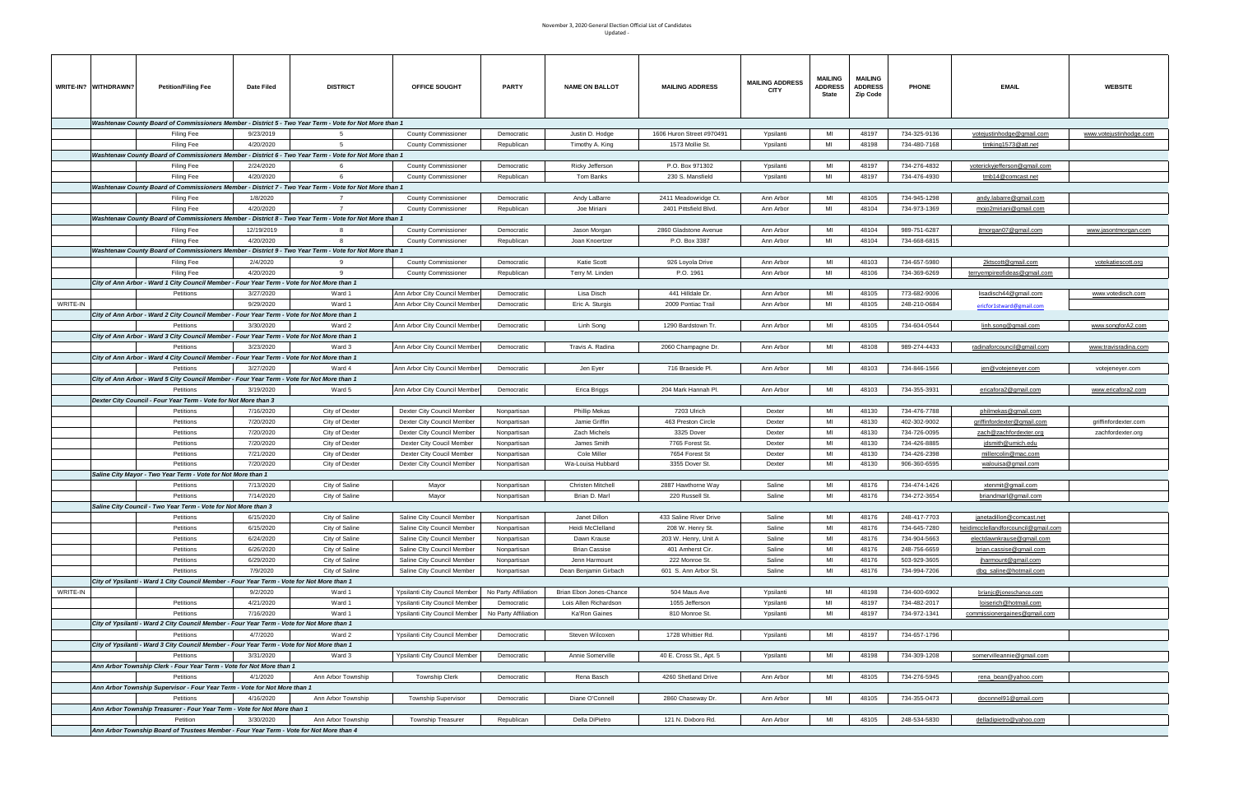| Updated - |  |
|-----------|--|
|-----------|--|

|                                                                                            | WRITE-IN? WITHDRAWN? | <b>Petition/Filing Fee</b>                                                                                           | Date Filed              | <b>DISTRICT</b>                  | <b>OFFICE SOUGHT</b>                                     | <b>PARTY</b>               | <b>NAME ON BALLOT</b>                 | <b>MAILING ADDRESS</b>                 | <b>MAILING ADDRESS</b><br><b>CITY</b> | <b>MAILING</b><br><b>ADDRESS</b><br><b>State</b> | <b>MAILING</b><br><b>ADDRESS</b><br>Zip Code | <b>PHONE</b>                 | <b>EMAIL</b>                                             | <b>WEBSITE</b>              |
|--------------------------------------------------------------------------------------------|----------------------|----------------------------------------------------------------------------------------------------------------------|-------------------------|----------------------------------|----------------------------------------------------------|----------------------------|---------------------------------------|----------------------------------------|---------------------------------------|--------------------------------------------------|----------------------------------------------|------------------------------|----------------------------------------------------------|-----------------------------|
|                                                                                            |                      | Washtenaw County Board of Commissioners Member - District 5 - Two Year Term - Vote for Not More than 1               |                         |                                  |                                                          |                            |                                       |                                        |                                       |                                                  |                                              |                              |                                                          |                             |
|                                                                                            |                      | Filing Fee                                                                                                           | 9/23/2019               | -5                               | <b>County Commissioner</b>                               | Democratic                 | Justin D. Hodge                       | 1606 Huron Street #970491              | Ypsilanti                             | MI                                               | 48197                                        | 734-325-9136                 | votejustinhodge@gmail.com                                | www.votejustinhodge.com     |
|                                                                                            |                      | Filing Fee                                                                                                           | 4/20/2020               | - 5                              | <b>County Commissioner</b>                               | Republican                 | Timothy A. King                       | 1573 Mollie St.                        | Ypsilanti                             | MI                                               | 48198                                        | 734-480-7168                 | timking1573@att.net                                      |                             |
|                                                                                            |                      | Washtenaw County Board of Commissioners Member - District 6 - Two Year Term - Vote for Not More than 1               |                         |                                  |                                                          |                            |                                       |                                        |                                       |                                                  |                                              |                              |                                                          |                             |
|                                                                                            |                      | <b>Filing Fee</b>                                                                                                    | 2/24/2020               |                                  | <b>County Commissioner</b>                               | Democratic                 | Ricky Jefferson                       | P.O. Box 971302                        | Ypsilanti                             | MI                                               | 48197                                        | 734-276-4832                 | voterickyjefferson@gmail.com                             |                             |
|                                                                                            |                      | <b>Filing Fee</b>                                                                                                    | 4/20/2020               |                                  | <b>County Commissioner</b>                               | Republican                 | Tom Banks                             | 230 S. Mansfield                       | Ypsilanti                             | MI                                               | 48197                                        | 734-476-4930                 | tmb14@comcast.net                                        |                             |
|                                                                                            |                      | Washtenaw County Board of Commissioners Member - District 7 - Two Year Term - Vote for Not More than 1               |                         |                                  |                                                          |                            |                                       |                                        |                                       |                                                  |                                              |                              |                                                          |                             |
|                                                                                            |                      | <b>Filing Fee</b>                                                                                                    | 1/8/2020                |                                  | <b>County Commissioner</b>                               | Democratic                 | Andy LaBarre                          | 2411 Meadowridge Ct.                   | Ann Arbor                             | MI                                               | 48105                                        | 734-945-1298                 | <u>andy.labarre@qmail.com</u>                            |                             |
|                                                                                            |                      | <b>Filing Fee</b>                                                                                                    | 4/20/2020               |                                  | <b>County Commissioner</b>                               | Republican                 | Joe Miriani                           | 2401 Pittsfield Blvd.                  | Ann Arbor                             | MI                                               | 48104                                        | 734-973-1369                 | mojo2miriani@gmail.com                                   |                             |
|                                                                                            |                      | Washtenaw County Board of Commissioners Member - District 8 - Two Year Term - Vote for Not More than 1               |                         |                                  |                                                          |                            |                                       |                                        |                                       | MI                                               |                                              |                              |                                                          |                             |
|                                                                                            |                      | <b>Filing Fee</b>                                                                                                    | 12/19/2019<br>4/20/2020 |                                  | <b>County Commissioner</b>                               | Democratic                 | Jason Morgan                          | 2860 Gladstone Avenue<br>P.O. Box 3387 | Ann Arbor<br>Ann Arbor                | MI                                               | 48104<br>48104                               | 989-751-6287<br>734-668-6815 | jtmorgan07@gmail.com                                     | www.jasontmorgan.com        |
|                                                                                            |                      | Filing Fee<br>Washtenaw County Board of Commissioners Member - District 9 - Two Year Term - Vote for Not More than 1 |                         |                                  | <b>County Commissioner</b>                               | Republican                 | Joan Knoertzer                        |                                        |                                       |                                                  |                                              |                              |                                                          |                             |
|                                                                                            |                      | <b>Filing Fee</b>                                                                                                    | 2/4/2020                |                                  | <b>County Commissioner</b>                               | Democratic                 | Katie Scott                           | 926 Loyola Drive                       | Ann Arbor                             | MI                                               | 48103                                        | 734-657-5980                 | 2ktscott@gmail.com                                       | votekatiescott.org          |
|                                                                                            |                      | Filing Fee                                                                                                           | 4/20/2020               | $\mathbf{q}$                     | <b>County Commissioner</b>                               | Republican                 | Terry M. Linden                       | P.O. 1961                              | Ann Arbor                             | MI                                               | 48106                                        | 734-369-6269                 | terryempireofideas@gmail.com                             |                             |
|                                                                                            |                      | City of Ann Arbor - Ward 1 City Council Member - Four Year Term - Vote for Not More than 1                           |                         |                                  |                                                          |                            |                                       |                                        |                                       |                                                  |                                              |                              |                                                          |                             |
|                                                                                            |                      | Petitions                                                                                                            | 3/27/2020               | Ward 1                           | Ann Arbor City Council Member                            | Democratic                 | Lisa Disch                            | 441 Hilldale Dr.                       | Ann Arbor                             | MI                                               | 48105                                        | 773-682-9006                 | lisadisch44@gmail.com                                    | www.votedisch.com           |
| WRITE-IN                                                                                   |                      |                                                                                                                      | 9/29/2020               | Ward 1                           | Ann Arbor City Council Member                            | Democratic                 | Eric A. Sturgis                       | 2009 Pontiac Trail                     | Ann Arbor                             | MI                                               | 48105                                        | 248-210-0684                 | ericfor1stward@gmail.com                                 |                             |
|                                                                                            |                      | City of Ann Arbor - Ward 2 City Council Member - Four Year Term - Vote for Not More than 1                           |                         |                                  |                                                          |                            |                                       |                                        |                                       |                                                  |                                              |                              |                                                          |                             |
|                                                                                            |                      | Petitions                                                                                                            | 3/30/2020               | Ward 2                           | Ann Arbor City Council Member                            | Democratio                 | Linh Song                             | 1290 Bardstown Tr.                     | Ann Arbor                             | MI                                               | 48105                                        | 734-604-0544                 | linh.song@gmail.com                                      | www.songforA2.com           |
|                                                                                            |                      | City of Ann Arbor - Ward 3 City Council Member - Four Year Term - Vote for Not More than 1                           |                         |                                  |                                                          |                            |                                       |                                        |                                       |                                                  |                                              |                              |                                                          |                             |
|                                                                                            |                      | Petitions                                                                                                            | 3/23/2020               | Ward 3                           | Ann Arbor City Council Member                            | Democratic                 | Travis A. Radina                      | 2060 Champagne Dr.                     | Ann Arbor                             | MI                                               | 48108                                        | 989-274-4433                 | radinaforcouncil@gmail.com                               | <u>www.travisradina.con</u> |
|                                                                                            |                      | City of Ann Arbor - Ward 4 City Council Member - Four Year Term - Vote for Not More than 1                           |                         |                                  |                                                          |                            |                                       |                                        |                                       |                                                  |                                              |                              |                                                          |                             |
|                                                                                            |                      | Petitions                                                                                                            | 3/27/2020               | Ward 4                           | Ann Arbor City Council Member                            | Democratic                 | Jen Eyer                              | 716 Braeside Pl.                       | Ann Arbor                             | MI                                               | 48103                                        | 734-846-1566                 | jen@votejeneyer.com                                      | votejeneyer.com             |
|                                                                                            |                      | City of Ann Arbor - Ward 5 City Council Member - Four Year Term - Vote for Not More than 1                           |                         |                                  |                                                          |                            |                                       |                                        |                                       |                                                  |                                              |                              |                                                          |                             |
|                                                                                            |                      | Petitions                                                                                                            | 3/19/2020               | Ward 5                           | Ann Arbor City Council Member                            | Democratic                 | Erica Briggs                          | 204 Mark Hannah Pl.                    | Ann Arbor                             | MI                                               | 48103                                        | 734-355-3931                 | ericafora2@gmail.com                                     | www.ericafora2.com          |
|                                                                                            |                      | Dexter City Council - Four Year Term - Vote for Not More than 3                                                      |                         |                                  |                                                          |                            |                                       | 7203 Ulrich                            |                                       | MI                                               |                                              |                              |                                                          |                             |
|                                                                                            |                      | Petitions<br>Petitions                                                                                               | 7/16/2020<br>7/20/2020  | City of Dexter<br>City of Dexter | Dexter City Council Member                               | Nonpartisan<br>Nonpartisan | <b>Phillip Mekas</b><br>Jamie Griffin | 463 Preston Circle                     | Dexter<br>Dexter                      | MI                                               | 48130<br>48130                               | 734-476-7788<br>402-302-9002 | <u>philmekas@qmail.com</u><br>griffinfordexter@gmail.com | griffinfordexter.com        |
|                                                                                            |                      | Petitions                                                                                                            | 7/20/2020               | City of Dexter                   | Dexter City Council Member<br>Dexter City Council Member | Nonpartisan                | Zach Michels                          | 3325 Dover                             | Dexter                                | MI                                               | 48130                                        | 734-726-0095                 | zach@zachfordexter.org                                   | zachfordexter.org           |
|                                                                                            |                      | Petitions                                                                                                            | 7/20/2020               | City of Dexter                   | Dexter City Coucil Member                                | Nonpartisan                | James Smith                           | 7765 Forest St.                        | Dexter                                | MI                                               | 48130                                        | 734-426-8885                 | jdsmith@umich.edu                                        |                             |
|                                                                                            |                      | Petitions                                                                                                            | 7/21/2020               | City of Dexter                   | Dexter City Coucil Member                                | Nonpartisan                | Cole Miller                           | 7654 Forest St                         | Dexter                                | MI                                               | 48130                                        | 734-426-2398                 | millercolin@mac.com                                      |                             |
|                                                                                            |                      | Petitions                                                                                                            | 7/20/2020               | City of Dexter                   | Dexter City Council Member                               | Nonpartisan                | Wa-Louisa Hubbard                     | 3355 Dover St.                         | Dexter                                | MI                                               | 48130                                        | 906-360-6595                 | walouisa@gmail.com                                       |                             |
|                                                                                            |                      | Saline City Mayor - Two Year Term - Vote for Not More than 1                                                         |                         |                                  |                                                          |                            |                                       |                                        |                                       |                                                  |                                              |                              |                                                          |                             |
|                                                                                            |                      | Petitions                                                                                                            | 7/13/2020               | City of Saline                   | Mayor                                                    | Nonpartisan                | <b>Christen Mitchell</b>              | 2887 Hawthorne Way                     | Saline                                | MI                                               | 48176                                        | 734-474-1426                 | xtenmit@gmail.com                                        |                             |
|                                                                                            |                      | Petitions                                                                                                            | 7/14/2020               | City of Saline                   | Mayor                                                    | Nonpartisan                | Brian D. Marl                         | 220 Russell St.                        | Saline                                | MI                                               | 48176                                        | 734-272-3654                 | briandmarl@gmail.com                                     |                             |
|                                                                                            |                      | Saline City Council - Two Year Term - Vote for Not More than 3                                                       |                         |                                  |                                                          |                            |                                       |                                        |                                       |                                                  |                                              |                              |                                                          |                             |
|                                                                                            |                      | Petitions                                                                                                            | 6/15/2020               | City of Saline                   | Saline City Council Member                               | Nonpartisan                | Janet Dillon                          | 433 Saline River Drive                 | Saline                                | MI                                               | 48176                                        | 248-417-7703                 | janetadillon@comcast.net                                 |                             |
|                                                                                            |                      | Petitions                                                                                                            | 6/15/2020               | City of Saline                   | Saline City Council Member                               | Nonpartisan                | Heidi McClelland                      | 208 W. Henry St.                       | Saline                                | MI                                               | 48176                                        | 734-645-7280                 | heidimcclellandforcouncil@gmail.com                      |                             |
|                                                                                            |                      | Petitions                                                                                                            | 6/24/2020               | City of Saline                   | Saline City Council Member                               | Nonpartisan                | Dawn Krause                           | 203 W. Henry, Unit A                   | Saline                                | MI                                               | 48176                                        | 734-904-5663                 | electdawnkrause@gmail.com                                |                             |
|                                                                                            |                      | Petitions                                                                                                            | 6/26/2020               | City of Saline                   | Saline Clty Council Member                               | Nonpartisan                | <b>Brian Cassise</b>                  | 401 Amherst Cir.                       | Saline                                | MI                                               | 48176                                        | 248-756-6659                 | brian.cassise@gmail.com                                  |                             |
|                                                                                            |                      | Petitions<br>Petitions                                                                                               | 6/29/2020<br>7/9/2020   | City of Saline                   | Saline City Council Member                               | Nonpartisan                | Jenn Harmount                         | 222 Monroe St.                         | Saline<br>Saline                      | MI<br>MI                                         | 48176<br>48176                               | 503-929-3605                 | iharmount@gmail.com                                      |                             |
|                                                                                            |                      | City of Ypsilanti - Ward 1 City Council Member - Four Year Term - Vote for Not More than 1                           |                         | City of Saline                   | Saline City Council Member                               | Nonpartisan                | Dean Benjamin Girbach                 | 601 S. Ann Arbor St.                   |                                       |                                                  |                                              | 734-994-7206                 | dbg_saline@hotmail.com                                   |                             |
| WRITE-IN                                                                                   |                      |                                                                                                                      | 9/2/2020                | Ward 1                           | Ypsilanti City Council Member                            | No Party Affiliation       | Brian Ebon Jones-Chance               | 504 Maus Ave                           | Ypsilanti                             | MI                                               | 48198                                        | 734-600-6902                 | brianjc@joneschance.com                                  |                             |
|                                                                                            |                      | Petitions                                                                                                            | 4/21/2020               | Ward 1                           | Ypsilanti City Council Member                            | Democratic                 | Lois Allen Richardson                 | 1055 Jefferson                         | Ypsilanti                             | MI                                               | 48197                                        | 734-482-2017                 | loiserich@hotmail.com                                    |                             |
|                                                                                            |                      | Petitions                                                                                                            | 7/16/2020               | Ward 1                           | Ypsilanti City Council Membe                             | No Party Affiliation       | Ka'Ron Gaines                         | 810 Monroe St.                         | Ypsilanti                             | MI                                               | 48197                                        | 734-972-1341                 | commissionergaines@gmail.com                             |                             |
|                                                                                            |                      | City of Ypsilanti - Ward 2 City Council Member - Four Year Term - Vote for Not More than 1                           |                         |                                  |                                                          |                            |                                       |                                        |                                       |                                                  |                                              |                              |                                                          |                             |
|                                                                                            |                      | Petitions                                                                                                            | 4/7/2020                | Ward 2                           | Ypsilanti City Council Member                            | Democratic                 | Steven Wilcoxen                       | 1728 Whittier Rd.                      | Ypsilanti                             | MI                                               | 48197                                        | 734-657-1796                 |                                                          |                             |
| City of Ypsilanti - Ward 3 City Council Member - Four Year Term - Vote for Not More than 1 |                      |                                                                                                                      |                         |                                  |                                                          |                            |                                       |                                        |                                       |                                                  |                                              |                              |                                                          |                             |
|                                                                                            |                      | Petitions                                                                                                            | 3/31/2020               | Ward 3                           | Ypsilanti City Council Member                            | Democratic                 | Annie Somerville                      | 40 E. Cross St., Apt. 5                | Ypsilanti                             | MI                                               | 48198                                        | 734-309-1208                 | somervilleannie@gmail.com                                |                             |
|                                                                                            |                      | Ann Arbor Township Clerk - Four Year Term - Vote for Not More than 1                                                 |                         |                                  |                                                          |                            |                                       |                                        |                                       |                                                  |                                              |                              |                                                          |                             |
|                                                                                            |                      | Petitions                                                                                                            | 4/1/2020                | Ann Arbor Township               | Township Clerk                                           | Democratic                 | Rena Basch                            | 4260 Shetland Drive                    | Ann Arbor                             | MI                                               | 48105                                        | 734-276-5945                 | rena bean@yahoo.com                                      |                             |
|                                                                                            |                      | Ann Arbor Township Supervisor - Four Year Term - Vote for Not More than 1                                            |                         |                                  |                                                          |                            |                                       |                                        |                                       |                                                  |                                              |                              |                                                          |                             |
|                                                                                            |                      | Petitions                                                                                                            | 4/16/2020               | Ann Arbor Township               | <b>Township Supervisor</b>                               | Democratic                 | Diane O'Connell                       | 2860 Chaseway Dr.                      | Ann Arbor                             | MI                                               | 48105                                        | 734-355-0473                 | doconnel91@gmail.com                                     |                             |
|                                                                                            |                      | Ann Arbor Township Treasurer - Four Year Term - Vote for Not More than 1                                             |                         |                                  |                                                          |                            |                                       |                                        |                                       |                                                  |                                              |                              |                                                          |                             |
|                                                                                            |                      | Petition<br>Ann Arbor Township Board of Trustees Member - Four Year Term - Vote for Not More than 4                  | 3/30/2020               | Ann Arbor Township               | <b>Township Treasurer</b>                                | Republican                 | Della DiPietro                        | 121 N. Dixboro Rd.                     | Ann Arbor                             | MI                                               | 48105                                        | 248-534-5830                 | delladipietro@yahoo.com                                  |                             |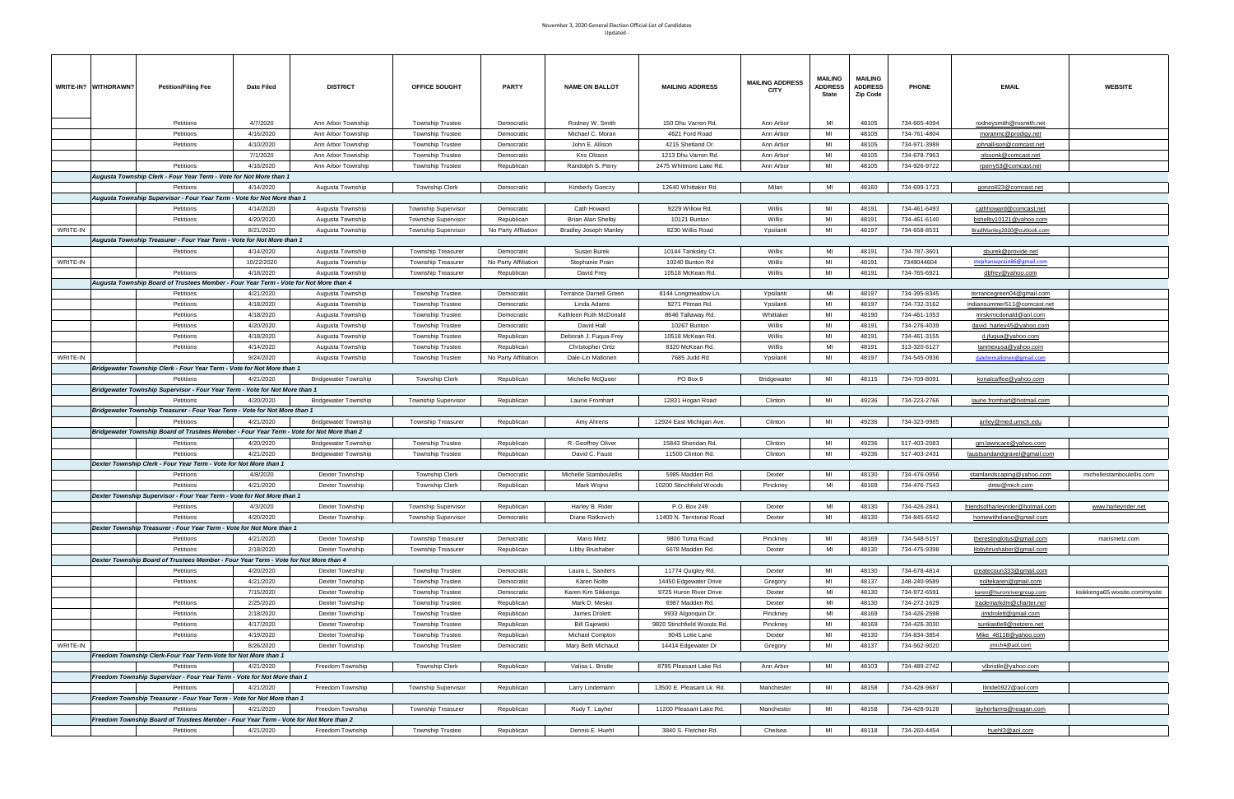|          | WRITE-IN? WITHDRAWN? | <b>Petition/Filing Fee</b>                                                                | Date Filed            | <b>DISTRICT</b>             | OFFICE SOUGHT              | <b>PARTY</b>             | <b>NAME ON BALLOT</b>              | <b>MAILING ADDRESS</b>                    | <b>MAILING ADDRESS</b><br><b>CITY</b> | <b>MAILING</b><br><b>ADDRESS</b><br>State | <b>MAILING</b><br><b>ADDRESS</b><br>Zip Code | <b>PHONE</b>                 | <b>EMAIL</b>                        | <b>WEBSITE</b>                 |
|----------|----------------------|-------------------------------------------------------------------------------------------|-----------------------|-----------------------------|----------------------------|--------------------------|------------------------------------|-------------------------------------------|---------------------------------------|-------------------------------------------|----------------------------------------------|------------------------------|-------------------------------------|--------------------------------|
|          |                      | Petitions                                                                                 | 4/7/2020              | Ann Arbor Township          | <b>Township Trustee</b>    | Democratic               | Rodney W. Smith                    | 150 Dhu Varren Rd.                        | Ann Arbor                             | MI                                        | 48105                                        | 734-665-4094                 | rodneysmith@rosmith.net             |                                |
|          |                      | Petitions                                                                                 | 4/16/2020             | Ann Arbor Township          | <b>Township Trustee</b>    | Democratic               | Michael C. Moran                   | 4621 Ford Road                            | Ann Arbor                             | MI                                        | 48105                                        | 734-761-4804                 | moranmc@prodigy.net                 |                                |
|          |                      | Petitions                                                                                 | 4/10/2020             | Ann Arbor Township          | <b>Township Trustee</b>    | Democratic               | John E. Allison                    | 4215 Shetland Dr.                         | Ann Arbor                             | MI                                        | 48105                                        | 734-971-3989                 | johnallison@comcast.net             |                                |
|          |                      |                                                                                           | 7/1/2020              | Ann Arbor Township          | <b>Township Trustee</b>    | Democratic               | Kris Olsson                        | 1213 Dhu Varren Rd.                       | Ann Arbor                             | MI                                        | 48105                                        | 734-678-7963                 | olssonk@comcast.net                 |                                |
|          |                      | Petitions                                                                                 | 4/16/2020             | Ann Arbor Township          | <b>Township Trustee</b>    | Republican               | Randolph S. Perry                  | 2475 Whitmore Lake Rd.                    | Ann Arbor                             | MI                                        | 48105                                        | 734-926-9722                 | rperry53@comcast.net                |                                |
|          |                      | Augusta Township Clerk - Four Year Term - Vote for Not More than 1                        |                       |                             |                            |                          |                                    |                                           |                                       | MI                                        |                                              |                              |                                     |                                |
|          |                      | Petitions<br>Augusta Township Supervisor - Four Year Term - Vote for Not More than 1      | 4/14/2020             | Augusta Township            | <b>Township Clerk</b>      | Democratic               | Kimberly Gonczy                    | 12640 Whittaker Rd.                       | Milan                                 |                                           | 48160                                        | 734-699-1723                 | gonzo823@comcast.net                |                                |
|          |                      | Petitions                                                                                 | 4/14/2020             | Augusta Township            | <b>Township Supervisor</b> | Democratic               | Cath Howard                        | 9229 Willow Rd.                           | Willis                                | MI                                        | 48191                                        | 734-461-6493                 | cathhoward@comcast.net              |                                |
|          |                      | Petitions                                                                                 | 4/20/2020             | Augusta Township            | <b>Township Supervisor</b> | Republican               | Brian Alan Shelby                  | 10121 Bunton                              | Willis                                | MI                                        | 48191                                        | 734-461-6140                 | bshelby10121@yahoo.com              |                                |
| WRITE-IN |                      |                                                                                           | 8/21/2020             | Augusta Township            | <b>Township Supervisor</b> | No Party Affliation      | <b>Bradley Joseph Manley</b>       | 8230 Willis Road                          | Ypsilanti                             | MI                                        | 48197                                        | 734-658-8531                 | BradManley2020@outlook.com          |                                |
|          |                      | Augusta Township Treasurer - Four Year Term - Vote for Not More than 1                    |                       |                             |                            |                          |                                    |                                           |                                       |                                           |                                              |                              |                                     |                                |
|          |                      | Petitions                                                                                 | 4/14/2020             | Augusta Township            | <b>Township Treasurer</b>  | Democratic               | Susan Burek                        | 10144 Tanksley Ct.                        | Willis                                | MI                                        | 48191                                        | 734-787-3601                 | sburek@provide.net                  |                                |
| WRITE-IN |                      |                                                                                           | 10/22/2020            | Augusta Township            | <b>Township Treasurer</b>  | No Party Affiliation     | Stephanie Prain                    | 10240 Bunton Rd                           | Willis                                | MI                                        | 48191                                        | 7349044604                   | stephanieprain86@gmail.com          |                                |
|          |                      | Petitions                                                                                 | 4/18/2020             | Augusta Township            | Township Treasurer         | Republican               | David Frey                         | 10518 McKean Rd.                          | Willis                                | MI                                        | 48191                                        | 734-765-6921                 | dbfrey@yahoo.com                    |                                |
|          |                      | Augusta Township Board of Trustees Member - Four Year Term - Vote for Not More than 4     |                       |                             |                            |                          |                                    |                                           |                                       |                                           |                                              |                              |                                     |                                |
|          |                      | Petitions                                                                                 | 4/21/2020             | Augusta Township            | <b>Township Trustee</b>    | Democratic               | <b>Terrance Darnell Green</b>      | 8144 Longmeadow Ln.                       | Ypsilanti                             | MI                                        | 48197                                        | 734-395-8345                 | terrancegreen04@gmail.com           |                                |
|          |                      | Petitions                                                                                 | 4/18/2020             | Augusta Township            | <b>Township Trustee</b>    | Democratic               | Linda Adams                        | 9271 Pitman Rd.                           | Ypsilanti                             | MI                                        | 48197                                        | 734-732-3162                 | indiansummer511@comcast.net         |                                |
|          |                      | Petitions                                                                                 | 4/18/2020             | Augusta Township            | <b>Township Trustee</b>    | Democratic               | Kathleen Ruth McDonald             | 8646 Tallaway Rd.                         | Whittaker                             | MI                                        | 48190                                        | 734-461-1053                 | mrskrmcdonald@aol.com               |                                |
|          |                      | Petitions                                                                                 | 4/20/2020             | Augusta Township            | <b>Township Trustee</b>    | Democratic               | David Hall                         | 10267 Bunton                              | Willis                                | MI                                        | 48191                                        | 734-276-4039                 | david harley45@yahoo.com            |                                |
|          |                      | Petitions                                                                                 | 4/18/2020             | Augusta Township            | <b>Township Trustee</b>    | Republican               | Deborah J. Fuqua-Frey              | 10518 McKean Rd.                          | Willis                                | MI                                        | 48191                                        | 734-461-3155                 | d.jfuqua@yahoo.com                  |                                |
|          |                      | Petitions                                                                                 | 4/14/2020             | Augusta Township            | <b>Township Trustee</b>    | Republican               | <b>Christopher Ortiz</b>           | 8320 McKean Rd.                           | Willis                                | MI                                        | 48191                                        | 313-320-6127                 | tanmexusa@yahoo.com                 |                                |
| WRITE-IN |                      |                                                                                           | 9/24/2020             | Augusta Township            | <b>Township Trustee</b>    | No Party Affiliation     | Dale-Lin Mallonen                  | 7685 Judd Rd                              | Ypsilanti                             | MI                                        | 48197                                        | 734-545-0936                 | dalelinmallonen@gmail.com           |                                |
|          |                      | Bridgewater Township Clerk - Four Year Term - Vote for Not More than 1                    |                       |                             |                            |                          |                                    |                                           |                                       |                                           |                                              |                              |                                     |                                |
|          |                      | Petitions                                                                                 | 4/21/2020             | <b>Bridgewater Township</b> | <b>Township Clerk</b>      | Republican               | Michelle McQueer                   | PO Box 8                                  | Bridgewater                           | MI                                        | 48115                                        | 734-709-8091                 | konalcaffee@yahoo.com               |                                |
|          |                      | Bridgewater Township Supervisor - Four Year Term - Vote for Not More than 1               |                       |                             |                            |                          |                                    |                                           |                                       |                                           |                                              |                              |                                     |                                |
|          |                      | Petitions                                                                                 | 4/20/2020             | <b>Bridgewater Township</b> | <b>Township Supervisor</b> | Republican               | Laurie Fromhart                    | 12831 Hogan Road                          | Clinton                               | MI                                        | 49236                                        | 734-223-2766                 | laurie.fromhart@hotmail.com         |                                |
|          |                      | Bridgewater Township Treasurer - Four Year Term - Vote for Not More than 1                |                       |                             |                            |                          |                                    |                                           |                                       |                                           |                                              |                              |                                     |                                |
|          |                      | Petitions                                                                                 | 4/21/2020             | <b>Bridgewater Township</b> | <b>Township Treasurer</b>  | Republican               | Amy Ahrens                         | 12924 East Michigan Ave.                  | Clinton                               | MI                                        | 49236                                        | 734-323-9985                 | ariley@med.umich.edu                |                                |
|          |                      | Bridgewater Township Board of Trustees Member - Four Year Term - Vote for Not More than 2 |                       |                             |                            |                          |                                    |                                           |                                       |                                           |                                              |                              |                                     |                                |
|          |                      | Petitions                                                                                 | 4/20/2020             | <b>Bridgewater Township</b> | <b>Township Trustee</b>    | Republican               | R. Geoffrey Oliver                 | 15843 Sheridan Rd.                        | Clinton                               | MI                                        | 49236                                        | 517-403-2083                 | gm.lawncare@yahoo.com               |                                |
|          |                      | Petitions                                                                                 | 4/21/2020             | <b>Bridgewater Township</b> | <b>Township Trustee</b>    | Republican               | David C. Faust                     | 11500 Clinton Rd.                         | Clinton                               | MI                                        | 49236                                        | 517-403-2431                 | <u>faustsandandgravel@gmail.com</u> |                                |
|          |                      | Dexter Township Clerk - Four Year Term - Vote for Not More than 1                         |                       |                             |                            |                          |                                    |                                           |                                       |                                           |                                              |                              |                                     |                                |
|          |                      | Petitions                                                                                 | 4/8/2020              | Dexter Township             | <b>Township Clerk</b>      | Democratic               | Michelle Stamboulellis             | 5985 Madden Rd.                           | Dexter                                | MI                                        | 48130                                        | 734-476-0956                 | stamlandscaping@yahoo.com           | michellestamboulellis.com      |
|          |                      | Petitions                                                                                 | 4/21/2020             | Dexter Township             | <b>Township Clerk</b>      | Republican               | Mark Wojno                         | 10200 Stinchfield Woods                   | Pinckney                              | MI                                        | 48169                                        | 734-476-7543                 | dmsi@mich.com                       |                                |
|          |                      | Dexter Township Supervisor - Four Year Term - Vote for Not More than 1                    |                       | Dexter Township             |                            |                          |                                    |                                           | Dexter                                | MI                                        |                                              |                              | friendsofharleyrider@hotmail.com    |                                |
|          |                      | Petitions<br>Petitions                                                                    | 4/3/2020<br>4/20/2020 | Dexter Township             | <b>Township Supervisor</b> | Republican<br>Democratic | Harley B. Rider<br>Diane Ratkovich | P.O. Box 249<br>11400 N. Territorial Road | Dexter                                | MI                                        | 48130<br>48130                               | 734-426-2841<br>734-845-6542 | homewithdiane@gmail.com             | www.harleyrider.net            |
|          |                      | Dexter Township Treasurer - Four Year Term - Vote for Not More than 1                     |                       |                             | <b>Township Supervisor</b> |                          |                                    |                                           |                                       |                                           |                                              |                              |                                     |                                |
|          |                      | Petitions                                                                                 | 4/21/2020             | Dexter Township             | <b>Township Treasurer</b>  | Democratic               | Maris Metz                         | 9800 Toma Road                            | Pinckney                              | MI                                        | 48169                                        | 734-548-5157                 | therestinglotus@gmail.com           | marismetz.com                  |
|          |                      | Petitions                                                                                 | 2/18/2020             | Dexter Township             | <b>Township Treasurer</b>  | Republican               | Libby Brushaber                    | 6678 Madden Rd.                           | Dexter                                | MI                                        | 48130                                        | 734-475-9398                 | libbybrushaber@gmail.com            |                                |
|          |                      | Dexter Township Board of Trustees Member - Four Year Term - Vote for Not More than 4      |                       |                             |                            |                          |                                    |                                           |                                       |                                           |                                              |                              |                                     |                                |
|          |                      | Petitions                                                                                 | 4/20/2020             | Dexter Township             | <b>Township Trustee</b>    | Democratic               | Laura L. Sanders                   | 11774 Quigley Rd.                         | Dexter                                | MI                                        | 48130                                        | 734-678-4814                 | createcoun333@gmail.com             |                                |
|          |                      | Petitions                                                                                 | 4/21/2020             | Dexter Township             | <b>Township Trustee</b>    | Democratic               | Karen Nolte                        | 14450 Edgewater Drive                     | Gregory                               | MI                                        | 48137                                        | 248-240-9589                 | noltekaren@gmail.com                |                                |
|          |                      |                                                                                           | 7/15/2020             | Dexter Township             | <b>Township Trustee</b>    | Democratic               | Karen Kim Sikkenga                 | 9725 Huron River Drive                    | Dexter                                | MI                                        | 48130                                        | 734-972-6591                 | karen@huronrivergroup.com           | ksikkenga65.wixsite.com/mysite |
|          |                      | Petitions                                                                                 | 2/25/2020             | Dexter Township             | <b>Township Trustee</b>    | Republican               | Mark D. Mesko                      | 6987 Madden Rd.                           | Dexter                                | MI                                        | 48130                                        | 734-272-1629                 | trademarkdm@charter.net             |                                |
|          |                      | Petitions                                                                                 | 2/18/2020             | Dexter Township             | <b>Township Trustee</b>    | Republican               | James Drolett                      | 9933 Algonquin Dr.                        | Pinckney                              | MI                                        | 48169                                        | 734-426-2598                 | jimdrolett@gmail.com                |                                |
|          |                      | Petitions                                                                                 | 4/17/2020             | Dexter Township             | Township Trustee           | Republican               | <b>Bill Gajewski</b>               | 9820 Stinchfield Woods Rd.                | Pinckney                              | MI                                        | 48169                                        | 734-426-3030                 | sunkastle8@netzero.net              |                                |
|          |                      | Petitions                                                                                 | 4/19/2020             | Dexter Township             | <b>Township Trustee</b>    | Republican               | Michael Compton                    | 9045 Lotie Lane                           | Dexter                                | MI                                        | 48130                                        | 734-834-3854                 | Mike_48118@yahoo.com                |                                |
| WRITE-IN |                      |                                                                                           | 8/26/2020             | Dexter Township             | <b>Township Trustee</b>    | Democratic               | Mary Beth Michaud                  | 14414 Edgewater Dr                        | Gregory                               | MI                                        | 48137                                        | 734-562-9020                 | jmich4@aol.com                      |                                |
|          |                      | Freedom Township Clerk-Four Year Term-Vote for Not More than 1                            |                       |                             |                            |                          |                                    |                                           |                                       |                                           |                                              |                              |                                     |                                |
|          |                      | Petitions                                                                                 | 4/21/2020             | Freedom Township            | <b>Township Clerk</b>      | Republican               | Valisa L. Bristle                  | 8795 Pleasant Lake Rd.                    | Ann Arbor                             | MI                                        | 48103                                        | 734-489-2742                 | vlbristle@yahoo.com                 |                                |
|          |                      | Freedom Township Supervisor - Four Year Term - Vote for Not More than 1                   |                       |                             |                            |                          |                                    |                                           |                                       |                                           |                                              |                              |                                     |                                |
|          |                      | Petitions                                                                                 | 4/21/2020             | Freedom Township            | <b>Township Supervisor</b> | Republican               | Larry Lindemann                    | 13500 E. Pleasant Lk. Rd.                 | Manchester                            | MI                                        | 48158                                        | 734-428-9687                 | llinde0922@aol.com                  |                                |
|          |                      | Freedom Township Treasurer - Four Year Term - Vote for Not More than 1                    |                       |                             |                            |                          |                                    |                                           |                                       |                                           |                                              |                              |                                     |                                |
|          |                      | Petitions                                                                                 | 4/21/2020             | Freedom Township            | Township Treasurer         | Republican               | Rudy T. Layher                     | 11200 Pleasant Lake Rd.                   | Manchester                            | MI                                        | 48158                                        | 734-428-9128                 | layherfarms@reagan.com              |                                |
|          |                      | Freedom Township Board of Trustees Member - Four Year Term - Vote for Not More than 2     |                       |                             |                            |                          |                                    |                                           |                                       |                                           |                                              |                              |                                     |                                |
|          |                      | Petitions                                                                                 | 4/21/2020             | Freedom Township            | <b>Township Trustee</b>    | Republican               | Dennis E. Huehl                    | 3840 S. Fletcher Rd.                      | Chelsea                               | MI                                        | 48118                                        | 734-260-4454                 | huehl3@aol.com                      |                                |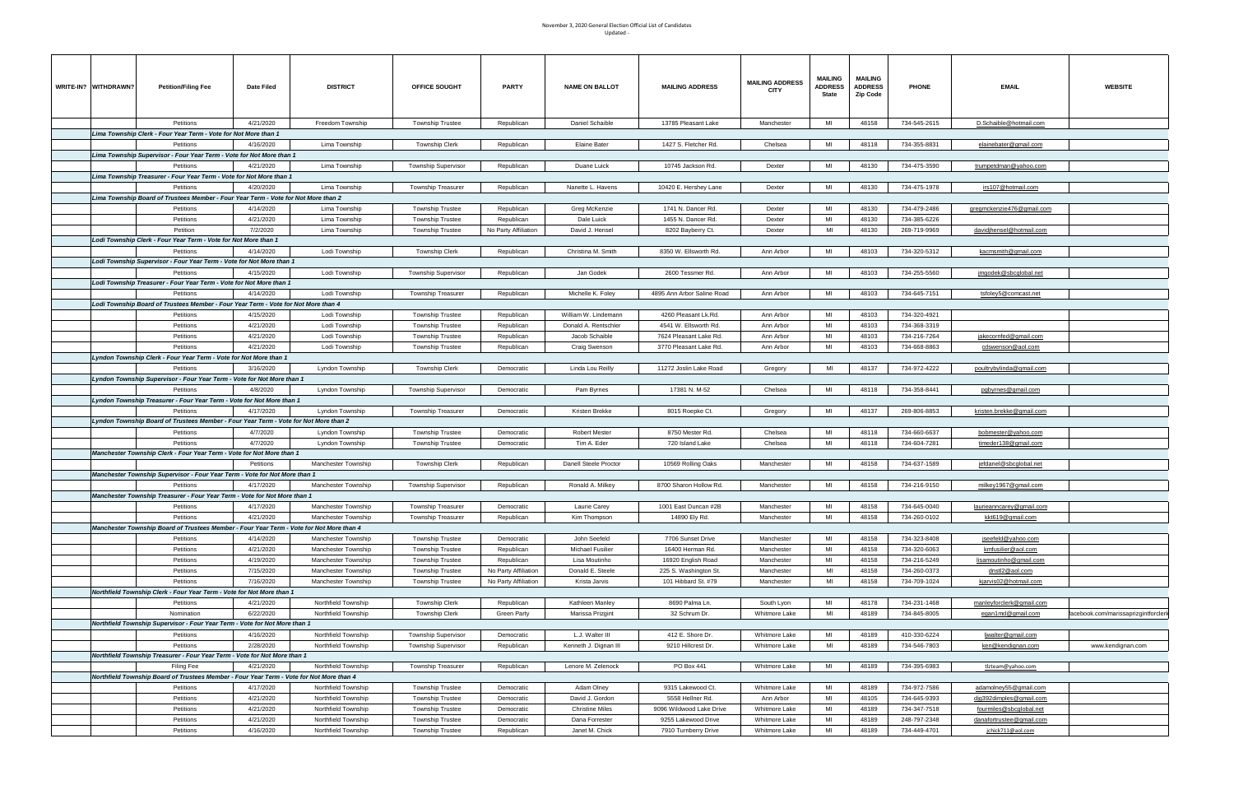| WRITE-IN? WITHDRAWN? | <b>Petition/Filing Fee</b>                                                                        | Date Filed             | <b>DISTRICT</b>                            | OFFICE SOUGHT                                      | <b>PARTY</b>                                 | <b>NAME ON BALLOT</b>             | <b>MAILING ADDRESS</b>                       | <b>MAILING ADDRESS</b><br>CITY | MAILING<br><b>ADDRESS</b><br>State | <b>MAILING</b><br><b>ADDRESS</b><br>Zip Code | <b>PHONE</b>                 | <b>EMAIL</b>                    | <b>WEBSITE</b>                       |
|----------------------|---------------------------------------------------------------------------------------------------|------------------------|--------------------------------------------|----------------------------------------------------|----------------------------------------------|-----------------------------------|----------------------------------------------|--------------------------------|------------------------------------|----------------------------------------------|------------------------------|---------------------------------|--------------------------------------|
|                      | Petitions                                                                                         | 4/21/2020              | Freedom Township                           | <b>Township Trustee</b>                            | Republican                                   | Daniel Schaible                   | 13785 Pleasant Lake                          | Manchester                     | MI                                 | 48158                                        | 734-545-2615                 | D.Schaible@hotmail.com          |                                      |
|                      | Lima Township Clerk - Four Year Term - Vote for Not More than 1                                   |                        |                                            |                                                    |                                              |                                   |                                              |                                |                                    |                                              |                              |                                 |                                      |
|                      | Petitions                                                                                         | 4/16/2020              | Lima Township                              | <b>Township Clerk</b>                              | Republican                                   | <b>Elaine Bater</b>               | 1427 S. Fletcher Rd.                         | Chelsea                        | MI                                 | 48118                                        | 734-355-8831                 | elainebater@gmail.com           |                                      |
|                      | Lima Township Supervisor - Four Year Term - Vote for Not More than 1                              |                        |                                            |                                                    |                                              |                                   |                                              |                                |                                    |                                              |                              |                                 |                                      |
|                      | Petitions                                                                                         | 4/21/2020              | Lima Township                              | <b>Township Supervisor</b>                         | Republican                                   | Duane Luick                       | 10745 Jackson Rd.                            | Dexter                         | MI                                 | 48130                                        | 734-475-3590                 | trumpetdman@yahoo.com           |                                      |
|                      | Lima Township Treasurer - Four Year Term - Vote for Not More than 1                               |                        |                                            |                                                    |                                              |                                   |                                              |                                |                                    |                                              |                              |                                 |                                      |
|                      | Petitions                                                                                         | 4/20/2020              | Lima Township                              | <b>Township Treasurer</b>                          | Republican                                   | Nanette L. Havens                 | 10420 E. Hershey Lane                        | Dexter                         | MI                                 | 48130                                        | 734-475-1978                 | irs107@hotmail.com              |                                      |
|                      | Lima Township Board of Trustees Member - Four Year Term - Vote for Not More than 2                |                        |                                            |                                                    |                                              |                                   |                                              |                                |                                    |                                              |                              |                                 |                                      |
|                      | Petitions                                                                                         | 4/14/2020              | Lima Township                              | <b>Township Trustee</b>                            | Republican                                   | Greg McKenzie                     | 1741 N. Dancer Rd.                           | Dexter                         | MI                                 | 48130                                        | 734-479-2486                 | gregmckenzie476@gmail.com       |                                      |
|                      | Petitions                                                                                         | 4/21/2020              | Lima Township                              | <b>Township Trustee</b>                            | Republican                                   | Dale Luick                        | 1455 N. Dancer Rd.                           | Dexter                         | MI<br>MI                           | 48130                                        | 734-385-6226                 |                                 |                                      |
|                      | Petition<br>Lodi Township Clerk - Four Year Term - Vote for Not More than 1                       | 7/2/2020               | Lima Township                              | <b>Township Trustee</b>                            | No Party Affiliation                         | David J. Hensel                   | 8202 Bayberry Ct.                            | Dexter                         |                                    | 48130                                        | 269-719-9969                 | davidjhensel@hotmail.com        |                                      |
|                      | Petitions                                                                                         | 4/14/2020              | Lodi Township                              | <b>Township Clerk</b>                              | Republican                                   | Christina M. Smith                | 8350 W. Ellsworth Rd.                        | Ann Arbor                      | MI                                 | 48103                                        | 734-320-5312                 | kacmsmith@gmail.com             |                                      |
|                      | Lodi Township Supervisor - Four Year Term - Vote for Not More than 1                              |                        |                                            |                                                    |                                              |                                   |                                              |                                |                                    |                                              |                              |                                 |                                      |
|                      | Petitions                                                                                         | 4/15/2020              | Lodi Township                              | <b>Township Supervisor</b>                         | Republican                                   | Jan Godek                         | 2600 Tessmer Rd.                             | Ann Arbor                      | MI                                 | 48103                                        | 734-255-5560                 | <u>jmgodek@sbcglobal.net</u>    |                                      |
|                      | Lodi Township Treasurer - Four Year Term - Vote for Not More than 1                               |                        |                                            |                                                    |                                              |                                   |                                              |                                |                                    |                                              |                              |                                 |                                      |
|                      | Petitions                                                                                         | 4/14/2020              | Lodi Township                              | <b>Township Treasurer</b>                          | Republican                                   | Michelle K. Foley                 | 4895 Ann Arbor Saline Road                   | Ann Arbor                      | MI                                 | 48103                                        | 734-645-7151                 | tsfoley5@comcast.net            |                                      |
|                      | Lodi Township Board of Trustees Member - Four Year Term - Vote for Not More than 4                |                        |                                            |                                                    |                                              |                                   |                                              |                                |                                    |                                              |                              |                                 |                                      |
|                      | Petitions                                                                                         | 4/15/2020              | Lodi Township                              | <b>Township Trustee</b>                            | Republican                                   | William W. Lindemann              | 4260 Pleasant Lk.Rd.                         | Ann Arbor                      | MI                                 | 48103                                        | 734-320-4921                 |                                 |                                      |
|                      | Petitions                                                                                         | 4/21/2020              | Lodi Township                              | <b>Township Trustee</b>                            | Republican                                   | Donald A. Rentschler              | 4541 W. Ellsworth Rd.                        | Ann Arbor                      | MI                                 | 48103                                        | 734-368-3319                 |                                 |                                      |
|                      | Petitions                                                                                         | 4/21/2020              | Lodi Township                              | <b>Township Trustee</b>                            | Republican                                   | Jacob Schaible                    | 7624 Pleasant Lake Rd.                       | Ann Arbor                      | MI                                 | 48103                                        | 734-216-7264                 | jakecornfed@gmail.com           |                                      |
|                      | Petitions                                                                                         | 4/21/2020              | Lodi Township                              | <b>Township Trustee</b>                            | Republican                                   | Craig Swenson                     | 3770 Pleasant Lake Rd.                       | Ann Arbor                      | MI                                 | 48103                                        | 734-668-8863                 | cdswenson@aol.com               |                                      |
|                      | Lyndon Township Clerk - Four Year Term - Vote for Not More than 1                                 |                        |                                            |                                                    |                                              |                                   |                                              |                                |                                    |                                              |                              |                                 |                                      |
|                      | Petitions                                                                                         | 3/16/2020              | Lyndon Township                            | Township Clerk                                     | Democratic                                   | Linda Lou Reilly                  | 11272 Joslin Lake Road                       | Gregory                        | MI                                 | 48137                                        | 734-972-4222                 | poultrybylinda@gmail.com        |                                      |
|                      | Lyndon Township Supervisor - Four Year Term - Vote for Not More than 1                            |                        |                                            |                                                    |                                              |                                   |                                              |                                |                                    |                                              |                              |                                 |                                      |
|                      | Petitions                                                                                         | 4/8/2020               | Lyndon Township                            | <b>Township Supervisor</b>                         | Democratic                                   | Pam Byrnes                        | 17381 N. M-52                                | Chelsea                        | MI                                 | 48118                                        | 734-358-8441                 | pqbyrnes@qmail.com              |                                      |
|                      | Lyndon Township Treasurer - Four Year Term - Vote for Not More than 1                             |                        |                                            |                                                    |                                              |                                   |                                              |                                |                                    |                                              |                              |                                 |                                      |
|                      | Petitions<br>Lyndon Township Board of Trustees Member - Four Year Term - Vote for Not More than 2 | 4/17/2020              | Lyndon Township                            | <b>Township Treasurer</b>                          | Democratic                                   | Kristen Brekke                    | 8015 Roepke Ct.                              | Gregory                        | MI                                 | 48137                                        | 269-806-8853                 | <u>kristen.brekke@gmail.com</u> |                                      |
|                      | Petitions                                                                                         | 4/7/2020               | Lyndon Township                            | <b>Township Trustee</b>                            | Democratic                                   | <b>Robert Mester</b>              | 8750 Mester Rd.                              | Chelsea                        | MI                                 | 48118                                        | 734-660-6637                 | bobmester@yahoo.com             |                                      |
|                      | Petitions                                                                                         | 4/7/2020               | Lyndon Township                            | <b>Township Trustee</b>                            | Democratic                                   | Tim A. Eder                       | 720 Island Lake                              | Chelsea                        | MI                                 | 48118                                        | 734-604-7281                 | timeder138@gmail.com            |                                      |
|                      | Manchester Township Clerk - Four Year Term - Vote for Not More than 1                             |                        |                                            |                                                    |                                              |                                   |                                              |                                |                                    |                                              |                              |                                 |                                      |
|                      |                                                                                                   | Petitions              | Manchester Township                        | Township Clerk                                     | Republican                                   | Danell Steele Proctor             | 10569 Rolling Oaks                           | Manchester                     | MI                                 | 48158                                        | 734-637-1589                 | jefdanel@sbcqlobal.net          |                                      |
|                      | Manchester Township Supervisor - Four Year Term - Vote for Not More than 1                        |                        |                                            |                                                    |                                              |                                   |                                              |                                |                                    |                                              |                              |                                 |                                      |
|                      | Petitions                                                                                         | 4/17/2020              | Manchester Township                        | Township Supervisor                                | Republican                                   | Ronald A. Milkey                  | 8700 Sharon Hollow Rd.                       | Manchester                     | MI                                 | 48158                                        | 734-216-9150                 | milkey1967@gmail.com            |                                      |
|                      | Manchester Township Treasurer - Four Year Term - Vote for Not More than 1                         |                        |                                            |                                                    |                                              |                                   |                                              |                                |                                    |                                              |                              |                                 |                                      |
|                      | Petitions                                                                                         | 4/17/2020              | Manchester Township                        | Township Treasurer                                 | Democratic                                   | Laurie Carey                      | 1001 East Duncan #2B                         | Manchester                     | MI                                 | 48158                                        | 734-645-0040                 | laurieanncarey@gmail.com        |                                      |
|                      | Petitions                                                                                         | 4/21/2020              | Manchester Township                        | <b>Township Treasurer</b>                          | Republican                                   | Kim Thompson                      | 14890 Ely Rd.                                | Manchester                     | MI                                 | 48158                                        | 734-260-0102                 | kkt619@gmail.com                |                                      |
|                      | Manchester Township Board of Trustees Member - Four Year Term - Vote for Not More than 4          |                        |                                            |                                                    |                                              |                                   |                                              |                                |                                    |                                              |                              |                                 |                                      |
|                      | Petitions                                                                                         | 4/14/2020              | Manchester Township                        | <b>Township Trustee</b>                            | Democratic                                   | John Seefeld                      | 7706 Sunset Drive                            | Manchester                     | MI                                 | 48158                                        | 734-323-8408                 | jseefeld@yahoo.com              |                                      |
|                      | Petitions                                                                                         | 4/21/2020              | Manchester Township                        | <b>Township Trustee</b>                            | Republican                                   | <b>Michael Fusilier</b>           | 16400 Herman Rd.                             | Manchester                     | MI                                 | 48158                                        | 734-320-6063                 | kmfusilier@aol.com              |                                      |
|                      | Petitions                                                                                         | 4/19/2020              | Manchester Township                        | <b>Township Trustee</b>                            | Republican                                   | Lisa Moutinho                     | 16920 English Road                           | Manchester                     | MI                                 | 48158                                        | 734-216-5249                 | lisamoutinho@gmail.com          |                                      |
|                      | Petitions<br>Petitions                                                                            | 7/15/2020<br>7/16/2020 | Manchester Township<br>Manchester Township | <b>Township Trustee</b><br><b>Township Trustee</b> | No Party Affiliation<br>No Party Affiliation | Donald E. Steele<br>Krista Jarvis | 225 S. Washington St.<br>101 Hibbard St. #79 | Manchester<br>Manchester       | MI<br>MI                           | 48158<br>48158                               | 734-260-0373<br>734-709-1024 | dnstl2@aol.com                  |                                      |
|                      | Northfield Township Clerk - Four Year Term - Vote for Not More than 1                             |                        |                                            |                                                    |                                              |                                   |                                              |                                |                                    |                                              |                              | kjarvis02@hotmail.com           |                                      |
|                      | Petitions                                                                                         | 4/21/2020              | Northfield Township                        | <b>Township Clerk</b>                              | Republican                                   | Kathleen Manley                   | 8690 Palma Ln.                               | South Lyon                     | MI                                 | 48178                                        | 734-231-1468                 | manleyforclerk@gmail.com        |                                      |
|                      | Nomination                                                                                        | 6/22/2020              | Northfield Township                        | <b>Township Clerk</b>                              | Green Party                                  | Marissa Prizgint                  | 32 Schrum Dr                                 | Whitmore Lake                  | MI                                 | 48189                                        | 734-845-8005                 | egan1md@gmail.com               | facebook.com/marissaprizgintforclerk |
|                      | Northfield Township Supervisor - Four Year Term - Vote for Not More than 1                        |                        |                                            |                                                    |                                              |                                   |                                              |                                |                                    |                                              |                              |                                 |                                      |
|                      | Petitions                                                                                         | 4/16/2020              | Northfield Township                        | <b>Township Supervisor</b>                         | Democratic                                   | L.J. Walter III                   | 412 E. Shore Dr.                             | Whitmore Lake                  | MI                                 | 48189                                        | 410-330-6224                 | ljwalter@gmail.com              |                                      |
|                      | Petitions                                                                                         | 2/28/2020              | Northfield Township                        | <b>Township Supervisor</b>                         | Republican                                   | Kenneth J. Dignan III             | 9210 Hillcrest Dr.                           | Whitmore Lake                  | MI                                 | 48189                                        | 734-546-7803                 | ken@kendignan.com               | www.kendignan.com                    |
|                      | Northfield Township Treasurer - Four Year Term - Vote for Not More than 1                         |                        |                                            |                                                    |                                              |                                   |                                              |                                |                                    |                                              |                              |                                 |                                      |
|                      | Filing Fee                                                                                        | 4/21/2020              | Northfield Township                        | <b>Township Treasurer</b>                          | Republican                                   | Lenore M. Zelenock                | PO Box 441                                   | Whitmore Lake                  | MI                                 | 48189                                        | 734-395-6983                 | tlzteam@yahoo.com               |                                      |
|                      | Northfield Township Board of Trustees Member - Four Year Term - Vote for Not More than 4          |                        |                                            |                                                    |                                              |                                   |                                              |                                |                                    |                                              |                              |                                 |                                      |
|                      | Petitions                                                                                         | 4/17/2020              | Northfield Township                        | <b>Township Trustee</b>                            | Democratic                                   | Adam Olney                        | 9315 Lakewood Ct.                            | Whitmore Lake                  | MI                                 | 48189                                        | 734-972-7586                 | adamolney55@gmail.com           |                                      |
|                      | Petitions                                                                                         | 4/21/2020              | Northfield Township                        | <b>Township Trustee</b>                            | Democratic                                   | David J. Gordon                   | 5558 Hellner Rd.                             | Ann Arbor                      | MI                                 | 48105                                        | 734-645-9393                 | dig392dimples@gmail.com         |                                      |
|                      | Petitions                                                                                         | 4/21/2020              | Northfield Township                        | <b>Township Trustee</b>                            | Democratic                                   | <b>Christine Miles</b>            | 9096 Wildwood Lake Drive                     | Whitmore Lake                  | MI                                 | 48189                                        | 734-347-7518                 | fourmiles@sbcqlobal.net         |                                      |
|                      | Petitions                                                                                         | 4/21/2020              | Northfield Township                        | <b>Township Trustee</b>                            | Democratic                                   | Dana Forrester                    | 9255 Lakewood Drive                          | Whitmore Lake                  | MI                                 | 48189                                        | 248-797-2348                 | danafortrustee@gmail.com        |                                      |
|                      | Petitions                                                                                         | 4/16/2020              | Northfield Township                        | <b>Township Trustee</b>                            | Republican                                   | Janet M. Chick                    | 7910 Turnberry Drive                         | Whitmore Lake                  | MI                                 | 48189                                        | 734-449-4701                 | jchick711@aol.com               |                                      |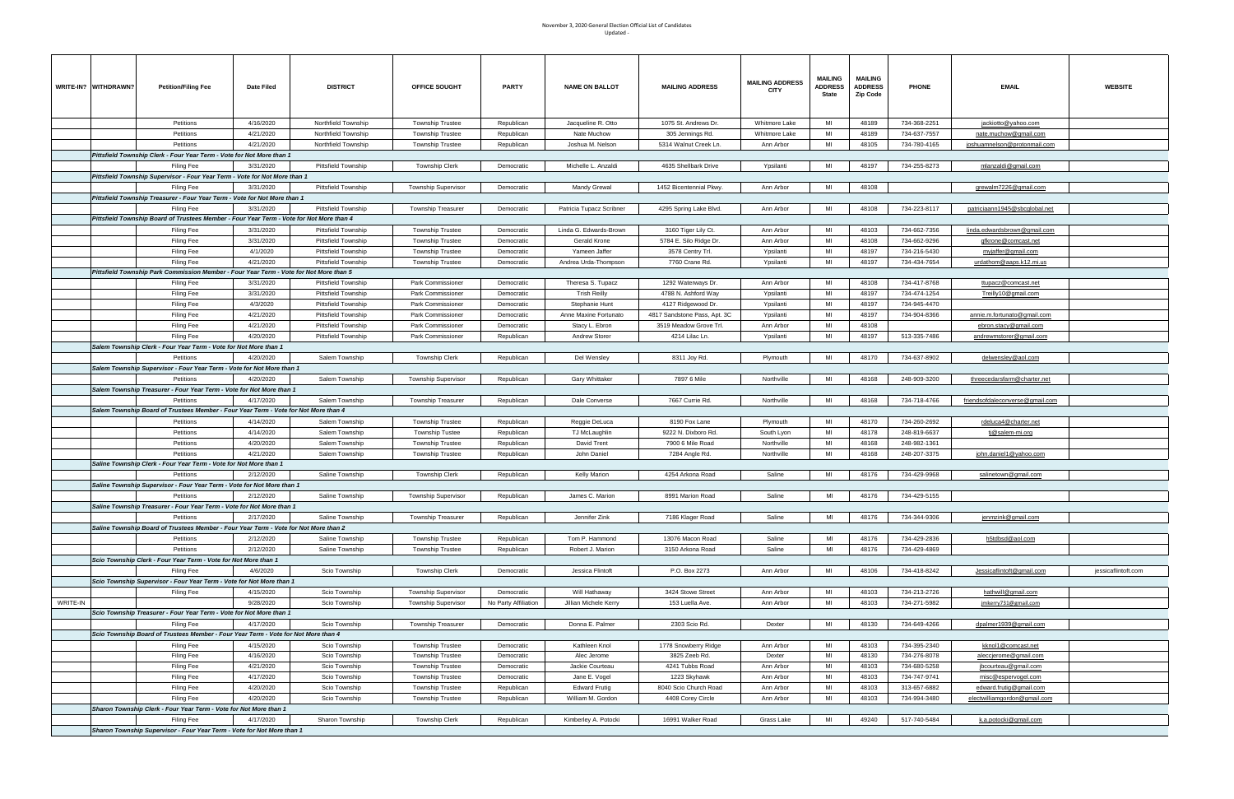|          | WRITE-IN? WITHDRAWN? | <b>Petition/Filing Fee</b>                                                               | Date Filed             | <b>DISTRICT</b>                                          | <b>OFFICE SOUGHT</b>                               | PARTY                    | <b>NAME ON BALLOT</b>          | <b>MAILING ADDRESS</b>                     | <b>MAILING ADDRESS</b><br>CITY | <b>MAILING</b><br><b>ADDRESS</b><br>State | <b>MAILING</b><br><b>ADDRESS</b><br><b>Zip Code</b> | <b>PHONE</b>                 | <b>EMAIL</b>                              | <b>WEBSITE</b>      |
|----------|----------------------|------------------------------------------------------------------------------------------|------------------------|----------------------------------------------------------|----------------------------------------------------|--------------------------|--------------------------------|--------------------------------------------|--------------------------------|-------------------------------------------|-----------------------------------------------------|------------------------------|-------------------------------------------|---------------------|
|          |                      | Petitions                                                                                | 4/16/2020              | Northfield Township                                      | <b>Township Trustee</b>                            | Republican               | Jacqueline R. Otto             | 1075 St. Andrews Dr.                       | Whitmore Lake                  | MI                                        | 48189                                               | 734-368-2251                 | jackiotto@yahoo.com                       |                     |
|          |                      | Petitions                                                                                | 4/21/2020              | Northfield Township                                      | <b>Township Trustee</b>                            | Republican               | Nate Muchow                    | 305 Jennings Rd.                           | Whitmore Lake                  | MI                                        | 48189                                               | 734-637-7557                 | nate.muchow@gmail.com                     |                     |
|          |                      | Petitions                                                                                | 4/21/2020              | Northfield Township                                      | <b>Township Trustee</b>                            | Republican               | Joshua M. Nelson               | 5314 Walnut Creek Ln.                      | Ann Arbor                      | MI                                        | 48105                                               | 734-780-4165                 | <u>joshuamnelson@protonmail.com</u>       |                     |
|          |                      | Pittsfield Township Clerk - Four Year Term - Vote for Not More than 1                    |                        |                                                          |                                                    |                          |                                |                                            |                                |                                           |                                                     |                              |                                           |                     |
|          |                      | <b>Filing Fee</b>                                                                        | 3/31/2020              | Pittsfield Township                                      | <b>Township Clerk</b>                              | Democratic               | Michelle L. Anzaldi            | 4635 Shellbark Drive                       | Ypsilanti                      | MI                                        | 48197                                               | 734-255-8273                 | mlanzaldi@gmail.com                       |                     |
|          |                      | Pittsfield Township Supervisor - Four Year Term - Vote for Not More than 1               |                        |                                                          |                                                    |                          |                                |                                            |                                |                                           |                                                     |                              |                                           |                     |
|          |                      | Filing Fee                                                                               | 3/31/2020              | Pittsfield Township                                      | <b>Township Supervisor</b>                         | Democratic               | Mandy Grewal                   | 1452 Bicentennial Pkwy.                    | Ann Arbor                      | MI                                        | 48108                                               |                              | grewalm7226@gmail.com                     |                     |
|          |                      | Pittsfield Township Treasurer - Four Year Term - Vote for Not More than 1                |                        |                                                          |                                                    |                          |                                |                                            |                                |                                           |                                                     |                              |                                           |                     |
|          |                      | Filing Fee                                                                               | 3/31/2020              | Pittsfield Township                                      | <b>Township Treasurer</b>                          | Democratic               | Patricia Tupacz Scribner       | 4295 Spring Lake Blvd.                     | Ann Arbor                      | MI                                        | 48108                                               | 734-223-8117                 | patriciaann1945@sbcqlobal.net             |                     |
|          |                      | Pittsfield Township Board of Trustees Member - Four Year Term - Vote for Not More than 4 |                        |                                                          |                                                    |                          |                                |                                            |                                | MI                                        |                                                     |                              |                                           |                     |
|          |                      | <b>Filing Fee</b>                                                                        | 3/31/2020              | <b>Pittsfield Township</b>                               | <b>Township Trustee</b>                            | Democratic               | Linda G. Edwards-Brown         | 3160 Tiger Lily Ct.                        | Ann Arbor                      | MI                                        | 48103<br>48108                                      | 734-662-7356                 | linda.edwardsbrown@gmail.com              |                     |
|          |                      | Filing Fee<br>Filing Fee                                                                 | 3/31/2020<br>4/1/2020  | <b>Pittsfield Township</b><br><b>Pittsfield Township</b> | <b>Township Trustee</b>                            | Democratic<br>Democratic | Gerald Krone<br>Yameen Jaffer  | 5784 E. Silo Ridge Dr.<br>3578 Centry Trl. | Ann Arbor<br>Ypsilanti         | MI                                        | 48197                                               | 734-662-9296<br>734-216-5430 | gfkrone@comcast.net<br>myjaffer@gmail.com |                     |
|          |                      | Filing Fee                                                                               | 4/21/2020              | <b>Pittsfield Township</b>                               | <b>Township Trustee</b><br><b>Township Trustee</b> | Democratic               | Andrea Urda-Thompson           | 7760 Crane Rd.                             | Ypsilanti                      | MI                                        | 48197                                               | 734-434-7654                 | urdathom@aaps.k12.mi.us                   |                     |
|          |                      | Pittsfield Township Park Commission Member - Four Year Term - Vote for Not More than 5   |                        |                                                          |                                                    |                          |                                |                                            |                                |                                           |                                                     |                              |                                           |                     |
|          |                      | Filing Fee                                                                               | 3/31/2020              | <b>Pittsfield Township</b>                               | Park Commissioner                                  | Democratic               | Theresa S. Tupacz              | 1292 Waterways Dr.                         | Ann Arbor                      | MI                                        | 48108                                               | 734-417-8768                 | ttupacz@comcast.net                       |                     |
|          |                      | Filing Fee                                                                               | 3/31/2020              | Pittsfield Township                                      | Park Commissioner                                  | Democratic               | <b>Trish Reilly</b>            | 4788 N. Ashford Way                        | Ypsilanti                      | MI                                        | 48197                                               | 734-474-1254                 | Treilly10@gmail.com                       |                     |
|          |                      | Filing Fee                                                                               | 4/3/2020               | Pittsfield Township                                      | Park Commissioner                                  | Democratic               | Stephanie Hunt                 | 4127 Ridgewood Dr.                         | Ypsilanti                      | MI                                        | 48197                                               | 734-945-4470                 |                                           |                     |
|          |                      | Filing Fee                                                                               | 4/21/2020              | <b>Pittsfield Township</b>                               | Park Commissioner                                  | Democratic               | Anne Maxine Fortunato          | 4817 Sandstone Pass, Apt. 3C               | Ypsilanti                      | MI                                        | 48197                                               | 734-904-8366                 | <u>annie.m.fortunato@gmail.com</u>        |                     |
|          |                      | Filing Fee                                                                               | 4/21/2020              | Pittsfield Township                                      | Park Commissioner                                  | Democratic               | Stacy L. Ebron                 | 3519 Meadow Grove Trl.                     | Ann Arbor                      | MI                                        | 48108                                               |                              | ebron.stacy@gmail.com                     |                     |
|          |                      | Filing Fee                                                                               | 4/20/2020              | <b>Pittsfield Township</b>                               | Park Commissioner                                  | Republican               | <b>Andrew Storer</b>           | 4214 Lilac Ln.                             | Ypsilanti                      | MI                                        | 48197                                               | 513-335-7486                 | andrewmstorer@gmail.com                   |                     |
|          |                      | Salem Township Clerk - Four Year Term - Vote for Not More than 1                         |                        |                                                          |                                                    |                          |                                |                                            |                                |                                           |                                                     |                              |                                           |                     |
|          |                      | Petitions                                                                                | 4/20/2020              | Salem Township                                           | <b>Township Clerk</b>                              | Republican               | Del Wensley                    | 8311 Joy Rd.                               | Plymouth                       | MI                                        | 48170                                               | 734-637-8902                 | delwensley@aol.com                        |                     |
|          |                      | Salem Township Supervisor - Four Year Term - Vote for Not More than 1                    |                        |                                                          |                                                    |                          |                                |                                            |                                |                                           |                                                     |                              |                                           |                     |
|          |                      | Petitions                                                                                | 4/20/2020              | Salem Township                                           | <b>Township Supervisor</b>                         | Republican               | Gary Whittaker                 | 7897 6 Mile                                | Northville                     | MI                                        | 48168                                               | 248-909-3200                 | threecedarsfarm@charter.net               |                     |
|          |                      | Salem Township Treasurer - Four Year Term - Vote for Not More than 1                     |                        |                                                          |                                                    |                          |                                |                                            |                                |                                           |                                                     |                              |                                           |                     |
|          |                      | Petitions                                                                                | 4/17/2020              | Salem Township                                           | <b>Township Treasurer</b>                          | Republican               | Dale Converse                  | 7667 Currie Rd.                            | Northville                     | MI                                        | 48168                                               | 734-718-4766                 | friendsofdaleconverse@gmail.com           |                     |
|          |                      | Salem Township Board of Trustees Member - Four Year Term - Vote for Not More than 4      |                        |                                                          |                                                    |                          |                                | 8190 Fox Lane                              |                                | MI                                        |                                                     |                              |                                           |                     |
|          |                      | Petitions<br>Petitions                                                                   | 4/14/2020<br>4/14/2020 | Salem Township<br>Salem Township                         | <b>Township Trustee</b><br><b>Township Tustee</b>  | Republican<br>Republican | Reggie DeLuca<br>TJ McLaughlin | 9222 N. Dixboro Rd.                        | Plymouth<br>South Lyon         | MI                                        | 48170<br>48178                                      | 734-260-2692<br>248-819-6637 | rdeluca4@charter.net<br>tj@salem-mi.org   |                     |
|          |                      | Petitions                                                                                | 4/20/2020              | Salem Township                                           | <b>Township Trustee</b>                            | Republican               | David Trent                    | 7900 6 Mile Road                           | Northville                     | MI                                        | 48168                                               | 248-982-1361                 |                                           |                     |
|          |                      | Petitions                                                                                | 4/21/2020              | Salem Township                                           | <b>Township Trustee</b>                            | Republican               | John Daniel                    | 7284 Angle Rd.                             | Northville                     | MI                                        | 48168                                               | 248-207-3375                 | john.daniel1@yahoo.com                    |                     |
|          |                      | Saline Township Clerk - Four Year Term - Vote for Not More than 1                        |                        |                                                          |                                                    |                          |                                |                                            |                                |                                           |                                                     |                              |                                           |                     |
|          |                      | Petitions                                                                                | 2/12/2020              | Saline Township                                          | <b>Township Clerk</b>                              | Republican               | Kelly Marion                   | 4254 Arkona Road                           | Saline                         | MI                                        | 48176                                               | 734-429-9968                 | salinetown@gmail.com                      |                     |
|          |                      | Saline Township Supervisor - Four Year Term - Vote for Not More than 1                   |                        |                                                          |                                                    |                          |                                |                                            |                                |                                           |                                                     |                              |                                           |                     |
|          |                      | Petitions                                                                                | 2/12/2020              | Saline Township                                          | <b>Township Supervisor</b>                         | Republican               | James C. Marion                | 8991 Marion Road                           | Saline                         | MI                                        | 48176                                               | 734-429-5155                 |                                           |                     |
|          |                      | Saline Township Treasurer - Four Year Term - Vote for Not More than 1                    |                        |                                                          |                                                    |                          |                                |                                            |                                |                                           |                                                     |                              |                                           |                     |
|          |                      | Petitions                                                                                | 2/17/2020              | Saline Township                                          | <b>Township Treasurer</b>                          | Republican               | Jennifer Zink                  | 7186 Klager Road                           | Saline                         | MI                                        | 48176                                               | 734-344-9306                 | <u>jenmzink@qmail.com</u>                 |                     |
|          |                      | Saline Township Board of Trustees Member - Four Year Term - Vote for Not More than 2     |                        |                                                          |                                                    |                          |                                |                                            |                                |                                           |                                                     |                              |                                           |                     |
|          |                      | Petitions                                                                                | 2/12/2020              | Saline Township                                          | <b>Township Trustee</b>                            | Republican               | Tom P. Hammond                 | 13076 Macon Road                           | Saline                         | MI                                        | 48176                                               | 734-429-2836                 | h5tdbsd@aol.com                           |                     |
|          |                      | Petitions                                                                                | 2/12/2020              | Saline Township                                          | <b>Township Trustee</b>                            | Republican               | Robert J. Marion               | 3150 Arkona Road                           | Saline                         | MI                                        | 48176                                               | 734-429-4869                 |                                           |                     |
|          |                      | Scio Township Clerk - Four Year Term - Vote for Not More than 1                          |                        |                                                          |                                                    |                          |                                |                                            |                                | MI                                        |                                                     | 734-418-8242                 |                                           |                     |
|          |                      | Filing Fee<br>Scio Township Supervisor - Four Year Term - Vote for Not More than 1       | 4/6/2020               | Scio Township                                            | <b>Township Clerk</b>                              | Democratic               | Jessica Flintoft               | P.O. Box 2273                              | Ann Arbor                      |                                           | 48106                                               |                              | Jessicaflintoft@gmail.com                 | jessicaflintoft.com |
|          |                      | Filing Fee                                                                               | 4/15/2020              | Scio Township                                            | <b>Township Supervisor</b>                         | Democratic               | Will Hathaway                  | 3424 Stowe Street                          | Ann Arbor                      | MI                                        | 48103                                               | 734-213-2726                 | hathwill@gmail.com                        |                     |
| WRITE-IN |                      |                                                                                          | 9/28/2020              | Scio Township                                            | <b>Township Supervisor</b>                         | No Party Affiliation     | Jillian Michele Kerry          | 153 Luella Ave.                            | Ann Arbor                      | MI                                        | 48103                                               | 734-271-5982                 | jmkerry731@gmail.com                      |                     |
|          |                      | Scio Township Treasurer - Four Year Term - Vote for Not More than 1                      |                        |                                                          |                                                    |                          |                                |                                            |                                |                                           |                                                     |                              |                                           |                     |
|          |                      | Filing Fee                                                                               | 4/17/2020              | Scio Township                                            | Township Treasurer                                 | Democratic               | Donna E. Palmer                | 2303 Scio Rd.                              | Dexter                         | MI                                        | 48130                                               | 734-649-4266                 | dpalmer1939@gmail.com                     |                     |
|          |                      | Scio Township Board of Trustees Member - Four Year Term - Vote for Not More than 4       |                        |                                                          |                                                    |                          |                                |                                            |                                |                                           |                                                     |                              |                                           |                     |
|          |                      | Filing Fee                                                                               | 4/15/2020              | Scio Township                                            | <b>Township Trustee</b>                            | Democratic               | Kathleen Knol                  | 1778 Snowberry Ridge                       | Ann Arbor                      | MI                                        | 48103                                               | 734-395-2340                 | kknol1@comcast.net                        |                     |
|          |                      | Filing Fee                                                                               | 4/16/2020              | Scio Township                                            | <b>Township Trustee</b>                            | Democratic               | Alec Jerome                    | 3825 Zeeb Rd.                              | Dexter                         | MI                                        | 48130                                               | 734-276-8078                 | aleccjerome@gmail.com                     |                     |
|          |                      | Filing Fee                                                                               | 4/21/2020              | Scio Township                                            | <b>Township Trustee</b>                            | Democratic               | Jackie Courteau                | 4241 Tubbs Road                            | Ann Arbor                      | MI                                        | 48103                                               | 734-680-5258                 | jbcourteau@gmail.com                      |                     |
|          |                      | Filing Fee                                                                               | 4/17/2020              | Scio Township                                            | <b>Township Trustee</b>                            | Democratic               | Jane E. Vogel                  | 1223 Skyhawk                               | Ann Arbor                      | MI                                        | 48103                                               | 734-747-9741                 | misc@espervogel.com                       |                     |
|          |                      | Filing Fee                                                                               | 4/20/2020              | Scio Township                                            | <b>Township Trustee</b>                            | Republican               | <b>Edward Frutig</b>           | 8040 Scio Church Road                      | Ann Arbor                      | MI                                        | 48103                                               | 313-657-6882                 | edward.frutig@gmail.com                   |                     |
|          |                      | Filing Fee                                                                               | 4/20/2020              | Scio Township                                            | <b>Township Trustee</b>                            | Republican               | William M. Gordon              | 4408 Corey Circle                          | Ann Arbor                      | MI                                        | 48103                                               | 734-994-3480                 | electwilliamgordon@gmail.com              |                     |
|          |                      | Sharon Township Clerk - Four Year Term - Vote for Not More than 1                        |                        |                                                          |                                                    |                          |                                |                                            |                                |                                           |                                                     |                              |                                           |                     |
|          |                      | Filing Fee                                                                               | 4/17/2020              | Sharon Township                                          | <b>Township Clerk</b>                              | Republican               | Kimberley A. Potocki           | 16991 Walker Road                          | Grass Lake                     | MI                                        | 49240                                               | 517-740-5484                 | k.a.potocki@gmail.com                     |                     |
|          |                      | Sharon Township Supervisor - Four Year Term - Vote for Not More than 1                   |                        |                                                          |                                                    |                          |                                |                                            |                                |                                           |                                                     |                              |                                           |                     |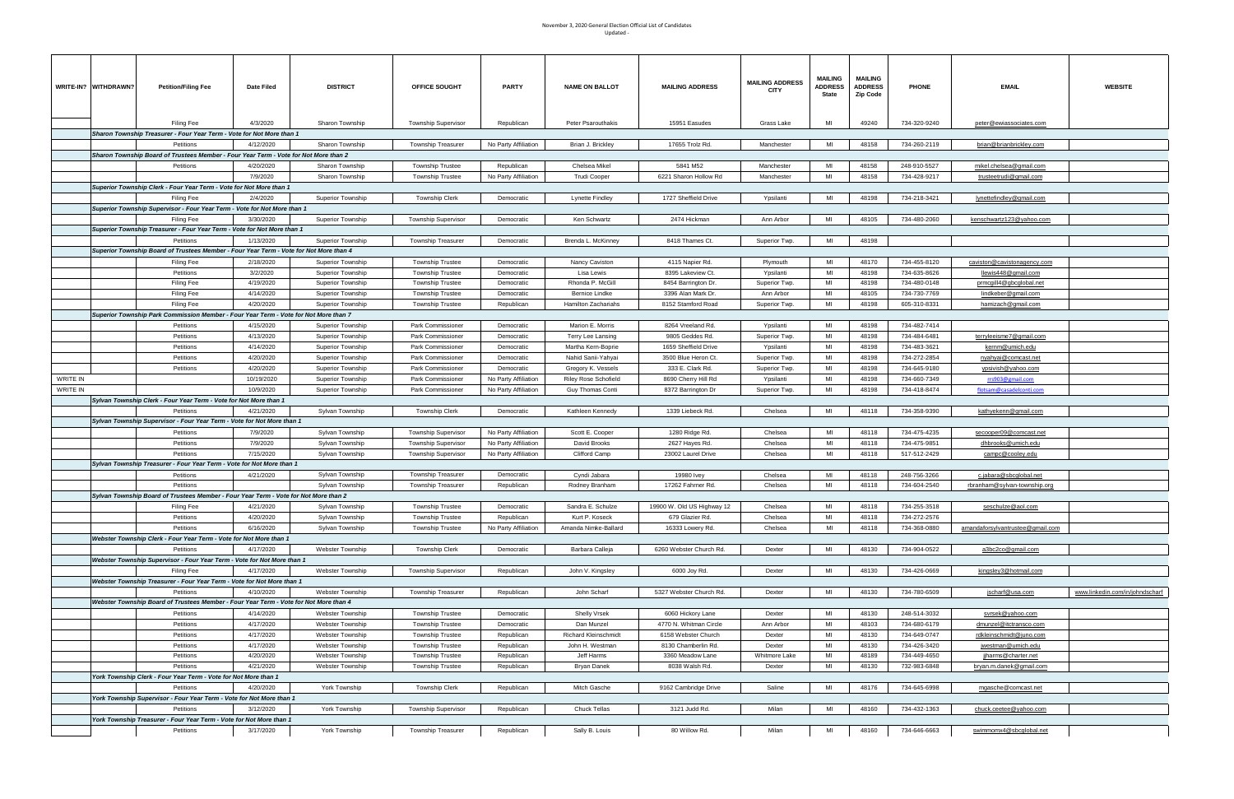|                 | WRITE-IN? WITHDRAWN? | <b>Petition/Filing Fee</b>                                                                           | Date Filed           | <b>DISTRICT</b>                    | OFFICE SOUGHT                                     | <b>PARTY</b>                                 | <b>NAME ON BALLOT</b>           | <b>MAILING ADDRESS</b>           | <b>MAILING ADDRESS</b><br>CITY | <b>MAILING</b><br><b>ADDRESS</b><br>State | <b>MAILING</b><br><b>ADDRESS</b><br>Zip Code | <b>PHONE</b> | <b>EMAIL</b>                                        | <b>WEBSITE</b>                  |
|-----------------|----------------------|------------------------------------------------------------------------------------------------------|----------------------|------------------------------------|---------------------------------------------------|----------------------------------------------|---------------------------------|----------------------------------|--------------------------------|-------------------------------------------|----------------------------------------------|--------------|-----------------------------------------------------|---------------------------------|
|                 |                      | <b>Filing Fee</b>                                                                                    | 4/3/2020             | Sharon Township                    | <b>Township Supervisor</b>                        | Republican                                   | <b>Peter Psarouthakis</b>       | 15951 Easudes                    | Grass Lake                     | MI                                        | 49240                                        | 734-320-9240 | peter@ewiassociates.com                             |                                 |
|                 |                      | Sharon Township Treasurer - Four Year Term - Vote for Not More than 1                                |                      |                                    |                                                   |                                              |                                 |                                  |                                |                                           |                                              |              |                                                     |                                 |
|                 |                      | Petitions                                                                                            | 4/12/2020            | Sharon Township                    | <b>Township Treasurer</b>                         | No Party Affiliation                         | Brian J. Brickley               | 17655 Trolz Rd.                  | Manchester                     | MI                                        | 48158                                        | 734-260-2119 | brian@brianbrickley.com                             |                                 |
|                 |                      | Sharon Township Board of Trustees Member - Four Year Term - Vote for Not More than 2                 |                      |                                    |                                                   |                                              |                                 |                                  |                                |                                           |                                              |              |                                                     |                                 |
|                 |                      | Petitions                                                                                            | 4/20/2020            | Sharon Township                    | <b>Township Trustee</b>                           | Republican                                   | Chelsea Mikel                   | 5841 M52                         | Manchester                     | MI                                        | 48158                                        | 248-910-5527 | mikel.chelsea@gmail.com                             |                                 |
|                 |                      |                                                                                                      | 7/9/2020             | Sharon Township                    | <b>Township Trustee</b>                           | No Party Affiliation                         | Trudi Cooper                    | 6221 Sharon Hollow Rd            | Manchester                     | MI                                        | 48158                                        | 734-428-9217 | trusteetrudi@gmail.com                              |                                 |
|                 |                      | Superior Township Clerk - Four Year Term - Vote for Not More than 1                                  |                      |                                    |                                                   |                                              |                                 |                                  |                                |                                           |                                              |              |                                                     |                                 |
|                 |                      | Filing Fee                                                                                           | 2/4/2020             | <b>Superior Township</b>           | Township Clerk                                    | Democratic                                   | Lynette Findley                 | 1727 Sheffield Drive             | Ypsilanti                      | MI                                        | 48198                                        | 734-218-3421 | lynettefindley@gmail.com                            |                                 |
|                 |                      | Superior Township Supervisor - Four Year Term - Vote for Not More than 1                             |                      |                                    |                                                   |                                              |                                 |                                  |                                |                                           |                                              |              |                                                     |                                 |
|                 |                      | Filing Fee                                                                                           | 3/30/2020            | <b>Superior Township</b>           | <b>Township Supervisor</b>                        | Democratic                                   | Ken Schwartz                    | 2474 Hickman                     | Ann Arbor                      | MI                                        | 48105                                        | 734-480-2060 | kenschwartz123@yahoo.com                            |                                 |
|                 |                      | Superior Township Treasurer - Four Year Term - Vote for Not More than 1                              |                      |                                    |                                                   |                                              |                                 |                                  |                                | MI                                        | 48198                                        |              |                                                     |                                 |
|                 |                      | Petitions                                                                                            | 1/13/2020            | <b>Superior Township</b>           | <b>Township Treasurer</b>                         | Democratic                                   | Brenda L. McKinney              | 8418 Thames Ct.                  | Superior Twp.                  |                                           |                                              |              |                                                     |                                 |
|                 |                      | Superior Township Board of Trustees Member - Four Year Term - Vote for Not More than 4<br>Filing Fee | 2/18/2020            | <b>Superior Township</b>           | <b>Township Trustee</b>                           | Democratic                                   | Nancy Caviston                  | 4115 Napier Rd.                  | Plymouth                       | MI                                        | 48170                                        | 734-455-8120 | caviston@cavistonagency.com                         |                                 |
|                 |                      | Petitions                                                                                            | 3/2/2020             | <b>Superior Township</b>           | <b>Township Trustee</b>                           | Democratic                                   | Lisa Lewis                      | 8395 Lakeview Ct.                | Ypsilanti                      | MI                                        | 48198                                        | 734-635-8626 | <u>llewis448@qmail.com</u>                          |                                 |
|                 |                      | Filing Fee                                                                                           | 4/19/2020            | <b>Superior Township</b>           | <b>Township Trustee</b>                           | Democratic                                   | Rhonda P. McGill                | 8454 Barrington Dr.              | Superior Twp.                  | MI                                        | 48198                                        | 734-480-0148 | prmcgill4@gbcglobal.net                             |                                 |
|                 |                      | <b>Filing Fee</b>                                                                                    | 4/14/2020            | <b>Superior Township</b>           | <b>Township Trustee</b>                           | Democratic                                   | Bernice Lindke                  | 3396 Alan Mark Dr.               | Ann Arbor                      | MI                                        | 48105                                        | 734-730-7769 | <u>lindkeber@qmail.com</u>                          |                                 |
|                 |                      | <b>Filing Fee</b>                                                                                    | 4/20/2020            | <b>Superior Township</b>           | <b>Township Trustee</b>                           | Republican                                   | Hamilton Zachariahs             | 8152 Stamford Road               | Superior Twp.                  | MI                                        | 48198                                        | 605-310-8331 | hamizach@gmail.com                                  |                                 |
|                 |                      | Superior Township Park Commission Member - Four Year Term - Vote for Not More than 7                 |                      |                                    |                                                   |                                              |                                 |                                  |                                |                                           |                                              |              |                                                     |                                 |
|                 |                      | Petitions                                                                                            | 4/15/2020            | <b>Superior Township</b>           | Park Commissioner                                 | Democratic                                   | Marion E. Morris                | 8264 Vreeland Rd.                | Ypsilanti                      | MI                                        | 48198                                        | 734-482-7414 |                                                     |                                 |
|                 |                      | Petitions                                                                                            | 4/13/2020            | <b>Superior Township</b>           | Park Commissioner                                 | Democratic                                   | Terry Lee Lansing               | 9805 Geddes Rd.                  | Superior Twp.                  | MI                                        | 48198                                        | 734-484-6481 | terryleeisme7@gmail.com                             |                                 |
|                 |                      | Petitions                                                                                            | 4/14/2020            | <b>Superior Township</b>           | Park Commissioner                                 | Democratic                                   | Martha Kern-Boprie              | 1659 Sheffield Drive             | Ypsilanti                      | MI                                        | 48198                                        | 734-483-3621 | kernm@umich.edu                                     |                                 |
|                 |                      | Petitions                                                                                            | 4/20/2020            | <b>Superior Township</b>           | Park Commissioner                                 | Democratic                                   | Nahid Sanii-Yahyai              | 3500 Blue Heron Ct.              | Superior Twp.                  | MI                                        | 48198                                        | 734-272-2854 | nyahyai@comcast.net                                 |                                 |
|                 |                      | Petitions                                                                                            | 4/20/2020            | <b>Superior Township</b>           | Park Commissioner                                 | Democratic                                   | Gregory K. Vessels              | 333 E. Clark Rd.                 | Superior Twp.                  | MI                                        | 48198                                        | 734-645-9180 | ypsivish@yahoo.com                                  |                                 |
| <b>WRITE IN</b> |                      |                                                                                                      | 10/19/2020           | <b>Superior Township</b>           | Park Commissioner                                 | No Party Affiliation                         | Riley Rose Schofield            | 8690 Cherry Hill Rd              | Ypsilanti                      | MI                                        | 48198                                        | 734-660-7349 | rrs903@gmail.com                                    |                                 |
| WRITE IN        |                      |                                                                                                      | 10/9/2020            | <b>Superior Township</b>           | Park Commissioner                                 | No Party Affiliation                         | Guy Thomas Conti                | 8372 Barrington Dr               | Superior Twp.                  | MI                                        | 48198                                        | 734-418-8474 | flotsam@casadelconti.com                            |                                 |
|                 |                      | Sylvan Township Clerk - Four Year Term - Vote for Not More than 1                                    |                      |                                    |                                                   |                                              |                                 |                                  |                                |                                           |                                              |              |                                                     |                                 |
|                 |                      | Petitions                                                                                            | 4/21/2020            | Sylvan Township                    | Township Clerk                                    | Democratic                                   | Kathleen Kennedy                | 1339 Liebeck Rd.                 | Chelsea                        | MI                                        | 48118                                        | 734-358-9390 | kathyekenn@gmail.com                                |                                 |
|                 |                      | Sylvan Township Supervisor - Four Year Term - Vote for Not More than 1                               |                      |                                    |                                                   |                                              |                                 |                                  | Chelsea                        | MI                                        | 48118                                        | 734-475-4235 |                                                     |                                 |
|                 |                      | Petitions<br>Petitions                                                                               | 7/9/2020<br>7/9/2020 | Sylvan Township<br>Sylvan Township | <b>Township Supervisor</b><br>Township Supervisor | No Party Affiliation<br>No Party Affiliation | Scott E. Cooper<br>David Brooks | 1280 Ridge Rd.<br>2627 Hayes Rd. | Chelsea                        | MI                                        | 48118                                        | 734-475-9851 | secooper09@comcast.net<br><u>dhbrooks@umich.edu</u> |                                 |
|                 |                      | Petitions                                                                                            | 7/15/2020            | Sylvan Township                    | <b>Township Supervisor</b>                        | No Party Affiliation                         | Clifford Camp                   | 23002 Laurel Drive               | Chelsea                        | MI                                        | 48118                                        | 517-512-2429 | campc@cooley.edu                                    |                                 |
|                 |                      | Sylvan Township Treasurer - Four Year Term - Vote for Not More than 1                                |                      |                                    |                                                   |                                              |                                 |                                  |                                |                                           |                                              |              |                                                     |                                 |
|                 |                      | Petitions                                                                                            | 4/21/2020            | Sylvan Township                    | <b>Township Treasurer</b>                         | Democratic                                   | Cyndi Jabara                    | 19980 Ivey                       | Chelsea                        | MI                                        | 48118                                        | 248-756-3266 | c.jabara@sbcqlobal.net                              |                                 |
|                 |                      | Petitions                                                                                            |                      | Sylvan Township                    | <b>Township Treasurer</b>                         | Republican                                   | Rodney Branham                  | 17262 Fahrner Rd.                | Chelsea                        | MI                                        | 48118                                        | 734-604-2540 | rbranham@sylvan-township.org                        |                                 |
|                 |                      | Sylvan Township Board of Trustees Member - Four Year Term - Vote for Not More than 2                 |                      |                                    |                                                   |                                              |                                 |                                  |                                |                                           |                                              |              |                                                     |                                 |
|                 |                      | Filing Fee                                                                                           | 4/21/2020            | Sylvan Township                    | Township Trustee                                  | Democratic                                   | Sandra E. Schulze               | 19900 W. Old US Highway 12       | Chelsea                        |                                           | 48118                                        | 734-255-3518 | seschulze@aol.com                                   |                                 |
|                 |                      | Petitions                                                                                            | 4/20/2020            | Sylvan Township                    | <b>Township Trustee</b>                           | Republican                                   | Kurt P. Koseck                  | 679 Glazier Rd.                  | Chelsea                        | MI                                        | 48118                                        | 734-272-2576 |                                                     |                                 |
|                 |                      | Petitions                                                                                            | 6/16/2020            | Sylvan Township                    | <b>Township Trustee</b>                           | No Party Affiliation                         | Amanda Nimke-Ballard            | 16333 Lowery Rd.                 | Chelsea                        | MI                                        | 48118                                        | 734-368-0880 | amandaforsylvantrustee@gmail.com                    |                                 |
|                 |                      | Webster Township Clerk - Four Year Term - Vote for Not More than 1                                   |                      |                                    |                                                   |                                              |                                 |                                  |                                |                                           |                                              |              |                                                     |                                 |
|                 |                      | Petitions                                                                                            | 4/17/2020            | Webster Township                   | <b>Township Clerk</b>                             | Democratic                                   | Barbara Calleja                 | 6260 Webster Church Rd.          | Dexter                         | MI                                        | 48130                                        | 734-904-0522 | a3bc2co@gmail.com                                   |                                 |
|                 |                      | Webster Township Supervisor - Four Year Term - Vote for Not More than 1                              |                      | Webster Township                   |                                                   |                                              |                                 |                                  |                                | MI                                        |                                              |              |                                                     |                                 |
|                 |                      | Filing Fee                                                                                           | 4/17/2020            |                                    | <b>Township Supervisor</b>                        | Republican                                   | John V. Kingsley                | 6000 Joy Rd.                     | Dexter                         |                                           | 48130                                        | 734-426-0669 | kingsley3@hotmail.com                               |                                 |
|                 |                      | Webster Township Treasurer - Four Year Term - Vote for Not More than 1<br>Petitions                  | 4/10/2020            | Webster Township                   | Township Treasurer                                | Republican                                   | John Scharf                     | 5327 Webster Church Rd.          | Dexter                         | MI                                        | 48130                                        | 734-780-6509 | jscharf@usa.com                                     | www.linkedin.com/in/johndscharf |
|                 |                      | Webster Township Board of Trustees Member - Four Year Term - Vote for Not More than 4                |                      |                                    |                                                   |                                              |                                 |                                  |                                |                                           |                                              |              |                                                     |                                 |
|                 |                      | Petitions                                                                                            | 4/14/2020            | Webster Township                   | <b>Township Trustee</b>                           | Democratic                                   | Shelly Vrsek                    | 6060 Hickory Lane                | Dexter                         | MI                                        | 48130                                        | 248-514-3032 | svrsek@yahoo.com                                    |                                 |
|                 |                      | Petitions                                                                                            | 4/17/2020            | Webster Township                   | <b>Township Trustee</b>                           | Democratic                                   | Dan Munzel                      | 4770 N. Whitman Circle           | Ann Arbor                      | MI                                        | 48103                                        | 734-680-6179 | dmunzel@itctransco.com                              |                                 |
|                 |                      | Petitions                                                                                            | 4/17/2020            | Webster Township                   | <b>Township Trustee</b>                           | Republican                                   | Richard Kleinschmidt            | 6158 Webster Church              | Dexter                         | MI                                        | 48130                                        | 734-649-0747 | rdkleinschmidt@juno.com                             |                                 |
|                 |                      | Petitions                                                                                            | 4/17/2020            | Webster Township                   | <b>Township Trustee</b>                           | Republican                                   | John H. Westman                 | 8130 Chamberlin Rd.              | Dexter                         | MI                                        | 48130                                        | 734-426-3420 | jwestman@umich.edu                                  |                                 |
|                 |                      | Petitions                                                                                            | 4/20/2020            | Webster Township                   | <b>Township Trustee</b>                           | Republican                                   | Jeff Harms                      | 3360 Meadow Lane                 | Whitmore Lake                  | MI                                        | 48189                                        | 734-449-4650 | jiharms@charter.net                                 |                                 |
|                 |                      | Petitions                                                                                            | 4/21/2020            | Webster Township                   | <b>Township Trustee</b>                           | Republican                                   | <b>Bryan Danek</b>              | 8038 Walsh Rd.                   | Dexter                         | MI                                        | 48130                                        | 732-983-6848 | bryan.m.danek@gmail.com                             |                                 |
|                 |                      | York Township Clerk - Four Year Term - Vote for Not More than 1                                      |                      |                                    |                                                   |                                              |                                 |                                  |                                |                                           |                                              |              |                                                     |                                 |
|                 |                      | Petitions                                                                                            | 4/20/2020            | York Township                      | <b>Township Clerk</b>                             | Republican                                   | Mitch Gasche                    | 9162 Cambridge Drive             | Saline                         | MI                                        | 48176                                        | 734-645-6998 | mgasche@comcast.net                                 |                                 |
|                 |                      | York Township Supervisor - Four Year Term - Vote for Not More than 1                                 |                      |                                    |                                                   |                                              |                                 |                                  |                                |                                           |                                              |              |                                                     |                                 |
|                 |                      | Petitions                                                                                            | 3/12/2020            | York Township                      | <b>Township Supervisor</b>                        | Republican                                   | <b>Chuck Tellas</b>             | 3121 Judd Rd.                    | Milan                          | MI                                        | 48160                                        | 734-432-1363 | chuck.ceetee@yahoo.com                              |                                 |
|                 |                      | York Township Treasurer - Four Year Term - Vote for Not More than 1                                  |                      |                                    |                                                   |                                              |                                 |                                  |                                |                                           |                                              |              |                                                     |                                 |
|                 |                      | Petitions                                                                                            | 3/17/2020            | York Township                      | Township Treasurer                                | Republican                                   | Sally B. Louis                  | 80 Willow Rd.                    | Milan                          | MI                                        | 48160                                        | 734-646-6663 | swimmomx4@sbcqlobal.net                             |                                 |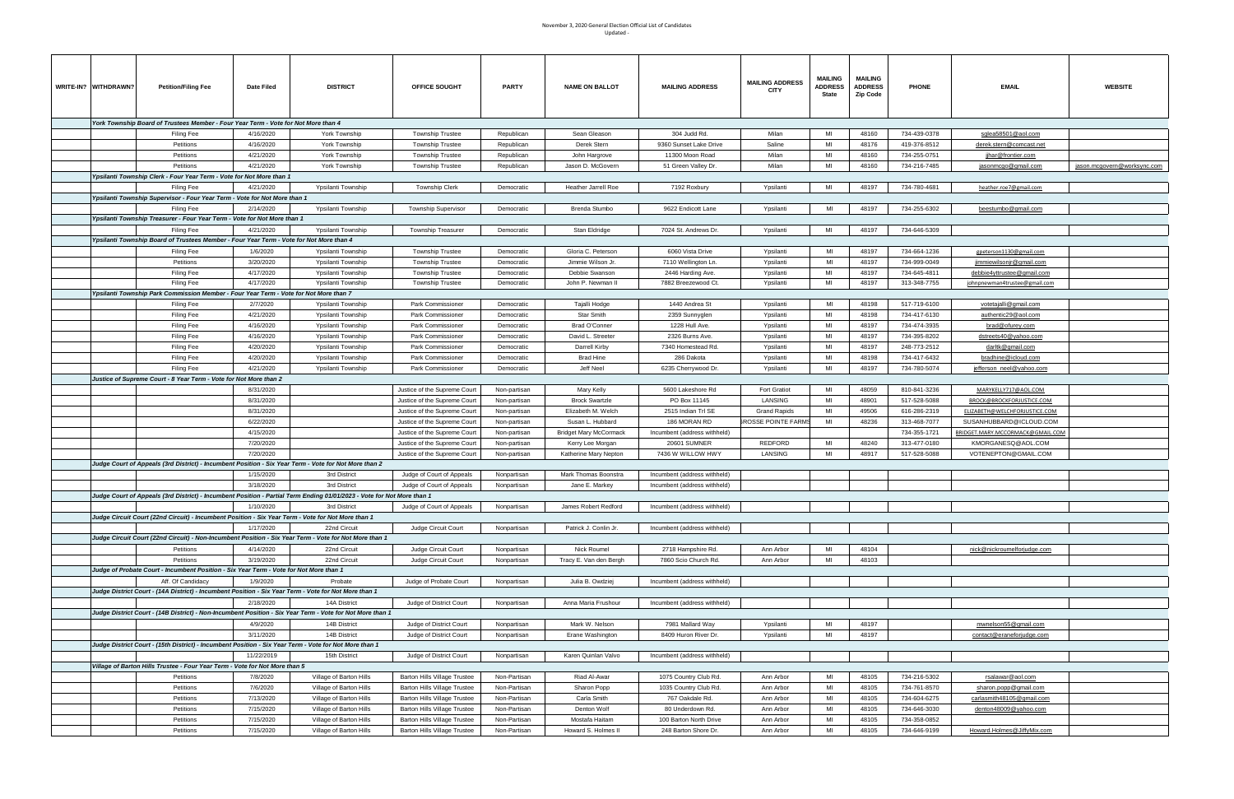| WRITE-IN? WITHDRAWN? | <b>Petition/Filing Fee</b>                                                                                             | Date Filed | <b>DISTRICT</b>         | OFFICE SOUGHT                       | <b>PARTY</b> | <b>NAME ON BALLOT</b>  | <b>MAILING ADDRESS</b>       | <b>MAILING ADDRESS</b><br><b>CITY</b> | MAILING<br><b>ADDRESS</b><br>State | <b>MAILING</b><br><b>ADDRESS</b><br>Zip Code | <b>PHONE</b> | <b>EMAIL</b>                     | <b>WEBSITE</b>              |
|----------------------|------------------------------------------------------------------------------------------------------------------------|------------|-------------------------|-------------------------------------|--------------|------------------------|------------------------------|---------------------------------------|------------------------------------|----------------------------------------------|--------------|----------------------------------|-----------------------------|
|                      |                                                                                                                        |            |                         |                                     |              |                        |                              |                                       |                                    |                                              |              |                                  |                             |
|                      | York Township Board of Trustees Member - Four Year Term - Vote for Not More than 4                                     |            |                         |                                     |              |                        |                              |                                       |                                    |                                              |              |                                  |                             |
|                      | Filing Fee                                                                                                             | 4/16/2020  | York Township           | <b>Township Trustee</b>             | Republican   | Sean Gleason           | 304 Judd Rd.                 | Milan                                 | MI                                 | 48160                                        | 734-439-0378 | sglea58501@aol.com               |                             |
|                      | Petitions                                                                                                              | 4/16/2020  | York Township           | <b>Township Trustee</b>             | Republican   | Derek Stern            | 9360 Sunset Lake Drive       | Saline                                | MI                                 | 48176                                        | 419-376-8512 | derek.stern@comcast.net          |                             |
|                      | Petitions                                                                                                              | 4/21/2020  | York Township           | <b>Township Trustee</b>             | Republican   | John Hargrove          | 11300 Moon Road              | Milan                                 | MI                                 | 48160                                        | 734-255-0751 | <u>jjhar@frontier.com</u>        |                             |
|                      | Petitions                                                                                                              | 4/21/2020  | York Township           | <b>Township Trustee</b>             | Republican   | Jason D. McGovern      | 51 Green Valley Dr.          | Milan                                 | мі                                 | 48160                                        | 734-216-7485 | jasonmcgo@gmail.com              | jason.mcgovern@worksync.com |
|                      | Ypsilanti Township Clerk - Four Year Term - Vote for Not More than 1                                                   |            |                         |                                     |              |                        |                              |                                       |                                    |                                              |              |                                  |                             |
|                      | Filing Fee                                                                                                             | 4/21/2020  | Ypsilanti Township      | <b>Township Clerk</b>               | Democratic   | Heather Jarrell Roe    | 7192 Roxbury                 | Ypsilanti                             | MI                                 | 48197                                        | 734-780-4681 | heather.roe7@gmail.com           |                             |
|                      | Ypsilanti Township Supervisor - Four Year Term - Vote for Not More than 1                                              |            |                         |                                     |              |                        |                              |                                       |                                    |                                              |              |                                  |                             |
|                      |                                                                                                                        |            |                         |                                     |              |                        |                              |                                       |                                    |                                              |              |                                  |                             |
|                      | Filing Fee                                                                                                             | 2/14/2020  | Ypsilanti Township      | <b>Township Supervisor</b>          | Democratic   | Brenda Stumbo          | 9622 Endicott Lane           | Ypsilanti                             | MI                                 | 48197                                        | 734-255-6302 | beestumbo@gmail.com              |                             |
|                      | Ypsilanti Township Treasurer - Four Year Term - Vote for Not More than 1                                               |            |                         |                                     |              |                        |                              |                                       |                                    |                                              |              |                                  |                             |
|                      | Filing Fee                                                                                                             | 4/21/2020  | Ypsilanti Township      | <b>Township Treasurer</b>           | Democratic   | Stan Eldridge          | 7024 St. Andrews Dr.         | Ypsilanti                             | MI                                 | 48197                                        | 734-646-5309 |                                  |                             |
|                      | Ypsilanti Township Board of Trustees Member - Four Year Term - Vote for Not More than 4                                |            |                         |                                     |              |                        |                              |                                       |                                    |                                              |              |                                  |                             |
|                      | Filing Fee                                                                                                             | 1/6/2020   | Ypsilanti Township      | <b>Township Trustee</b>             | Democratic   | Gloria C. Peterson     | 6060 Vista Drive             | Ypsilanti                             | MI                                 | 48197                                        | 734-664-1236 | gpeterson1130@gmail.com          |                             |
|                      | Petitions                                                                                                              | 3/20/2020  | Ypsilanti Township      | <b>Township Trustee</b>             | Democratic   | Jimmie Wilson Jr.      | 7110 Wellington Ln.          | Ypsilanti                             | MI                                 | 48197                                        | 734-999-0049 | jimmiewilsonjr@gmail.com         |                             |
|                      | Filing Fee                                                                                                             | 4/17/2020  | Ypsilanti Township      | <b>Township Trustee</b>             | Democratic   | Debbie Swanson         | 2446 Harding Ave.            | Ypsilanti                             | MI                                 | 48197                                        | 734-645-4811 | debbie4yttrustee@gmail.com       |                             |
|                      | Filing Fee                                                                                                             | 4/17/2020  | Ypsilanti Township      | <b>Township Trustee</b>             | Democratic   | John P. Newman II      | 7882 Breezewood Ct.          | Ypsilanti                             | MI                                 | 48197                                        | 313-348-7755 | johnpnewman4trustee@gmail.com    |                             |
|                      |                                                                                                                        |            |                         |                                     |              |                        |                              |                                       |                                    |                                              |              |                                  |                             |
|                      | Ypsilanti Township Park Commission Member - Four Year Term - Vote for Not More than 7                                  |            |                         |                                     |              |                        |                              |                                       |                                    |                                              |              |                                  |                             |
|                      | Filing Fee                                                                                                             | 2/7/2020   | Ypsilanti Township      | Park Commissioner                   | Democratic   | Tajalli Hodge          | 1440 Andrea St               | Ypsilanti                             | MI                                 | 48198                                        | 517-719-6100 | <u>votetajalli@gmail.com</u>     |                             |
|                      | Filing Fee                                                                                                             | 4/21/2020  | Ypsilanti Township      | Park Commissioner                   | Democratic   | Star Smith             | 2359 Sunnyglen               | Ypsilanti                             | MI                                 | 48198                                        | 734-417-6130 | authentic29@aol.com              |                             |
|                      | Filing Fee                                                                                                             | 4/16/2020  | Ypsilanti Township      | Park Commissioner                   | Democratic   | Brad O'Conner          | 1228 Hull Ave.               | Ypsilanti                             | MI                                 | 48197                                        | 734-474-3935 | brad@ofurey.com                  |                             |
|                      | Filing Fee                                                                                                             | 4/16/2020  | Ypsilanti Township      | Park Commissioner                   | Democratic   | David L. Streeter      | 2326 Burns Ave.              | Ypsilanti                             | MI                                 | 48197                                        | 734-395-8202 | dstreets40@yahoo.com             |                             |
|                      | Filing Fee                                                                                                             | 4/20/2020  | Ypsilanti Township      | Park Commissioner                   | Democratic   | Darrell Kirby          | 7340 Homestead Rd.           | Ypsilanti                             | MI                                 | 48197                                        | 248-773-2512 | darltk@gmail.com                 |                             |
|                      | Filing Fee                                                                                                             | 4/20/2020  | Ypsilanti Township      | Park Commissioner                   | Democratic   | Brad Hine              | 286 Dakota                   | Ypsilanti                             | MI                                 | 48198                                        | 734-417-6432 | bradhine@icloud.com              |                             |
|                      | Filing Fee                                                                                                             | 4/21/2020  | Ypsilanti Township      | Park Commissioner                   | Democratic   | Jeff Neel              | 6235 Cherrywood Dr.          | Ypsilanti                             | MI                                 | 48197                                        | 734-780-5074 | <u>jefferson_neel@yahoo.com</u>  |                             |
|                      | Justice of Supreme Court - 8 Year Term - Vote for Not More than 2                                                      |            |                         |                                     |              |                        |                              |                                       |                                    |                                              |              |                                  |                             |
|                      |                                                                                                                        | 8/31/2020  |                         |                                     |              |                        |                              |                                       | MI                                 | 48059                                        |              |                                  |                             |
|                      |                                                                                                                        |            |                         | Justice of the Supreme Court        | Non-partisan | Mary Kelly             | 5600 Lakeshore Rd            | <b>Fort Gratiot</b>                   |                                    |                                              | 810-841-3236 | MARYKELLY717@AOL.COM             |                             |
|                      |                                                                                                                        | 8/31/2020  |                         | Justice of the Supreme Court        | Non-partisan | <b>Brock Swartzle</b>  | PO Box 11145                 | LANSING                               | MI                                 | 48901                                        | 517-528-5088 | BROCK@BROCKFORJUSTICE.COM        |                             |
|                      |                                                                                                                        | 8/31/2020  |                         | Justice of the Supreme Court        | Non-partisan | Elizabeth M. Welch     | 2515 Indian Trl SE           | <b>Grand Rapids</b>                   | MI                                 | 49506                                        | 616-286-2319 | ELIZABETH@WELCHFORJUSTICE.COM    |                             |
|                      |                                                                                                                        | 6/22/2020  |                         | Justice of the Supreme Court        | Non-partisan | Susan L. Hubbard       | 186 MORAN RD                 | ROSSE POINTE FARMS                    | MI                                 | 48236                                        | 313-468-7077 | SUSANHUBBARD@ICLOUD.COM          |                             |
|                      |                                                                                                                        | 4/15/2020  |                         | Justice of the Supreme Court        | Non-partisan | Bridget Mary McCormack | Incumbent (address withheld) |                                       |                                    |                                              | 734-355-1721 | BRIDGET.MARY.MCCORMACK@GMAIL.COM |                             |
|                      |                                                                                                                        | 7/20/2020  |                         | Justice of the Supreme Court        | Non-partisan | Kerry Lee Morgan       | <b>20601 SUMNER</b>          | REDFORD                               | MI                                 | 48240                                        | 313-477-0180 | KMORGANESQ@AOL.COM               |                             |
|                      |                                                                                                                        | 7/20/2020  |                         | Justice of the Supreme Court        | Non-partisan | Katherine Mary Nepton  | 7436 W WILLOW HWY            | LANSING                               | MI                                 | 48917                                        | 517-528-5088 | VOTENEPTON@GMAIL.COM             |                             |
|                      | Judge Court of Appeals (3rd District) - Incumbent Position - Six Year Term - Vote for Not More than 2                  |            |                         |                                     |              |                        |                              |                                       |                                    |                                              |              |                                  |                             |
|                      |                                                                                                                        | 1/15/2020  | 3rd District            | Judge of Court of Appeals           | Nonpartisan  | Mark Thomas Boonstra   | Incumbent (address withheld) |                                       |                                    |                                              |              |                                  |                             |
|                      |                                                                                                                        |            |                         |                                     |              |                        |                              |                                       |                                    |                                              |              |                                  |                             |
|                      |                                                                                                                        | 3/18/2020  | 3rd District            | Judge of Court of Appeals           | Nonpartisan  | Jane E. Markey         | Incumbent (address withheld) |                                       |                                    |                                              |              |                                  |                             |
|                      | Judge Court of Appeals (3rd District) - Incumbent Position - Partial Term Ending 01/01/2023 - Vote for Not More than 1 |            |                         |                                     |              |                        |                              |                                       |                                    |                                              |              |                                  |                             |
|                      |                                                                                                                        | 1/10/2020  | 3rd District            | Judge of Court of Appeals           | Nonpartisan  | James Robert Redford   | Incumbent (address withheld) |                                       |                                    |                                              |              |                                  |                             |
|                      | Judge Circuit Court (22nd Circuit) - Incumbent Position - Six Year Term - Vote for Not More than 1                     |            |                         |                                     |              |                        |                              |                                       |                                    |                                              |              |                                  |                             |
|                      |                                                                                                                        | 1/17/2020  | 22nd Circuit            | Judge Circuit Court                 | Nonpartisan  | Patrick J. Conlin Jr.  | Incumbent (address withheld) |                                       |                                    |                                              |              |                                  |                             |
|                      | Judge Circuit Court (22nd Circuit) - Non-Incumbent Position - Six Year Term - Vote for Not More than 1                 |            |                         |                                     |              |                        |                              |                                       |                                    |                                              |              |                                  |                             |
|                      | Petitions                                                                                                              | 4/14/2020  | 22nd Circuit            | Judge Circuit Court                 | Nonpartisan  | Nick Roumel            | 2718 Hampshire Rd.           | Ann Arbor                             | MI                                 | 48104                                        |              | nick@nickroumelforjudge.com      |                             |
|                      | Petitions                                                                                                              | 3/19/2020  | 22nd Circuit            | Judge Circuit Court                 | Nonpartisan  | Tracy E. Van den Bergh | 7860 Scio Church Rd.         | Ann Arbor                             | MI                                 | 48103                                        |              |                                  |                             |
|                      | Judge of Probate Court - Incumbent Position - Six Year Term - Vote for Not More than 1                                 |            |                         |                                     |              |                        |                              |                                       |                                    |                                              |              |                                  |                             |
|                      | Aff. Of Candidacy                                                                                                      | 1/9/2020   | Probate                 | Judge of Probate Court              | Nonpartisan  |                        | Incumbent (address withheld) |                                       |                                    |                                              |              |                                  |                             |
|                      |                                                                                                                        |            |                         |                                     |              | Julia B. Owdziej       |                              |                                       |                                    |                                              |              |                                  |                             |
|                      | Judge District Court - (14A District) - Incumbent Position - Six Year Term - Vote for Not More than 1                  |            |                         |                                     |              |                        |                              |                                       |                                    |                                              |              |                                  |                             |
|                      |                                                                                                                        | 2/18/2020  | 14A District            | Judge of District Court             | Nonpartisan  | Anna Maria Frushour    | Incumbent (address withheld) |                                       |                                    |                                              |              |                                  |                             |
|                      | Judge District Court - (14B District) - Non-Incumbent Position - Six Year Term - Vote for Not More than 1              |            |                         |                                     |              |                        |                              |                                       |                                    |                                              |              |                                  |                             |
|                      |                                                                                                                        | 4/9/2020   | 14B District            | Judge of District Court             | Nonpartisan  | Mark W. Nelson         | 7981 Mallard Way             | Ypsilanti                             | MI                                 | 48197                                        |              | mwnelson55@gmail.com             |                             |
|                      |                                                                                                                        | 3/11/2020  | 14B District            | Judge of District Court             | Nonpartisan  | Erane Washington       | 8409 Huron River Dr.         | Ypsilanti                             | MI                                 | 48197                                        |              | contact@eraneforjudge.com        |                             |
|                      | Judge District Court - (15th District) - Incumbent Position - Six Year Term - Vote for Not More than 1                 |            |                         |                                     |              |                        |                              |                                       |                                    |                                              |              |                                  |                             |
|                      |                                                                                                                        | 11/22/2019 | 15th District           | Judge of District Court             | Nonpartisan  | Karen Quinlan Valvo    | Incumbent (address withheld) |                                       |                                    |                                              |              |                                  |                             |
|                      | Village of Barton Hills Trustee - Four Year Term - Vote for Not More than 5                                            |            |                         |                                     |              |                        |                              |                                       |                                    |                                              |              |                                  |                             |
|                      | Petitions                                                                                                              | 7/8/2020   | Village of Barton Hills | Barton Hills Village Trustee        | Non-Partisan | Riad Al-Awar           | 1075 Country Club Rd.        | Ann Arbor                             | MI                                 | 48105                                        | 734-216-5302 | rsalawar@aol.com                 |                             |
|                      | Petitions                                                                                                              | 7/6/2020   | Village of Barton Hills |                                     | Non-Partisan | Sharon Popp            |                              | Ann Arbor                             | MI                                 | 48105                                        | 734-761-8570 |                                  |                             |
|                      |                                                                                                                        |            |                         | <b>Barton Hills Village Trustee</b> |              |                        | 1035 Country Club Rd.        |                                       |                                    |                                              |              | sharon.popp@gmail.com            |                             |
|                      | Petitions                                                                                                              | 7/13/2020  | Village of Barton Hills | <b>Barton Hills Village Trustee</b> | Non-Partisan | Carla Smith            | 767 Oakdale Rd.              | Ann Arbor                             | MI                                 | 48105                                        | 734-604-6275 | carlasmith48105@gmail.com        |                             |
|                      | Petitions                                                                                                              | 7/15/2020  | Village of Barton Hills | <b>Barton Hills Village Trustee</b> | Non-Partisan | Denton Wolf            | 80 Underdown Rd.             | Ann Arbor                             | MI                                 | 48105                                        | 734-646-3030 | denton48009@yahoo.com            |                             |
|                      | Petitions                                                                                                              | 7/15/2020  | Village of Barton Hills | <b>Barton Hills Village Trustee</b> | Non-Partisan | Mostafa Haitam         | 100 Barton North Drive       | Ann Arbor                             | MI                                 | 48105                                        | 734-358-0852 |                                  |                             |
|                      | Petitions                                                                                                              | 7/15/2020  | Village of Barton Hills | Barton Hills Village Trustee        | Non-Partisan | Howard S. Holmes II    | 248 Barton Shore Dr.         | Ann Arbor                             | MI                                 | 48105                                        | 734-646-9199 | Howard.Holmes@JiffyMix.com       |                             |
|                      |                                                                                                                        |            |                         |                                     |              |                        |                              |                                       |                                    |                                              |              |                                  |                             |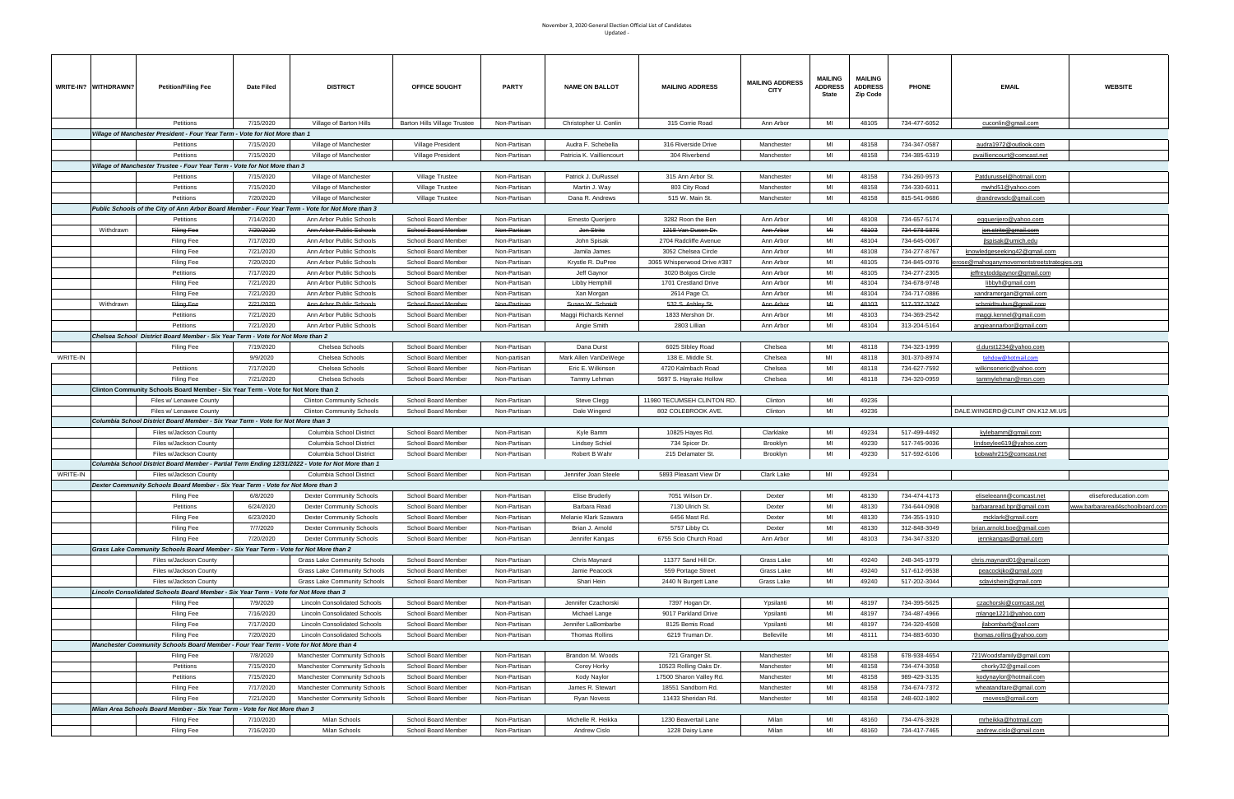|          | WRITE-IN? WITHDRAWN? | <b>Petition/Filing Fee</b>                                                                        | Date Filed | <b>DISTRICT</b>                     | <b>OFFICE SOUGHT</b>                | <b>PARTY</b> | <b>NAME ON BALLOT</b>     | <b>MAILING ADDRESS</b>      | <b>MAILING ADDRESS</b><br><b>CITY</b> | <b>MAILING</b><br><b>ADDRESS</b><br>State | <b>MAILING</b><br><b>ADDRESS</b><br><b>Zip Code</b> | <b>PHONE</b> | <b>EMAIL</b>                             | <b>WEBSITE</b>                  |
|----------|----------------------|---------------------------------------------------------------------------------------------------|------------|-------------------------------------|-------------------------------------|--------------|---------------------------|-----------------------------|---------------------------------------|-------------------------------------------|-----------------------------------------------------|--------------|------------------------------------------|---------------------------------|
|          |                      |                                                                                                   |            |                                     | <b>Barton Hills Village Trustee</b> |              |                           |                             |                                       | MI                                        | 48105                                               | 734-477-6052 |                                          |                                 |
|          |                      | Petitions                                                                                         | 7/15/2020  | Village of Barton Hills             |                                     | Non-Partisan | Christopher U. Conlin     | 315 Corrie Road             | Ann Arbor                             |                                           |                                                     |              | cuconlin@gmail.com                       |                                 |
|          |                      | Village of Manchester President - Four Year Term - Vote for Not More than 1                       |            |                                     |                                     |              |                           |                             |                                       |                                           |                                                     |              |                                          |                                 |
|          |                      | Petitions                                                                                         | 7/15/2020  | Village of Manchester               | Village President                   | Non-Partisan | Audra F. Schebella        | 316 Riverside Drive         | Manchester                            | MI                                        | 48158                                               | 734-347-0587 | audra1972@outlook.com                    |                                 |
|          |                      | Petitions                                                                                         | 7/15/2020  | Village of Manchester               | Village President                   | Non-Partisan | Patricia K. Vailliencourt | 304 Riverbend               | Manchester                            | MI                                        | 48158                                               | 734-385-6319 | pvailliencourt@comcast.net               |                                 |
|          |                      | Village of Manchester Trustee - Four Year Term - Vote for Not More than 3                         |            |                                     |                                     |              |                           |                             |                                       |                                           |                                                     |              |                                          |                                 |
|          |                      | Petitions                                                                                         | 7/15/2020  | Village of Manchester               | Village Trustee                     | Non-Partisan | Patrick J. DuRussel       | 315 Ann Arbor St.           | Manchester                            | MI                                        | 48158                                               | 734-260-9573 | Patdurussel@hotmail.com                  |                                 |
|          |                      | Petitions                                                                                         | 7/15/2020  | Village of Manchester               | Village Trustee                     | Non-Partisan | Martin J. Way             | 803 City Road               | Manchester                            | MI                                        | 48158                                               | 734-330-6011 | mwhd51@yahoo.com                         |                                 |
|          |                      |                                                                                                   |            |                                     |                                     |              |                           |                             |                                       | MI                                        |                                                     |              |                                          |                                 |
|          |                      | Petitions                                                                                         | 7/20/2020  | Village of Manchester               | <b>Village Trustee</b>              | Non-Partisan | Dana R. Andrews           | 515 W. Main St.             | Manchester                            |                                           | 48158                                               | 815-541-9686 | drandrewsdc@gmail.com                    |                                 |
|          |                      | Public Schools of the City of Ann Arbor Board Member - Four Year Term - Vote for Not More than 3  |            |                                     |                                     |              |                           |                             |                                       |                                           |                                                     |              |                                          |                                 |
|          |                      | Petitions                                                                                         | 7/14/2020  | Ann Arbor Public Schools            | School Board Member                 | Non-Partisan | Ernesto Querijero         | 3282 Roon the Ben           | Ann Arbor                             | MI                                        | 48108                                               | 734-657-5174 | <u>eqquerijero@yahoo.com</u>             |                                 |
|          | Withdrawn            | Filing Fee                                                                                        | 7/20/2020  | Ann Arbor Public Schools            | School Board Member                 | Non-Partisan | Jon Strite                | 1218 Van Dusen Dr.          | Ann Arbor                             | MH                                        | 48103                                               | 734-678-5876 | jon.strite@gmail.com                     |                                 |
|          |                      | Filing Fee                                                                                        | 7/17/2020  | Ann Arbor Public Schools            | School Board Member                 | Non-Partisan | John Spisak               | 2704 Radcliffe Avenue       | Ann Arbor                             | MI                                        | 48104                                               | 734-645-0067 | jlspisak@umich.edu                       |                                 |
|          |                      | Filing Fee                                                                                        | 7/21/2020  | Ann Arbor Public Schools            | School Board Member                 | Non-Partisan | Jamila James              | 3052 Chelsea Circle         | Ann Arbor                             | MI                                        | 48108                                               | 734-277-8767 | knowledgeseeking42@gmail.com             |                                 |
|          |                      | Filing Fee                                                                                        | 7/20/2020  | Ann Arbor Public Schools            | School Board Member                 | Non-Partisan | Krystle R. DuPree         | 3065 Whisperwood Drive #387 | Ann Arbor                             | MI                                        | 48105                                               | 734-845-0976 | ose@mahoganymovementstreetstrategies.org |                                 |
|          |                      | Petitions                                                                                         | 7/17/2020  | Ann Arbor Public Schools            | School Board Member                 | Non-Partisan | Jeff Gaynor               | 3020 Bolgos Circle          | Ann Arbor                             | MI                                        | 48105                                               | 734-277-2305 | <u>ieffreytoddgaynor@gmail.com</u>       |                                 |
|          |                      |                                                                                                   | 7/21/2020  | Ann Arbor Public Schools            |                                     | Non-Partisan |                           | 1701 Crestland Drive        | Ann Arbor                             | MI                                        | 48104                                               | 734-678-9748 |                                          |                                 |
|          |                      | Filing Fee                                                                                        |            |                                     | School Board Member                 |              | Libby Hemphill            |                             |                                       |                                           |                                                     |              | libbyh@gmail.com                         |                                 |
|          |                      | Filing Fee                                                                                        | 7/21/2020  | Ann Arbor Public Schools            | School Board Member                 | Non-Partisan | Xan Morgan                | 2614 Page Ct.               | Ann Arbor                             | MI                                        | 48104                                               | 734-717-0886 | <u>xandramorqan@qmail.com</u>            |                                 |
|          | Withdrawn            | Filing Fee                                                                                        | 7/21/2020  | Ann Arbor Public Schools            | <b>School Board Member</b>          | Non-Partisan | Susan W. Schmidt          | 532 S. Ashley St.           | Ann Arbor                             | MH                                        | 48103                                               | 517-337-3247 | schmidtsubus@gmail.com                   |                                 |
|          |                      | Petitions                                                                                         | 7/21/2020  | Ann Arbor Public Schools            | School Board Member                 | Non-Partisan | Maggi Richards Kennel     | 1833 Mershon Dr.            | Ann Arbor                             | MI                                        | 48103                                               | 734-369-2542 | maggi.kennel@gmail.com                   |                                 |
|          |                      | Petitions                                                                                         | 7/21/2020  | Ann Arbor Public Schools            | School Board Member                 | Non-Partisan | Angie Smith               | 2803 Lillian                | Ann Arbor                             | MI                                        | 48104                                               | 313-204-5164 | angieannarbor@gmail.com                  |                                 |
|          |                      | Chelsea School District Board Member - Six Year Term - Vote for Not More than 2                   |            |                                     |                                     |              |                           |                             |                                       |                                           |                                                     |              |                                          |                                 |
|          |                      | Filing Fee                                                                                        | 7/19/2020  | Chelsea Schools                     | School Board Member                 | Non-Partisan | Dana Durst                | 6025 Sibley Road            | Chelsea                               | MI                                        | 48118                                               | 734-323-1999 | d.durst1234@yahoo.com                    |                                 |
| WRITE-IN |                      |                                                                                                   | 9/9/2020   | Chelsea Schools                     | School Board Member                 | Non-partisan | Mark Allen VanDeWege      | 138 E. Middle St.           | Chelsea                               | MI                                        | 48118                                               | 301-370-8974 | tehdow@hotmail.com                       |                                 |
|          |                      | Petitiions                                                                                        | 7/17/2020  |                                     |                                     | Non-Partisan |                           |                             | Chelsea                               | MI                                        | 48118                                               | 734-627-7592 |                                          |                                 |
|          |                      |                                                                                                   |            | Chelsea Schools                     | School Board Member                 |              | Eric E. Wilkinson         | 4720 Kalmbach Road          |                                       |                                           |                                                     |              | wilkinsoneric@yahoo.com                  |                                 |
|          |                      | Filing Fee                                                                                        | 7/21/2020  | Chelsea Schools                     | School Board Member                 | Non-Partisan | Tammy Lehman              | 5697 S. Hayrake Hollow      | Chelsea                               | MI                                        | 48118                                               | 734-320-0959 | tammylehman@msn.com                      |                                 |
|          |                      | Clinton Community Schools Board Member - Six Year Term - Vote for Not More than 2                 |            |                                     |                                     |              |                           |                             |                                       |                                           |                                                     |              |                                          |                                 |
|          |                      | Files w/ Lenawee County                                                                           |            | <b>Clinton Community Schools</b>    | School Board Member                 | Non-Partisan | Steve Clegg               | 11980 TECUMSEH CLINTON RD.  | Clinton                               | MI                                        | 49236                                               |              |                                          |                                 |
|          |                      | Files w/ Lenawee County                                                                           |            | <b>Clinton Community Schools</b>    | School Board Member                 | Non-Partisan | Dale Wingerd              | 802 COLEBROOK AVE.          | Clinton                               | MI                                        | 49236                                               |              | DALE.WINGERD@CLINT ON.K12.MI.US          |                                 |
|          |                      | Columbia School District Board Member - Six Year Term - Vote for Not More than 3                  |            |                                     |                                     |              |                           |                             |                                       |                                           |                                                     |              |                                          |                                 |
|          |                      | Files w/Jackson County                                                                            |            | Columbia School District            | School Board Member                 | Non-Partisan | Kyle Bamm                 | 10825 Hayes Rd.             | Clarklake                             | MI                                        | 49234                                               | 517-499-4492 | kylebamm@gmail.com                       |                                 |
|          |                      | Files w/Jackson County                                                                            |            | Columbia School District            | School Board Member                 | Non-Partisan | Lindsey Schiel            | 734 Spicer Dr.              | Brooklyn                              | MI                                        | 49230                                               | 517-745-9036 | lindseylee619@yahoo.com                  |                                 |
|          |                      | Files w/Jackson County                                                                            |            | Columbia School District            | School Board Member                 | Non-Partisan | Robert B Wahr             | 215 Delamater St.           | Brooklyn                              | MI                                        | 49230                                               | 517-592-6106 | bobwahr215@comcast.net                   |                                 |
|          |                      | Columbia School District Board Member - Partial Term Ending 12/31/2022 - Vote for Not More than 1 |            |                                     |                                     |              |                           |                             |                                       |                                           |                                                     |              |                                          |                                 |
|          |                      |                                                                                                   |            |                                     |                                     |              |                           |                             |                                       |                                           |                                                     |              |                                          |                                 |
| WRITE-IN |                      | Files w/Jackson County                                                                            |            | Columbia School District            | School Board Member                 | Non-Partisan | Jennifer Joan Steele      | 5893 Pleasant View Dr       | Clark Lake                            | MI                                        | 49234                                               |              |                                          |                                 |
|          |                      | Dexter Community Schools Board Member - Six Year Term - Vote for Not More than 3                  |            |                                     |                                     |              |                           |                             |                                       |                                           |                                                     |              |                                          |                                 |
|          |                      | Filing Fee                                                                                        | 6/8/2020   | <b>Dexter Community Schools</b>     | School Board Member                 | Non-Partisan | <b>Elise Bruderly</b>     | 7051 Wilson Dr.             | Dexter                                | MI                                        | 48130                                               | 734-474-4173 | eliseleeann@comcast.net                  | eliseforeducation.com           |
|          |                      | Petitions                                                                                         | 6/24/2020  | <b>Dexter Community Schools</b>     | School Board Member                 | Non-Partisan | Barbara Read              | 7130 Ulrich St.             | Dexter                                | MI                                        | 48130                                               | 734-644-0908 | barbararead.bpr@gmail.com                | www.barbararead4schoolboard.com |
|          |                      | Filing Fee                                                                                        | 6/23/2020  | <b>Dexter Community Schools</b>     | School Board Member                 | Non-Partisan | Melanie Klark Szawara     | 6456 Mast Rd.               | Dexter                                | MI                                        | 48130                                               | 734-355-1910 | mcklark@gmail.com                        |                                 |
|          |                      | Filing Fee                                                                                        | 7/7/2020   | <b>Dexter Community Schools</b>     | School Board Member                 | Non-Partisan | Brian J. Arnold           | 5757 Libby Ct.              | Dexter                                | MI                                        | 48130                                               | 312-848-3049 | brian.arnold.boe@gmail.com               |                                 |
|          |                      | Filing Fee                                                                                        | 7/20/2020  | <b>Dexter Community Schools</b>     | School Board Member                 | Non-Partisan | Jennifer Kangas           | 6755 Scio Church Road       | Ann Arbor                             | MI                                        | 48103                                               | 734-347-3320 | jennkangas@gmail.com                     |                                 |
|          |                      | Grass Lake Community Schools Board Member - Six Year Term - Vote for Not More than 2              |            |                                     |                                     |              |                           |                             |                                       |                                           |                                                     |              |                                          |                                 |
|          |                      | Files w/Jackson County                                                                            |            |                                     | School Board Member                 | Non-Partisan | Chris Maynard             | 11377 Sand Hill Dr.         | Grass Lake                            | MI                                        | 49240                                               | 248-345-1979 | chris.maynard01@gmail.com                |                                 |
|          |                      |                                                                                                   |            | Grass Lake Community Schools        |                                     |              |                           |                             |                                       |                                           |                                                     |              |                                          |                                 |
|          |                      | Files w/Jackson County                                                                            |            | Grass Lake Community Schools        | School Board Member                 | Non-Partisan | Jamie Peacock             | 559 Portage Street          | Grass Lake                            | MI                                        | 49240                                               | 517-612-9538 | peacockjko@gmail.com                     |                                 |
|          |                      | Files w/Jackson County                                                                            |            | <b>Grass Lake Community Schools</b> | School Board Member                 | Non-Partisan | Shari Hein                | 2440 N Burgett Lane         | Grass Lake                            | MI                                        | 49240                                               | 517-202-3044 | sdavishein@gmail.com                     |                                 |
|          |                      | Lincoln Consolidated Schools Board Member - Six Year Term - Vote for Not More than 3              |            |                                     |                                     |              |                           |                             |                                       |                                           |                                                     |              |                                          |                                 |
|          |                      | Filing Fee                                                                                        | 7/9/2020   | <b>Lincoln Consolidated Schools</b> | School Board Member                 | Non-Partisan | Jennifer Czachorski       | 7397 Hogan Dr.              | Ypsilanti                             | MI                                        | 48197                                               | 734-395-5625 | czachorski@comcast.net                   |                                 |
|          |                      | Filing Fee                                                                                        | 7/16/2020  | <b>Lincoln Consolidated Schools</b> | School Board Member                 | Non-Partisan | Michael Lange             | 9017 Parkland Drive         | Ypsilanti                             | MI                                        | 48197                                               | 734-487-4966 | mlange1221@yahoo.com                     |                                 |
|          |                      | Filing Fee                                                                                        | 7/17/2020  | <b>Lincoln Consolidated Schools</b> | School Board Member                 | Non-Partisan | Jennifer LaBombarbe       | 8125 Bemis Road             | Ypsilanti                             | MI                                        | 48197                                               | 734-320-4508 | jlabombarb@aol.com                       |                                 |
|          |                      | Filing Fee                                                                                        | 7/20/2020  | <b>Lincoln Consolidated Schools</b> | School Board Member                 | Non-Partisan | <b>Thomas Rollins</b>     | 6219 Truman Dr.             | Belleville                            | MI                                        | 48111                                               | 734-883-6030 | thomas.rollins@yahoo.com                 |                                 |
|          |                      | Manchester Community Schools Board Member - Four Year Term - Vote for Not More than 4             |            |                                     |                                     |              |                           |                             |                                       |                                           |                                                     |              |                                          |                                 |
|          |                      |                                                                                                   |            |                                     |                                     |              |                           |                             | Manchester                            | MI                                        | 48158                                               | 678-938-4654 |                                          |                                 |
|          |                      | Filing Fee                                                                                        | 7/8/2020   | Manchester Community Schools        | School Board Member                 | Non-Partisan | Brandon M. Woods          | 721 Granger St.             |                                       |                                           |                                                     |              | 721Woodsfamily@gmail.com                 |                                 |
|          |                      | Petitions                                                                                         | 7/15/2020  | Manchester Community Schools        | School Board Member                 | Non-Partisan | Corey Horky               | 10523 Rolling Oaks Dr.      | Manchester                            | MI                                        | 48158                                               | 734-474-3058 | chorky32@gmail.com                       |                                 |
|          |                      | Petitions                                                                                         | 7/15/2020  | Manchester Community Schools        | School Board Member                 | Non-Partisan | Kody Naylor               | 17500 Sharon Valley Rd.     | Manchester                            | MI                                        | 48158                                               | 989-429-3135 | kodynaylor@hotmail.com                   |                                 |
|          |                      | Filing Fee                                                                                        | 7/17/2020  | Manchester Community Schools        | School Board Member                 | Non-Partisan | James R. Stewart          | 18551 Sandborn Rd.          | Manchester                            | MI                                        | 48158                                               | 734-674-7372 | wheatandtare@gmail.com                   |                                 |
|          |                      | Filing Fee                                                                                        | 7/21/2020  | Manchester Community Schools        | School Board Member                 | Non-Partisan | Ryan Novess               | 11433 Sheridan Rd.          | Manchester                            | MI                                        | 48158                                               | 248-602-1802 | rnovess@gmail.com                        |                                 |
|          |                      | Milan Area Schools Board Member - Six Year Term - Vote for Not More than 3                        |            |                                     |                                     |              |                           |                             |                                       |                                           |                                                     |              |                                          |                                 |
|          |                      | Filing Fee                                                                                        | 7/10/2020  | Milan Schools                       | School Board Member                 | Non-Partisan | Michelle R. Heikka        | 1230 Beavertail Lane        | Milan                                 | MI                                        | 48160                                               | 734-476-3928 | mrheikka@hotmail.com                     |                                 |
|          |                      | Filing Fee                                                                                        | 7/16/2020  | Milan Schools                       | School Board Member                 | Non-Partisan | Andrew Cislo              | 1228 Daisy Lane             | Milan                                 | MI                                        | 48160                                               | 734-417-7465 | andrew.cislo@gmail.com                   |                                 |
|          |                      |                                                                                                   |            |                                     |                                     |              |                           |                             |                                       |                                           |                                                     |              |                                          |                                 |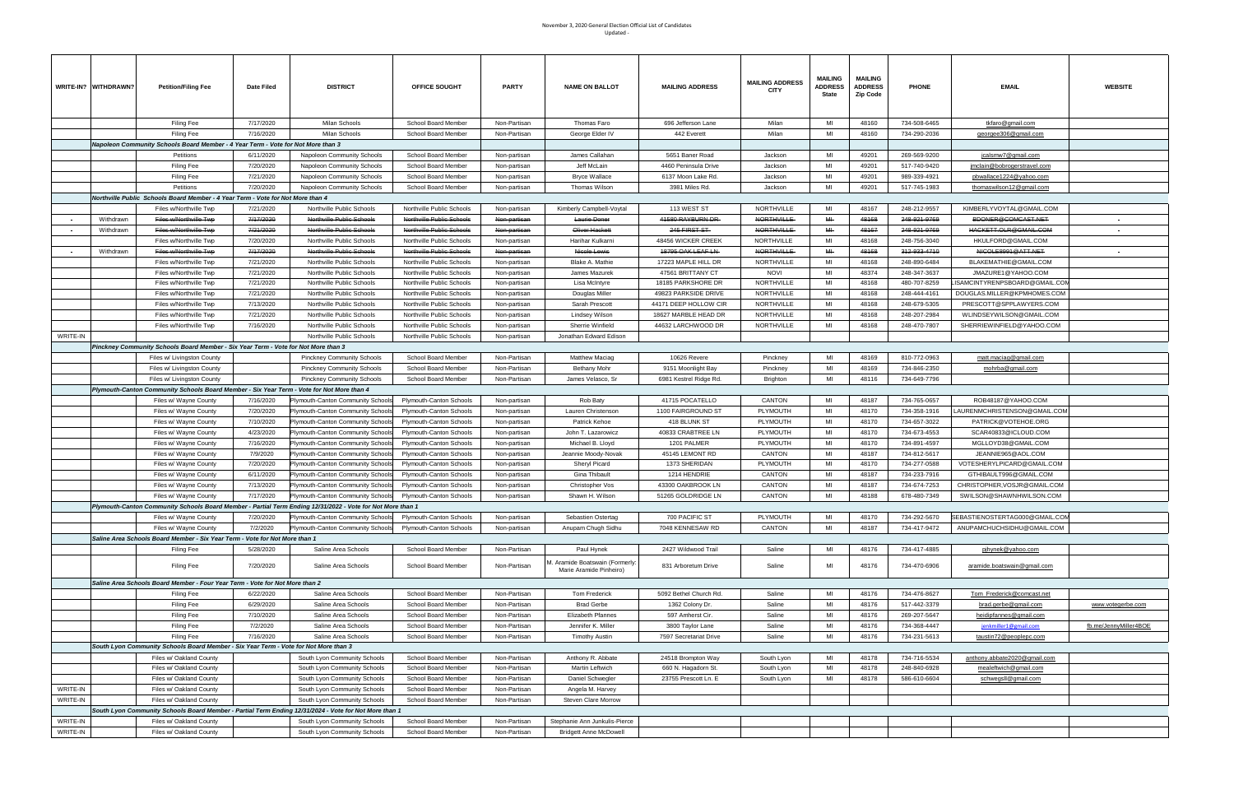|          | WRITE-IN? WITHDRAWN?   | <b>Petition/Filing Fee</b>                                                                | Date Filed             | <b>DISTRICT</b>                                                                                            | OFFICE SOUGHT                                          | PARTY                        | <b>NAME ON BALLOT</b>                                       | <b>MAILING ADDRESS</b>             | <b>MAILING ADDRESS</b><br>CITY         | <b>MAILING</b><br><b>ADDRESS</b><br>State | <b>MAILING</b><br><b>ADDRESS</b><br>Zip Code | <b>PHONE</b>                 | <b>EMAIL</b>                                       | <b>WEBSITE</b>        |
|----------|------------------------|-------------------------------------------------------------------------------------------|------------------------|------------------------------------------------------------------------------------------------------------|--------------------------------------------------------|------------------------------|-------------------------------------------------------------|------------------------------------|----------------------------------------|-------------------------------------------|----------------------------------------------|------------------------------|----------------------------------------------------|-----------------------|
|          |                        | Filing Fee                                                                                | 7/17/2020              | Milan Schools                                                                                              | School Board Member                                    | Non-Partisan                 | Thomas Faro                                                 | 696 Jefferson Lane                 | Milan                                  | MI                                        | 48160                                        | 734-508-6465                 | tkfaro@gmail.com                                   |                       |
|          |                        | Filing Fee                                                                                | 7/16/2020              | Milan Schools                                                                                              | School Board Member                                    | Non-Partisan                 | George Elder IV                                             | 442 Everett                        | Milan                                  | MI                                        | 48160                                        | 734-290-2036                 | georgee306@gmail.com                               |                       |
|          |                        | Napoleon Community Schools Board Member - 4 Year Term - Vote for Not More than 3          |                        |                                                                                                            |                                                        |                              |                                                             |                                    |                                        |                                           |                                              |                              |                                                    |                       |
|          |                        | Petitions                                                                                 | 6/11/2020              | <b>Napoleon Community Schools</b>                                                                          | School Board Member                                    | Non-partisan                 | James Callahan                                              | 5651 Baner Road                    | Jackson                                | MI                                        | 49201                                        | 269-569-9200                 | jcalsmw7@gmail.com                                 |                       |
|          |                        | Filing Fee                                                                                | 7/20/2020              | <b>Napoleon Community Schools</b>                                                                          | School Board Member                                    | Non-partisan                 | Jeff McLain                                                 | 4460 Peninsula Drive               | Jackson                                | MI                                        | 49201                                        | 517-740-9420                 | imclain@bobrogerstravel.com                        |                       |
|          |                        | Filing Fee                                                                                | 7/21/2020              | Napoleon Community Schools                                                                                 | School Board Member                                    | Non-partisan                 | Bryce Wallace                                               | 6137 Moon Lake Rd.                 | Jackson                                | MI                                        | 49201                                        | 989-339-4921                 | pbwallace1224@yahoo.com                            |                       |
|          |                        | Petitions                                                                                 | 7/20/2020              | Napoleon Community Schools                                                                                 | School Board Member                                    | Non-partisan                 | Thomas Wilson                                               | 3981 Miles Rd.                     | Jackson                                | MI                                        | 49201                                        | 517-745-1983                 | <u>thomaswilson12@gmail.com</u>                    |                       |
|          |                        | Northville Public Schools Board Member - 4 Year Term - Vote for Not More than 4           |                        |                                                                                                            |                                                        |                              |                                                             |                                    |                                        |                                           |                                              |                              |                                                    |                       |
|          |                        | Files w/Northville Twp                                                                    | 7/21/2020              | Northville Public Schools                                                                                  | Northville Public Schools                              | Non-partisan                 | Kimberly Campbell-Voytal                                    | 113 WEST ST                        | NORTHVILLE                             | MI<br>MH-                                 | 48167                                        | 248-212-9557                 | KIMBERLYVOYTAL@GMAIL.COM<br>BDONER@COMCAST.NET     |                       |
|          | Withdrawn<br>Withdrawn | Files w/Northville Twp<br>Files w/Northville Twp                                          | 7/17/2020<br>7/21/2020 | Northville Public Schools<br>Northville Public Schools                                                     | Northville Public Schools<br>Northville Public Schools | Non-partisan<br>Non-partisar | Laurie Doner<br>Oliver Hackett                              | 41580 RAYBURN DR<br>245 FIRST ST   | <b>NORTHVILLE</b><br><b>NORTHVILLE</b> | MH                                        | 48168<br>48167                               | 248-921-9769<br>248-921-9769 | HACKETT.OLR@GMAIL.COM                              |                       |
|          |                        | Files w/Northville Twp                                                                    | 7/20/2020              | Northville Public Schools                                                                                  | Northville Public Schools                              | Non-partisan                 | Harihar Kulkarni                                            | 48456 WICKER CREEK                 | NORTHVILLE                             | MI                                        | 48168                                        | 248-756-3040                 | HKULFORD@GMAIL.COM                                 |                       |
|          | Withdrawn              | Files w/Northville Twp                                                                    | 7/17/2020              | Northville Public Schools                                                                                  | Northville Public Schools                              | <del>Non-partisar</del>      | Nicole Lewis                                                | 18795 OAK LEAF LN                  | NORTHVILLE-                            | $H +$                                     | 48168                                        | 312-933-4710                 | NICOLE8991@ATT.NET                                 |                       |
|          |                        | Files w/Northville Twp                                                                    | 7/21/2020              | Northville Public Schools                                                                                  | Northville Public Schools                              | Non-partisan                 | Blake A. Mathie                                             | 17223 MAPLE HILL DR                | NORTHVILLE                             | MI                                        | 48168                                        | 248-890-6484                 | BLAKEMATHIE@GMAIL.COM                              |                       |
|          |                        | Files w/Northville Twp                                                                    | 7/21/2020              | Northville Public Schools                                                                                  | Northville Public Schools                              | Non-partisan                 | James Mazurek                                               | 47561 BRITTANY CT                  | <b>NOVI</b>                            | MI                                        | 48374                                        | 248-347-3637                 | JMAZURE1@YAHOO.COM                                 |                       |
|          |                        | Files w/Northville Twp                                                                    | 7/21/2020              | Northville Public Schools                                                                                  | Northville Public Schools                              | Non-partisan                 | Lisa McIntyre                                               | 18185 PARKSHORE DR                 | NORTHVILLE                             | MI                                        | 48168                                        | 480-707-8259                 | ISAMCINTYRENPSBOARD@GMAIL.COM                      |                       |
|          |                        | Files w/Northville Twp                                                                    | 7/21/2020              | Northville Public Schools                                                                                  | Northville Public Schools                              | Non-partisan                 | Douglas Miller                                              | 49823 PARKSIDE DRIVE               | NORTHVILLE                             | MI                                        | 48168                                        | 248-444-4161                 | DOUGLAS.MILLER@KPMHOMES.COM                        |                       |
|          |                        | Files w/Northville Twp                                                                    | 7/13/2020              | Northville Public Schools                                                                                  | Northville Public Schools                              | Non-partisan                 | Sarah Prescott                                              | 44171 DEEP HOLLOW CIR              | NORTHVILLE                             | MI                                        | 48168                                        | 248-679-5305                 | PRESCOTT@SPPLAWYERS.COM                            |                       |
|          |                        | Files w/Northville Twp                                                                    | 7/21/2020              | Northville Public Schools                                                                                  | Northville Public Schools                              | Non-partisan                 | Lindsey Wilson                                              | 18627 MARBLE HEAD DR               | NORTHVILLE                             | MI                                        | 48168                                        | 248-207-2984                 | WLINDSEYWILSON@GMAIL.COM                           |                       |
|          |                        | Files w/Northville Twp                                                                    | 7/16/2020              | Northville Public Schools                                                                                  | Northville Public Schools                              | Non-partisan                 | Sherrie Winfield                                            | 44632 LARCHWOOD DR                 | NORTHVILLE                             | MI                                        | 48168                                        | 248-470-7807                 | SHERRIEWINFIELD@YAHOO.COM                          |                       |
| WRITE-IN |                        |                                                                                           |                        | Northville Public Schools                                                                                  | Northville Public Schools                              | Non-partisan                 | Jonathan Edward Edison                                      |                                    |                                        |                                           |                                              |                              |                                                    |                       |
|          |                        | Pinckney Community Schools Board Member - Six Year Term - Vote for Not More than 3        |                        |                                                                                                            |                                                        |                              |                                                             |                                    |                                        |                                           |                                              |                              |                                                    |                       |
|          |                        | Files w/ Livingston County                                                                |                        | <b>Pinckney Community Schools</b>                                                                          | School Board Member                                    | Non-Partisan                 | Matthew Maciag                                              | 10626 Revere                       | Pinckney                               | MI                                        | 48169                                        | 810-772-0963                 | matt.maciag@gmail.com                              |                       |
|          |                        | Files w/ Livingston County                                                                |                        | <b>Pinckney Community Schools</b>                                                                          | School Board Member                                    | Non-Partisan                 | <b>Bethany Mohr</b>                                         | 9151 Moonlight Bay                 | Pinckney                               | MI                                        | 48169                                        | 734-846-2350                 | mohrba@gmail.com                                   |                       |
|          |                        | Files w/ Livingston County                                                                |                        | <b>Pinckney Community Schools</b>                                                                          | School Board Member                                    | Non-Partisan                 | James Velasco, Sr                                           | 6981 Kestrel Ridge Rd.             | <b>Brighton</b>                        | MI                                        | 48116                                        | 734-649-7796                 |                                                    |                       |
|          |                        | Plymouth-Canton Community Schools Board Member - Six Year Term - Vote for Not More than 4 |                        |                                                                                                            |                                                        |                              |                                                             |                                    |                                        |                                           |                                              |                              |                                                    |                       |
|          |                        | Files w/ Wayne County                                                                     | 7/16/2020              | Plymouth-Canton Community Schools                                                                          | Plymouth-Canton Schools                                | Non-partisan                 | Rob Baty                                                    | 41715 POCATELLO                    | CANTON                                 | MI<br>MI                                  | 48187                                        | 734-765-0657                 | ROB48187@YAHOO.COM                                 |                       |
|          |                        | Files w/ Wayne County                                                                     | 7/20/2020              | Plymouth-Canton Community Schools                                                                          | <b>Plymouth-Canton Schools</b>                         | Non-partisan                 | Lauren Christenson<br>Patrick Kehoe                         | 1100 FAIRGROUND ST<br>418 BLUNK ST | PLYMOUTH<br>PLYMOUTH                   | MI                                        | 48170<br>48170                               | 734-358-1916<br>734-657-3022 | AURENMCHRISTENSON@GMAIL.COM<br>PATRICK@VOTEHOE.ORG |                       |
|          |                        | Files w/ Wayne County<br>Files w/ Wayne County                                            | 7/10/2020<br>4/23/2020 | Plymouth-Canton Community Schools<br>Plymouth-Canton Community Schools                                     | Plymouth-Canton Schools<br>Plymouth-Canton Schools     | Non-partisan<br>Non-partisan | John T. Lazarowicz                                          | 40833 CRABTREE LN                  | PLYMOUTH                               | MI                                        | 48170                                        | 734-673-4553                 | SCAR40833@ICLOUD.COM                               |                       |
|          |                        | Files w/ Wayne County                                                                     | 7/16/2020              | Plymouth-Canton Community Schools                                                                          | Plymouth-Canton Schools                                | Non-partisan                 | Michael B. Lloyd                                            | 1201 PALMER                        | PLYMOUTH                               | MI                                        | 48170                                        | 734-891-4597                 | MGLLOYD38@GMAIL.COM                                |                       |
|          |                        | Files w/ Wayne County                                                                     | 7/9/2020               | Plymouth-Canton Community School                                                                           | Plymouth-Canton Schools                                | Non-partisan                 | Jeannie Moody-Novak                                         | 45145 LEMONT RD                    | CANTON                                 | MI                                        | 48187                                        | 734-812-5617                 | JEANNIE965@AOL.COM                                 |                       |
|          |                        | Files w/ Wayne County                                                                     | 7/20/2020              | Plymouth-Canton Community Schools                                                                          | Plymouth-Canton Schools                                | Non-partisan                 | Sheryl Picard                                               | 1373 SHERIDAN                      | PLYMOUTH                               | MI                                        | 48170                                        | 734-277-0588                 | VOTESHERYLPICARD@GMAIL.COM                         |                       |
|          |                        | Files w/ Wayne County                                                                     | 6/11/2020              | Plymouth-Canton Community Schools                                                                          | Plymouth-Canton Schools                                | Non-partisan                 | Gina Thibault                                               | 1214 HENDRIE                       | CANTON                                 | MI                                        | 48187                                        | 734-233-7916                 | GTHIBAULT996@GMAIL.COM                             |                       |
|          |                        | Files w/ Wayne County                                                                     | 7/13/2020              | Plymouth-Canton Community Schools                                                                          | Plymouth-Canton Schools                                | Non-partisan                 | Christopher Vos                                             | 43300 OAKBROOK LN                  | CANTON                                 | MI                                        | 48187                                        | 734-674-7253                 | CHRISTOPHER, VOSJR@GMAIL.COM                       |                       |
|          |                        | Files w/ Wayne County                                                                     | 7/17/2020              | Plymouth-Canton Community Schools                                                                          | Plymouth-Canton Schools                                | Non-partisan                 | Shawn H. Wilson                                             | 51265 GOLDRIDGE LN                 | CANTON                                 | MI                                        | 48188                                        | 678-480-7349                 | SWILSON@SHAWNHWILSON.COM                           |                       |
|          |                        |                                                                                           |                        | Plymouth-Canton Community Schools Board Member - Partial Term Ending 12/31/2022 - Vote for Not More than 1 |                                                        |                              |                                                             |                                    |                                        |                                           |                                              |                              |                                                    |                       |
|          |                        | Files w/ Wayne County                                                                     | 7/20/2020              | Plymouth-Canton Community Schools                                                                          | Plymouth-Canton Schools                                | Non-partisan                 | Sebastien Ostertag                                          | 700 PACIFIC ST                     | PLYMOUTH                               | MI                                        | 48170                                        | 734-292-5670                 | SEBASTIENOSTERTAG000@GMAIL.COM                     |                       |
|          |                        | Files w/ Wayne County                                                                     | 7/2/2020               | Plymouth-Canton Community School                                                                           | Plymouth-Canton Schools                                | Non-partisan                 | Anupam Chugh Sidhu                                          | 7048 KENNESAW RD                   | CANTON                                 | MI                                        | 48187                                        | 734-417-9472                 | ANUPAMCHUCHSIDHU@GMAIL.COM                         |                       |
|          |                        | Saline Area Schools Board Member - Six Year Term - Vote for Not More than 1               |                        |                                                                                                            |                                                        |                              |                                                             |                                    |                                        |                                           |                                              |                              |                                                    |                       |
|          |                        | Filing Fee                                                                                | 5/28/2020              | Saline Area Schools                                                                                        | School Board Member                                    | Non-Partisan                 | Paul Hynek                                                  | 2427 Wildwood Trail                | Saline                                 | MI                                        | 48176                                        | 734-417-4885                 | pihynek@yahoo.com                                  |                       |
|          |                        | Filing Fee                                                                                | 7/20/2020              | Saline Area Schools                                                                                        | School Board Member                                    | Non-Partisan                 | VI. Aramide Boatswain (Formerly:<br>Marie Aramide Pinheiro) | 831 Arboretum Drive                | Saline                                 | MI                                        | 48176                                        | 734-470-6906                 | aramide.boatswain@gmail.com                        |                       |
|          |                        | Saline Area Schools Board Member - Four Year Term - Vote for Not More than 2              |                        |                                                                                                            |                                                        |                              |                                                             |                                    |                                        |                                           |                                              |                              |                                                    |                       |
|          |                        | Filing Fee                                                                                | 6/22/2020              | Saline Area Schools                                                                                        | School Board Member                                    | Non-Partisan                 | <b>Tom Frederick</b>                                        | 5092 Bethel Church Rd.             | Saline                                 | MI                                        | 48176                                        | 734-476-8627                 | Tom_Frederick@comcast.net                          |                       |
|          |                        | <b>Filing Fee</b>                                                                         | 6/29/2020              | Saline Area Schools                                                                                        | School Board Member                                    | Non-Partisan                 | <b>Brad Gerbe</b>                                           | 1362 Colony Dr.                    | Saline                                 | MI                                        | 48176                                        | 517-442-3379                 | brad.gerbe@gmail.com                               | www.votegerbe.com     |
|          |                        | Filing Fee                                                                                | 7/10/2020              | Saline Area Schools                                                                                        | School Board Member                                    | Non-Partisan                 | Elizabeth Pfannes                                           | 597 Amherst Cir.                   | Saline                                 | MI                                        | 48176                                        | 269-207-5647                 | heidipfannes@gmail.com                             |                       |
|          |                        | Filing Fee                                                                                | 7/2/2020               | Saline Area Schools                                                                                        | School Board Member                                    | Non-Partisan                 | Jennifer K. Miller                                          | 3800 Taylor Lane                   | Saline                                 | MI                                        | 48176                                        | 734-368-4447                 | jenkmiller1@gmail.com                              | fb.me/JennyMiller4BOE |
|          |                        | Filing Fee                                                                                | 7/16/2020              | Saline Area Schools                                                                                        | School Board Member                                    | Non-Partisan                 | <b>Timothy Austin</b>                                       | 7597 Secretariat Drive             | Saline                                 | MI                                        | 48176                                        | 734-231-5613                 | taustin72@peoplepc.com                             |                       |
|          |                        | South Lyon Community Schools Board Member - Six Year Term - Vote for Not More than 3      |                        |                                                                                                            |                                                        |                              |                                                             |                                    |                                        |                                           |                                              |                              |                                                    |                       |
|          |                        | Files w/ Oakland County                                                                   |                        | South Lyon Community Schools                                                                               | School Board Member                                    | Non-Partisan                 | Anthony R. Abbate                                           | 24518 Brompton Way                 | South Lyon                             | MI<br>MI                                  | 48178                                        | 734-716-5534                 | anthony.abbate2020@gmail.com                       |                       |
|          |                        | Files w/ Oakland County                                                                   |                        | South Lyon Community Schools                                                                               | School Board Member                                    | Non-Partisan                 | Martin Leftwich                                             | 660 N. Hagadorn St.                | South Lyon                             | MI                                        | 48178                                        | 248-840-6928                 | mealeftwich@gmail.com                              |                       |
| WRITE-IN |                        | Files w/ Oakland County<br>Files w/ Oakland County                                        |                        | South Lyon Community Schools<br>South Lyon Community Schools                                               | School Board Member<br>School Board Member             | Non-Partisan<br>Non-Partisan | Daniel Schwegler<br>Angela M. Harvey                        | 23755 Prescott Ln. E               | South Lyon                             |                                           | 48178                                        | 586-610-6604                 | schwegsll@gmail.com                                |                       |
| WRITE-IN |                        | Files w/ Oakland County                                                                   |                        | South Lyon Community Schools                                                                               | School Board Member                                    | Non-Partisan                 | Steven Clare Morrow                                         |                                    |                                        |                                           |                                              |                              |                                                    |                       |
|          |                        |                                                                                           |                        | South Lyon Community Schools Board Member - Partial Term Ending 12/31/2024 - Vote for Not More than 1      |                                                        |                              |                                                             |                                    |                                        |                                           |                                              |                              |                                                    |                       |
| WRITE-IN |                        | Files w/ Oakland County                                                                   |                        | South Lyon Community Schools                                                                               | School Board Member                                    | Non-Partisan                 | Stephanie Ann Junkulis-Pierce                               |                                    |                                        |                                           |                                              |                              |                                                    |                       |
| WRITE-IN |                        | Files w/ Oakland County                                                                   |                        | South Lyon Community Schools                                                                               | School Board Member                                    | Non-Partisan                 | <b>Bridgett Anne McDowell</b>                               |                                    |                                        |                                           |                                              |                              |                                                    |                       |
|          |                        |                                                                                           |                        |                                                                                                            |                                                        |                              |                                                             |                                    |                                        |                                           |                                              |                              |                                                    |                       |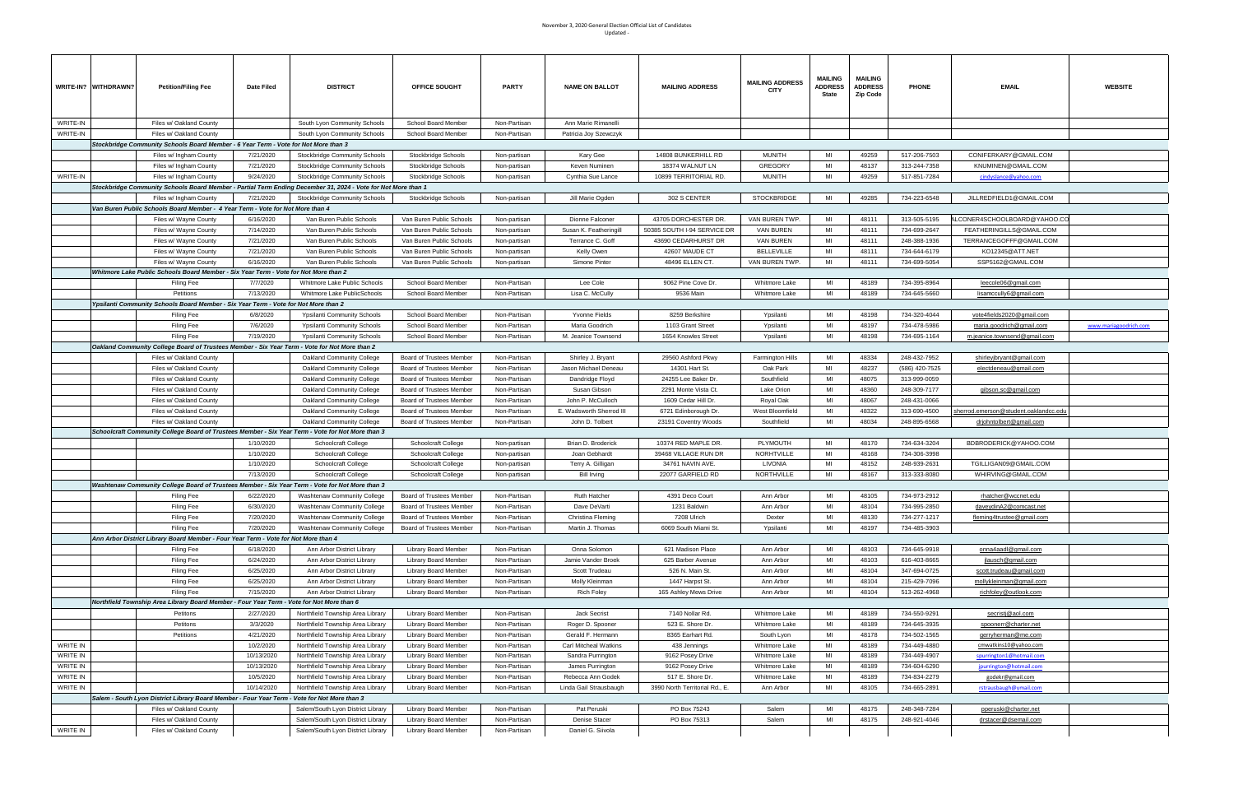|                 | WRITE-IN? WITHDRAWN?                                                                                          | <b>Petition/Filing Fee</b>                                                                        | Date Filed             | <b>DISTRICT</b>                                                                                   | OFFICE SOUGHT                                        | <b>PARTY</b>                 | <b>NAME ON BALLOT</b>                     | <b>MAILING ADDRESS</b>                              | <b>MAILING ADDRESS</b><br><b>CITY</b> | <b>MAILING</b><br><b>ADDRESS</b><br>State | <b>MAILING</b><br><b>ADDRESS</b><br><b>Zip Code</b> | <b>PHONE</b>                 | <b>EMAIL</b>                                            | <b>WEBSITE</b>        |
|-----------------|---------------------------------------------------------------------------------------------------------------|---------------------------------------------------------------------------------------------------|------------------------|---------------------------------------------------------------------------------------------------|------------------------------------------------------|------------------------------|-------------------------------------------|-----------------------------------------------------|---------------------------------------|-------------------------------------------|-----------------------------------------------------|------------------------------|---------------------------------------------------------|-----------------------|
| WRITE-IN        |                                                                                                               | Files w/ Oakland County                                                                           |                        | South Lyon Community Schools                                                                      | School Board Member                                  | Non-Partisan                 | Ann Marie Rimanelli                       |                                                     |                                       |                                           |                                                     |                              |                                                         |                       |
| WRITE-IN        |                                                                                                               | Files w/ Oakland County                                                                           |                        | South Lyon Community Schools                                                                      | School Board Member                                  | Non-Partisan                 | Patricia Joy Szewczyk                     |                                                     |                                       |                                           |                                                     |                              |                                                         |                       |
|                 |                                                                                                               | Stockbridge Community Schools Board Member - 6 Year Term - Vote for Not More than 3               |                        |                                                                                                   |                                                      |                              |                                           |                                                     |                                       |                                           |                                                     |                              |                                                         |                       |
|                 |                                                                                                               | Files w/ Ingham County                                                                            | 7/21/2020              | Stockbridge Community Schools                                                                     | Stockbridge Schools                                  | Non-partisan                 | Kary Gee                                  | 14808 BUNKERHILL RD                                 | <b>MUNITH</b>                         | MI                                        | 49259                                               | 517-206-7503                 | CONIFERKARY@GMAIL.COM                                   |                       |
|                 |                                                                                                               | Files w/ Ingham County                                                                            | 7/21/2020              | <b>Stockbridge Community Schools</b>                                                              | Stockbridge Schools                                  | Non-partisan                 | Keven Numinen                             | 18374 WALNUT LN                                     | <b>GREGORY</b>                        | MI                                        | 48137                                               | 313-244-7358                 | KNUMINEN@GMAIL.COM                                      |                       |
| WRITE-IN        |                                                                                                               | Files w/ Ingham County                                                                            | 9/24/2020              | Stockbridge Community Schools                                                                     | Stockbridge Schools                                  | Non-partisan                 | Cynthia Sue Lance                         | 10899 TERRITORIAL RD.                               | <b>MUNITH</b>                         | MI                                        | 49259                                               | 517-851-7284                 | cindyslance@yahoo.com                                   |                       |
|                 | Stockbridge Community Schools Board Member - Partial Term Ending December 31, 2024 - Vote for Not More than 1 |                                                                                                   |                        |                                                                                                   |                                                      |                              |                                           |                                                     |                                       |                                           |                                                     |                              |                                                         |                       |
|                 |                                                                                                               | Files w/ Ingham County                                                                            | 7/21/2020              | Stockbridge Community Schools                                                                     | Stockbridge Schools                                  | Non-partisan                 | Jill Marie Ogden                          | 302 S CENTER                                        | <b>STOCKBRIDGE</b>                    | MI                                        | 49285                                               | 734-223-6548                 | JILLREDFIELD1@GMAIL.COM                                 |                       |
|                 |                                                                                                               | Van Buren Public Schools Board Member - 4 Year Term - Vote for Not More than 4                    |                        |                                                                                                   |                                                      |                              |                                           |                                                     |                                       |                                           |                                                     |                              |                                                         |                       |
|                 |                                                                                                               | Files w/ Wayne County<br>Files w/ Wayne County                                                    | 6/16/2020<br>7/14/2020 | Van Buren Public Schools<br>Van Buren Public Schools                                              | Van Buren Public Schools<br>Van Buren Public Schools | Non-partisan<br>Non-partisan | Dionne Falconer<br>Susan K. Featheringill | 43705 DORCHESTER DR.<br>50385 SOUTH I-94 SERVICE DR | VAN BUREN TWP.<br>VAN BUREN           | MI<br>MI                                  | 48111<br>48111                                      | 313-505-5195<br>734-699-2647 | LCONER4SCHOOLBOARD@YAHOO.CO<br>FEATHERINGILLS@GMAIL.COM |                       |
|                 |                                                                                                               | Files w/ Wayne County                                                                             | 7/21/2020              | Van Buren Public Schools                                                                          | Van Buren Public Schools                             | Non-partisan                 | Terrance C. Goff                          | 43690 CEDARHURST DR                                 | VAN BUREN                             | MI                                        | 48111                                               | 248-388-1936                 | TERRANCEGOFFF@GMAIL.COM                                 |                       |
|                 |                                                                                                               | Files w/ Wayne County                                                                             | 7/21/2020              | Van Buren Public Schools                                                                          | Van Buren Public Schools                             | Non-partisan                 | Kelly Owen                                | 42607 MAUDE CT                                      | <b>BELLEVILLE</b>                     | MI                                        | 48111                                               | 734-644-6179                 | KO12345@ATT.NET                                         |                       |
|                 |                                                                                                               | Files w/ Wayne County                                                                             | 6/16/2020              | Van Buren Public Schools                                                                          | Van Buren Public Schools                             | Non-partisan                 | Simone Pinter                             | 48496 ELLEN CT.                                     | VAN BUREN TWP.                        | MI                                        | 48111                                               | 734-699-5054                 | SSP5162@GMAIL.COM                                       |                       |
|                 |                                                                                                               | Whitmore Lake Public Schools Board Member - Six Year Term - Vote for Not More than 2              |                        |                                                                                                   |                                                      |                              |                                           |                                                     |                                       |                                           |                                                     |                              |                                                         |                       |
|                 |                                                                                                               | <b>Filing Fee</b>                                                                                 | 7/7/2020               | Whitmore Lake Public Schools                                                                      | School Board Member                                  | Non-Partisan                 | Lee Cole                                  | 9062 Pine Cove Dr.                                  | Whitmore Lake                         | MI                                        | 48189                                               | 734-395-8964                 | leecole06@gmail.com                                     |                       |
|                 |                                                                                                               | Petitions                                                                                         | 7/13/2020              | Whitmore Lake PublicSchools                                                                       | School Board Member                                  | Non-Partisan                 | Lisa C. McCully                           | 9536 Main                                           | Whitmore Lake                         | MI                                        | 48189                                               | 734-645-5660                 | isamccully6@gmail.com                                   |                       |
|                 |                                                                                                               | Ypsilanti Community Schools Board Member - Six Year Term - Vote for Not More than 2               |                        |                                                                                                   |                                                      |                              |                                           |                                                     |                                       |                                           |                                                     |                              |                                                         |                       |
|                 |                                                                                                               | Filing Fee                                                                                        | 6/8/2020               | <b>Ypsilanti Community Schools</b>                                                                | School Board Member                                  | Non-Partisan                 | Yvonne Fields                             | 8259 Berkshire                                      | Ypsilanti                             | MI                                        | 48198                                               | 734-320-4044                 | vote4fields2020@gmail.com                               |                       |
|                 |                                                                                                               | Filing Fee                                                                                        | 7/6/2020               | <b>Ypsilanti Community Schools</b>                                                                | School Board Member                                  | Non-Partisan                 | Maria Goodrich                            | 1103 Grant Street                                   | Ypsilanti                             | MI                                        | 48197                                               | 734-478-5986                 | <u>maria.qoodrich@qmail.com</u>                         | www.mariagoodrich.con |
|                 |                                                                                                               | Filing Fee                                                                                        | 7/19/2020              | <b>Ypsilanti Community Schools</b>                                                                | School Board Member                                  | Non-Partisan                 | M. Jeanice Townsend                       | 1654 Knowles Street                                 | Ypsilanti                             | MI                                        | 48198                                               | 734-695-1164                 | m.jeanice.townsend@gmail.com                            |                       |
|                 |                                                                                                               | Oakland Community College Board of Trustees Member - Six Year Term - Vote for Not More than 2     |                        |                                                                                                   |                                                      |                              |                                           |                                                     |                                       |                                           |                                                     |                              |                                                         |                       |
|                 |                                                                                                               | Files w/ Oakland County                                                                           |                        | Oakland Community College                                                                         | Board of Trustees Member                             | Non-Partisan                 | Shirley J. Bryant                         | 29560 Ashford Pkwy                                  | Farmington Hills                      | MI                                        | 48334                                               | 248-432-7952                 | shirleyjbryant@gmail.com                                |                       |
|                 |                                                                                                               | Files w/ Oakland County                                                                           |                        | Oakland Community College                                                                         | Board of Trustees Member                             | Non-Partisan                 | Jason Michael Deneau                      | 14301 Hart St.                                      | Oak Park                              | MI                                        | 48237                                               | (586) 420-7525               | <u>electdeneau@gmail.com</u>                            |                       |
|                 |                                                                                                               | Files w/ Oakland County                                                                           |                        | Oakland Community College                                                                         | Board of Trustees Member                             | Non-Partisan                 | Dandridge Floyd                           | 24255 Lee Baker Dr.                                 | Southfield                            | MI<br>MI                                  | 48075<br>48360                                      | 313-999-0059<br>248-309-7177 |                                                         |                       |
|                 |                                                                                                               | Files w/ Oakland County<br>Files w/ Oakland County                                                |                        | Oakland Community College<br>Oakland Community College                                            | Board of Trustees Member<br>Board of Trustees Member | Non-Partisan<br>Non-Partisan | Susan Gibson<br>John P. McCulloch         | 2291 Monte Vista Ct.<br>1609 Cedar Hill Dr.         | Lake Orion<br>Royal Oak               | MI                                        | 48067                                               | 248-431-0066                 | gibson.sc@gmail.com                                     |                       |
|                 |                                                                                                               | Files w/ Oakland County                                                                           |                        | <b>Oakland Community College</b>                                                                  | Board of Trustees Member                             | Non-Partisar                 | E. Wadsworth Sherrod III                  | 6721 Edinborough Dr.                                | West Bloomfield                       | MI                                        | 48322                                               | 313-690-4500                 | sherrod.emerson@student.oaklandcc.edu                   |                       |
|                 |                                                                                                               | Files w/ Oakland County                                                                           |                        | Oakland Community College                                                                         | Board of Trustees Member                             | Non-Partisan                 | John D. Tolbert                           | 23191 Coventry Woods                                | Southfield                            | MI                                        | 48034                                               | 248-895-6568                 | drjohntolbert@gmail.com                                 |                       |
|                 |                                                                                                               |                                                                                                   |                        | Schoolcraft Community College Board of Trustees Member - Six Year Term - Vote for Not More than 3 |                                                      |                              |                                           |                                                     |                                       |                                           |                                                     |                              |                                                         |                       |
|                 |                                                                                                               |                                                                                                   | 1/10/2020              | Schoolcraft College                                                                               | Schoolcraft College                                  | Non-partisan                 | Brian D. Broderick                        | 10374 RED MAPLE DR.                                 | PLYMOUTH                              | MI                                        | 48170                                               | 734-634-3204                 | BDBRODERICK@YAHOO.COM                                   |                       |
|                 |                                                                                                               |                                                                                                   | 1/10/2020              | Schoolcraft College                                                                               | Schoolcraft College                                  | Non-partisan                 | Joan Gebhardt                             | 39468 VILLAGE RUN DR                                | NORHTVILLE                            | MI                                        | 48168                                               | 734-306-3998                 |                                                         |                       |
|                 |                                                                                                               |                                                                                                   | 1/10/2020              | Schoolcraft College                                                                               | Schoolcraft College                                  | Non-partisan                 | Terry A. Gilligan                         | 34761 NAVIN AVE.                                    | LIVONIA                               | MI                                        | 48152                                               | 248-939-2631                 | TGILLIGAN09@GMAIL.COM                                   |                       |
|                 |                                                                                                               |                                                                                                   | 7/13/2020              | Schoolcraft College                                                                               | Schoolcraft College                                  | Non-partisan                 | <b>Bill Irving</b>                        | 22077 GARFIELD RD                                   | NORTHVILLE                            | MI                                        | 48167                                               | 313-333-8080                 | WHIRVING@GMAIL.COM                                      |                       |
|                 |                                                                                                               |                                                                                                   |                        | Washtenaw Community College Board of Trustees Member - Six Year Term - Vote for Not More than 3   |                                                      |                              |                                           |                                                     |                                       |                                           |                                                     |                              |                                                         |                       |
|                 |                                                                                                               | Filing Fee                                                                                        | 6/22/2020              | Washtenaw Community College                                                                       | Board of Trustees Member                             | Non-Partisan                 | Ruth Hatcher                              | 4391 Deco Court                                     | Ann Arbor                             | MI                                        | 48105                                               | 734-973-2912                 | rhatcher@wccnet.edu                                     |                       |
|                 |                                                                                                               | Filing Fee                                                                                        | 6/30/2020              | <b>Washtenaw Community College</b>                                                                | Board of Trustees Member                             | Non-Partisan                 | Dave DeVarti                              | 1231 Baldwin                                        | Ann Arbor                             | MI                                        | 48104                                               | 734-995-2850                 | daveydinA2@comcast.net                                  |                       |
|                 |                                                                                                               | Filing Fee                                                                                        | 7/20/2020              | <b>Washtenaw Community College</b>                                                                | Board of Trustees Member                             | Non-Partisan                 | Christina Fleming                         | 7208 Ulrich                                         | Dexter                                | MI                                        | 48130                                               | 734-277-1217                 | fleming4trustee@gmail.com                               |                       |
|                 |                                                                                                               | Filing Fee<br>Ann Arbor District Library Board Member - Four Year Term - Vote for Not More than 4 | 7/20/2020              | <b>Washtenaw Community College</b>                                                                | <b>Board of Trustees Member</b>                      | Non-Partisan                 | Martin J. Thomas                          | 6069 South Miami St.                                | Ypsilanti                             | MI                                        | 48197                                               | 734-485-3903                 |                                                         |                       |
|                 |                                                                                                               | Filing Fee                                                                                        | 6/18/2020              | Ann Arbor District Library                                                                        | Library Board Member                                 | Non-Partisan                 | Onna Solomon                              | 621 Madison Place                                   | Ann Arbor                             | MI                                        | 48103                                               | 734-645-9918                 | onna4aadl@gmail.com                                     |                       |
|                 |                                                                                                               | Filing Fee                                                                                        | 6/24/2020              | Ann Arbor District Library                                                                        | Library Board Member                                 | Non-Partisan                 | Jamie Vander Broek                        | 625 Barber Avenue                                   | Ann Arbor                             | MI                                        | 48103                                               | 616-403-8665                 | jlausch@gmail.com                                       |                       |
|                 |                                                                                                               | Filing Fee                                                                                        | 6/25/2020              | Ann Arbor District Library                                                                        | Library Board Member                                 | Non-Partisan                 | Scott Trudeau                             | 526 N. Main St.                                     | Ann Arbor                             | MI                                        | 48104                                               | 347-694-0725                 | scott.trudeau@gmail.com                                 |                       |
|                 |                                                                                                               | Filing Fee                                                                                        | 6/25/2020              | Ann Arbor District Library                                                                        | Library Board Member                                 | Non-Partisan                 | Molly Kleinman                            | 1447 Harpst St.                                     | Ann Arbor                             | MI                                        | 48104                                               | 215-429-7096                 | mollykleinman@gmail.com                                 |                       |
|                 |                                                                                                               | Filing Fee                                                                                        | 7/15/2020              | Ann Arbor District Library                                                                        | <b>Library Board Member</b>                          | Non-Partisan                 | <b>Rich Foley</b>                         | 165 Ashley Mews Drive                               | Ann Arbor                             | MI                                        | 48104                                               | 513-262-4968                 | richfoley@outlook.com                                   |                       |
|                 |                                                                                                               | Northfield Township Area Library Board Member - Four Year Term - Vote for Not More than 6         |                        |                                                                                                   |                                                      |                              |                                           |                                                     |                                       |                                           |                                                     |                              |                                                         |                       |
|                 |                                                                                                               | Petitons                                                                                          | 2/27/2020              | Northfield Township Area Library                                                                  | Library Board Member                                 | Non-Partisan                 | Jack Secrist                              | 7140 Nollar Rd.                                     | Whitmore Lake                         | MI                                        | 48189                                               | 734-550-9291                 | secristi@aol.com                                        |                       |
|                 |                                                                                                               | Petitons                                                                                          | 3/3/2020               | Northfield Township Area Library                                                                  | Library Board Member                                 | Non-Partisan                 | Roger D. Spooner                          | 523 E. Shore Dr.                                    | Whitmore Lake                         | MI                                        | 48189                                               | 734-645-3935                 | spoonerr@charter.net                                    |                       |
|                 |                                                                                                               | Petitions                                                                                         | 4/21/2020              | Northfield Township Area Library                                                                  | Library Board Member                                 | Non-Partisan                 | Gerald F. Hermann                         | 8365 Earhart Rd.                                    | South Lyon                            | MI                                        | 48178                                               | 734-502-1565                 | gerryherman@me.com                                      |                       |
| <b>WRITE IN</b> |                                                                                                               |                                                                                                   | 10/2/2020              | Northfield Township Area Library                                                                  | Library Board Member                                 | Non-Partisan                 | <b>Carl Mitcheal Watkins</b>              | 438 Jennings                                        | Whitmore Lake                         | MI                                        | 48189                                               | 734-449-4880                 | cmwatkins10@yahoo.com                                   |                       |
| WRITE IN        |                                                                                                               |                                                                                                   | 10/13/2020             | Northfield Township Area Library                                                                  | Library Board Member                                 | Non-Partisan                 | Sandra Purrington                         | 9162 Posey Drive                                    | Whitmore Lake                         | MI                                        | 48189                                               | 734-449-4907                 | spurrington1@hotmail.com                                |                       |
| WRITE IN        |                                                                                                               |                                                                                                   | 10/13/2020             | Northfield Township Area Library                                                                  | Library Board Member                                 | Non-Partisan                 | James Purrington                          | 9162 Posey Drive                                    | Whitmore Lake                         | MI                                        | 48189                                               | 734-604-6290                 | jpurrington@hotmail.com                                 |                       |
| WRITE IN        |                                                                                                               |                                                                                                   | 10/5/2020              | Northfield Township Area Library                                                                  | Library Board Member                                 | Non-Partisan                 | Rebecca Ann Godek                         | 517 E. Shore Dr.                                    | Whitmore Lake                         | MI                                        | 48189                                               | 734-834-2279                 | godekr@gmail.com                                        |                       |
| WRITE IN        |                                                                                                               |                                                                                                   | 10/14/2020             | Northfield Township Area Library                                                                  | Library Board Member                                 | Non-Partisan                 | Linda Gail Strausbaugh                    | 3990 North Territorial Rd., E.                      | Ann Arbor                             | MI                                        | 48105                                               | 734-665-2891                 | rstrausbaugh@ymail.com                                  |                       |
|                 | Salem - South Lyon District Library Board Member - Four Year Term - Vote for Not More than 3                  |                                                                                                   |                        |                                                                                                   |                                                      |                              |                                           |                                                     |                                       |                                           |                                                     |                              |                                                         |                       |
|                 |                                                                                                               | Files w/ Oakland County<br>Files w/ Oakland County                                                |                        | Salem/South Lyon District Library<br>Salem/South Lyon District Library                            | Library Board Member<br>Library Board Member         | Non-Partisan<br>Non-Partisan | Pat Peruski<br>Denise Stacer              | PO Box 75243<br>PO Box 75313                        | Salem<br>Salem                        | MI<br>MI                                  | 48175<br>48175                                      | 248-348-7284<br>248-921-4046 | pperuski@charter.net<br>drstacer@dsemail.com            |                       |
| WRITE IN        |                                                                                                               | Files w/ Oakland County                                                                           |                        | Salem/South Lyon District Library                                                                 | Library Board Member                                 | Non-Partisan                 | Daniel G. Siivola                         |                                                     |                                       |                                           |                                                     |                              |                                                         |                       |
|                 |                                                                                                               |                                                                                                   |                        |                                                                                                   |                                                      |                              |                                           |                                                     |                                       |                                           |                                                     |                              |                                                         |                       |